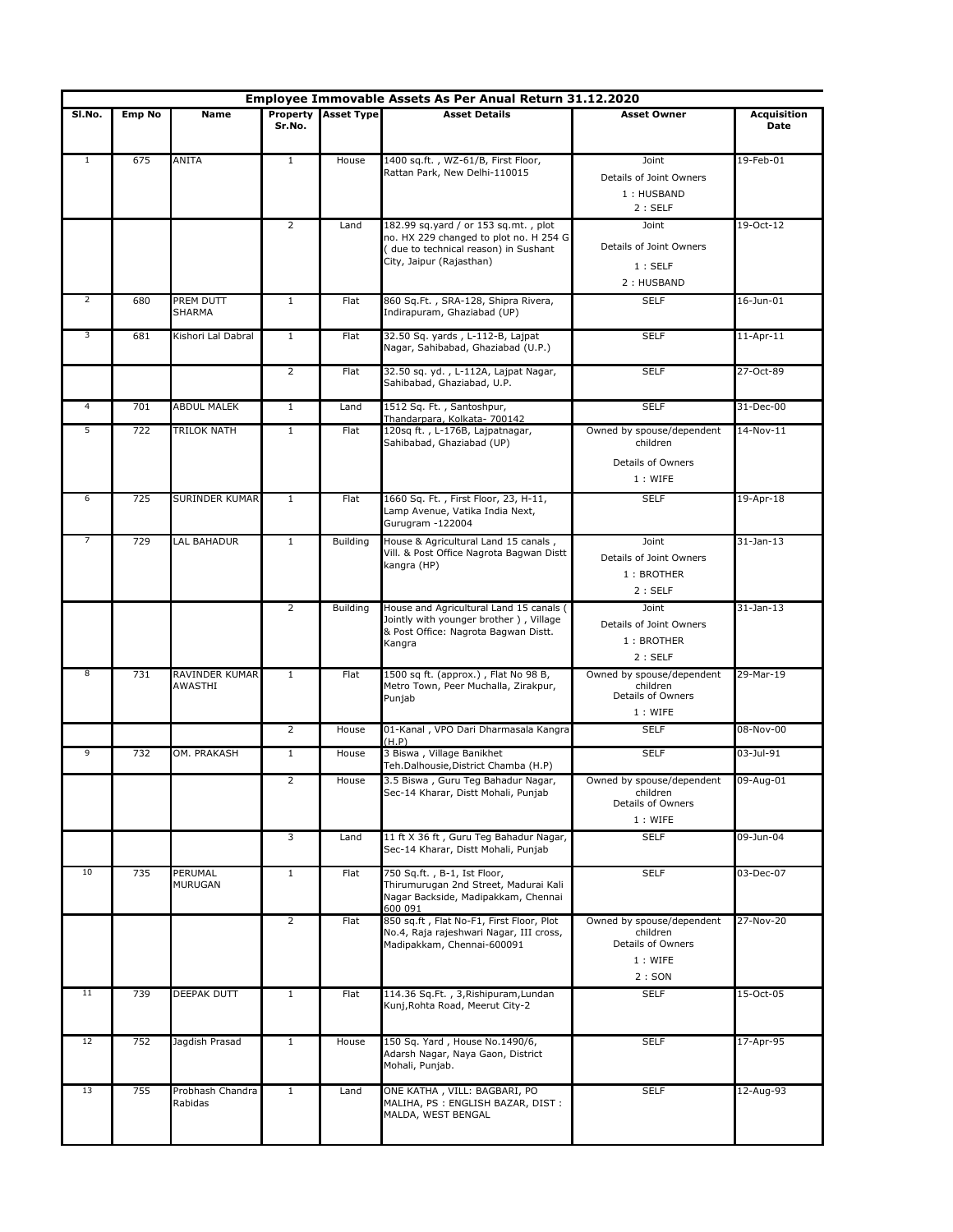|                |               |                             |                    |                   | Employee Immovable Assets As Per Anual Return 31.12.2020                                                                                           |                                                                                |                            |
|----------------|---------------|-----------------------------|--------------------|-------------------|----------------------------------------------------------------------------------------------------------------------------------------------------|--------------------------------------------------------------------------------|----------------------------|
| SI.No.         | <b>Emp No</b> | Name                        | Property<br>Sr.No. | <b>Asset Type</b> | <b>Asset Details</b>                                                                                                                               | <b>Asset Owner</b>                                                             | <b>Acquisition</b><br>Date |
| 1              | 675           | ANITA                       | $\mathbf{1}$       | House             | 1400 sq.ft., WZ-61/B, First Floor,<br>Rattan Park, New Delhi-110015                                                                                | Joint<br>Details of Joint Owners<br>1: HUSBAND<br>2:SELF                       | 19-Feb-01                  |
|                |               |                             | $\overline{2}$     | Land              | 182.99 sq.yard / or 153 sq.mt., plot<br>no. HX 229 changed to plot no. H 254 G<br>(due to technical reason) in Sushant<br>City, Jaipur (Rajasthan) | Joint<br>Details of Joint Owners<br>1:SELF<br>2: HUSBAND                       | 19-Oct-12                  |
| $\overline{2}$ | 680           | PREM DUTT<br>SHARMA         | $\mathbf{1}$       | Flat              | 860 Sq.Ft., SRA-128, Shipra Rivera,<br>Indirapuram, Ghaziabad (UP)                                                                                 | <b>SELF</b>                                                                    | 16-Jun-01                  |
| 3              | 681           | Kishori Lal Dabral          | $\mathbf{1}$       | Flat              | 32.50 Sq. yards, L-112-B, Lajpat<br>Nagar, Sahibabad, Ghaziabad (U.P.)                                                                             | <b>SELF</b>                                                                    | $11$ -Apr- $11$            |
|                |               |                             | $\overline{2}$     | Flat              | 32.50 sq. yd., L-112A, Lajpat Nagar,<br>Sahibabad, Ghaziabad, U.P.                                                                                 | <b>SELF</b>                                                                    | 27-Oct-89                  |
| $\overline{4}$ | 701           | <b>ABDUL MALEK</b>          | $\mathbf{1}$       | Land              | 1512 Sq. Ft., Santoshpur,                                                                                                                          | <b>SELF</b>                                                                    | 31-Dec-00                  |
| 5              | 722           | TRILOK NATH                 | $\mathbf{1}$       | Flat              | Thandarpara, Kolkata- 700142<br>120sq ft., L-176B, Lajpatnagar,<br>Sahibabad, Ghaziabad (UP)                                                       | Owned by spouse/dependent<br>children<br>Details of Owners<br>1: WIFE          | 14-Nov-11                  |
| 6              | 725           | SURINDER KUMAR              | $\mathbf{1}$       | Flat              | 1660 Sq. Ft., First Floor, 23, H-11,<br>Lamp Avenue, Vatika India Next,<br>Gurugram -122004                                                        | <b>SELF</b>                                                                    | 19-Apr-18                  |
| 7              | 729           | LAL BAHADUR                 | $\mathbf{1}$       | Building          | House & Agricultural Land 15 canals,<br>Vill. & Post Office Nagrota Bagwan Distt<br>kangra (HP)                                                    | Joint<br>Details of Joint Owners<br>1: BROTHER<br>2:SELF                       | $31$ -Jan- $13$            |
|                |               |                             | $\overline{2}$     | <b>Building</b>   | House and Agricultural Land 15 canals (<br>Jointly with younger brother), Village<br>& Post Office: Nagrota Bagwan Distt.<br>Kangra                | Joint<br>Details of Joint Owners<br>1: BROTHER<br>2:SELF                       | $31$ -Jan-13               |
| 8              | 731           | RAVINDER KUMAR<br>AWASTHI   | $\mathbf{1}$       | Flat              | 1500 sq ft. (approx.), Flat No 98 B,<br>Metro Town, Peer Muchalla, Zirakpur,<br>Punjab                                                             | Owned by spouse/dependent<br>children<br>Details of Owners<br>1: WIFE          | 29-Mar-19                  |
|                |               |                             | $\overline{2}$     | House             | 01-Kanal, VPO Dari Dharmasala Kangra<br>(H.P)                                                                                                      | <b>SELF</b>                                                                    | 08-Nov-00                  |
| $\overline{9}$ | 732           | OM. PRAKASH                 | $\mathbf{1}$       | House             | 3 Biswa, Village Banikhet<br>Teh.Dalhousie,District Chamba (H.P)                                                                                   | <b>SELF</b>                                                                    | 03-Jul-91                  |
|                |               |                             | 2                  | House             | 3.5 Biswa, Guru Teg Bahadur Nagar,<br>Sec-14 Kharar, Distt Mohali, Punjab                                                                          | Owned by spouse/dependent<br>children<br>Details of Owners<br>1: WIFE          | 09-Aug-01                  |
|                |               |                             | 3                  | Land              | 11 ft X 36 ft, Guru Teg Bahadur Nagar,<br>Sec-14 Kharar, Distt Mohali, Punjab                                                                      | <b>SELF</b>                                                                    | 09-Jun-04                  |
| 10             | 735           | PERUMAL<br>MURUGAN          | $\mathbf{1}$       | Flat              | 750 Sq.ft., B-1, Ist Floor,<br>Thirumurugan 2nd Street, Madurai Kali<br>Nagar Backside, Madipakkam, Chennai<br>600 091                             | <b>SELF</b>                                                                    | 03-Dec-07                  |
|                |               |                             | $\overline{2}$     | Flat              | 850 sq.ft, Flat No-F1, First Floor, Plot<br>No.4, Raja rajeshwari Nagar, III cross,<br>Madipakkam, Chennai-600091                                  | Owned by spouse/dependent<br>children<br>Details of Owners<br>1: WIFE<br>2:SON | 27-Nov-20                  |
| 11             | 739           | DEEPAK DUTT                 | $\mathbf{1}$       | Flat              | 114.36 Sq.Ft., 3, Rishipuram, Lundan<br>Kunj, Rohta Road, Meerut City-2                                                                            | <b>SELF</b>                                                                    | 15-Oct-05                  |
| 12             | 752           | Jagdish Prasad              | $\mathbf{1}$       | House             | 150 Sq. Yard, House No.1490/6,<br>Adarsh Nagar, Naya Gaon, District<br>Mohali, Punjab.                                                             | <b>SELF</b>                                                                    | 17-Apr-95                  |
| 13             | 755           | Probhash Chandra<br>Rabidas | $\mathbf{1}$       | Land              | ONE KATHA, VILL: BAGBARI, PO<br>MALIHA, PS : ENGLISH BAZAR, DIST :<br>MALDA, WEST BENGAL                                                           | <b>SELF</b>                                                                    | 12-Aug-93                  |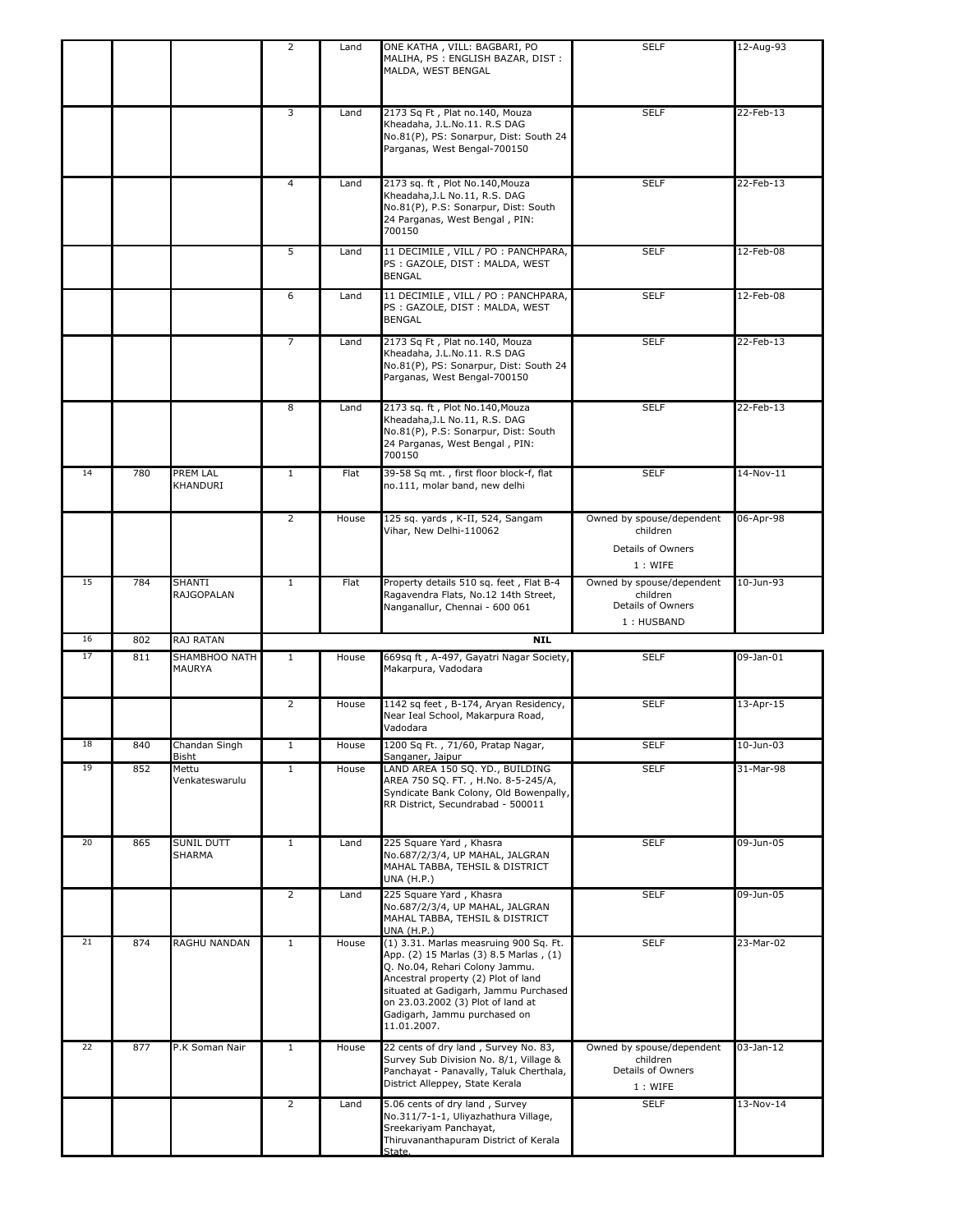|    |     |                               | 2              | Land  | ONE KATHA, VILL: BAGBARI, PO<br>MALIHA, PS: ENGLISH BAZAR, DIST:<br>MALDA, WEST BENGAL                                                                                                                                                                                                 | <b>SELF</b>                                                              | 12-Aug-93 |
|----|-----|-------------------------------|----------------|-------|----------------------------------------------------------------------------------------------------------------------------------------------------------------------------------------------------------------------------------------------------------------------------------------|--------------------------------------------------------------------------|-----------|
|    |     |                               | 3              | Land  | 2173 Sq Ft, Plat no.140, Mouza<br>Kheadaha, J.L.No.11. R.S DAG<br>No.81(P), PS: Sonarpur, Dist: South 24<br>Parganas, West Bengal-700150                                                                                                                                               | <b>SELF</b>                                                              | 22-Feb-13 |
|    |     |                               | $\overline{4}$ | Land  | 2173 sq. ft, Plot No.140, Mouza<br>Kheadaha, J.L No.11, R.S. DAG<br>No.81(P), P.S: Sonarpur, Dist: South<br>24 Parganas, West Bengal, PIN:<br>700150                                                                                                                                   | <b>SELF</b>                                                              | 22-Feb-13 |
|    |     |                               | 5              | Land  | 11 DECIMILE, VILL / PO : PANCHPARA,<br>PS : GAZOLE, DIST : MALDA, WEST<br>BENGAL                                                                                                                                                                                                       | <b>SELF</b>                                                              | 12-Feb-08 |
|    |     |                               | 6              | Land  | 11 DECIMILE, VILL / PO : PANCHPARA,<br>PS: GAZOLE, DIST: MALDA, WEST<br><b>BENGAL</b>                                                                                                                                                                                                  | <b>SELF</b>                                                              | 12-Feb-08 |
|    |     |                               | 7              | Land  | 2173 Sq Ft, Plat no.140, Mouza<br>Kheadaha, J.L.No.11. R.S DAG<br>No.81(P), PS: Sonarpur, Dist: South 24<br>Parganas, West Bengal-700150                                                                                                                                               | <b>SELF</b>                                                              | 22-Feb-13 |
|    |     |                               | 8              | Land  | 2173 sq. ft, Plot No.140, Mouza<br>Kheadaha, J.L No.11, R.S. DAG<br>No.81(P), P.S: Sonarpur, Dist: South<br>24 Parganas, West Bengal, PIN:<br>700150                                                                                                                                   | <b>SELF</b>                                                              | 22-Feb-13 |
| 14 | 780 | PREM LAL<br>KHANDURI          | $\mathbf{1}$   | Flat  | 39-58 Sq mt., first floor block-f, flat<br>no.111, molar band, new delhi                                                                                                                                                                                                               | <b>SELF</b>                                                              | 14-Nov-11 |
|    |     |                               | $\overline{2}$ | House | 125 sq. yards, K-II, 524, Sangam<br>Vihar, New Delhi-110062                                                                                                                                                                                                                            | Owned by spouse/dependent<br>children<br>Details of Owners<br>1: WIFE    | 06-Apr-98 |
| 15 | 784 | SHANTI<br>RAJGOPALAN          | 1              | Flat  | Property details 510 sq. feet, Flat B-4<br>Ragavendra Flats, No.12 14th Street,<br>Nanganallur, Chennai - 600 061                                                                                                                                                                      | Owned by spouse/dependent<br>children<br>Details of Owners<br>1: HUSBAND | 10-Jun-93 |
| 16 | 802 | RAJ RATAN                     |                |       | <b>NIL</b>                                                                                                                                                                                                                                                                             |                                                                          |           |
| 17 | 811 | SHAMBHOO NATH<br>MAURYA       | $\mathbf{1}$   | House | 669sq ft, A-497, Gayatri Nagar Society,<br>Makarpura, Vadodara                                                                                                                                                                                                                         | <b>SELF</b>                                                              | 09-Jan-01 |
|    |     |                               | $\overline{2}$ | House | 1142 sq feet, B-174, Aryan Residency,<br>Near Ieal School, Makarpura Road,<br>Vadodara                                                                                                                                                                                                 | <b>SELF</b>                                                              | 13-Apr-15 |
| 18 | 840 | Chandan Singh<br><b>Bisht</b> | 1              | House | 1200 Sq Ft., 71/60, Pratap Nagar,<br>Sanganer, Jaipur                                                                                                                                                                                                                                  | <b>SELF</b>                                                              | 10-Jun-03 |
| 19 | 852 | Mettu<br>Venkateswarulu       | $\mathbf{1}$   | House | LAND AREA 150 SQ. YD., BUILDING<br>AREA 750 SQ. FT., H.No. 8-5-245/A,<br>Syndicate Bank Colony, Old Bowenpally,<br>RR District, Secundrabad - 500011                                                                                                                                   | <b>SELF</b>                                                              | 31-Mar-98 |
| 20 | 865 | SUNIL DUTT<br>SHARMA          | $\mathbf{1}$   | Land  | 225 Square Yard, Khasra<br>No.687/2/3/4, UP MAHAL, JALGRAN<br>MAHAL TABBA, TEHSIL & DISTRICT<br><b>UNA (H.P.)</b>                                                                                                                                                                      | <b>SELF</b>                                                              | 09-Jun-05 |
|    |     |                               | $\overline{2}$ | Land  | 225 Square Yard, Khasra<br>No.687/2/3/4, UP MAHAL, JALGRAN<br>MAHAL TABBA, TEHSIL & DISTRICT<br><b>UNA (H.P.)</b>                                                                                                                                                                      | <b>SELF</b>                                                              | 09-Jun-05 |
| 21 | 874 | RAGHU NANDAN                  | $\mathbf{1}$   | House | (1) 3.31. Marlas measruing 900 Sq. Ft.<br>App. (2) 15 Marlas (3) 8.5 Marlas, (1)<br>Q. No.04, Rehari Colony Jammu.<br>Ancestral property (2) Plot of land<br>situated at Gadigarh, Jammu Purchased<br>on 23.03.2002 (3) Plot of land at<br>Gadigarh, Jammu purchased on<br>11.01.2007. | <b>SELF</b>                                                              | 23-Mar-02 |
| 22 | 877 | P.K Soman Nair                | $\mathbf{1}$   | House | 22 cents of dry land, Survey No. 83,<br>Survey Sub Division No. 8/1, Village &<br>Panchayat - Panavally, Taluk Cherthala,<br>District Alleppey, State Kerala                                                                                                                           | Owned by spouse/dependent<br>children<br>Details of Owners<br>1: WIFE    | 03-Jan-12 |
|    |     |                               |                |       |                                                                                                                                                                                                                                                                                        |                                                                          |           |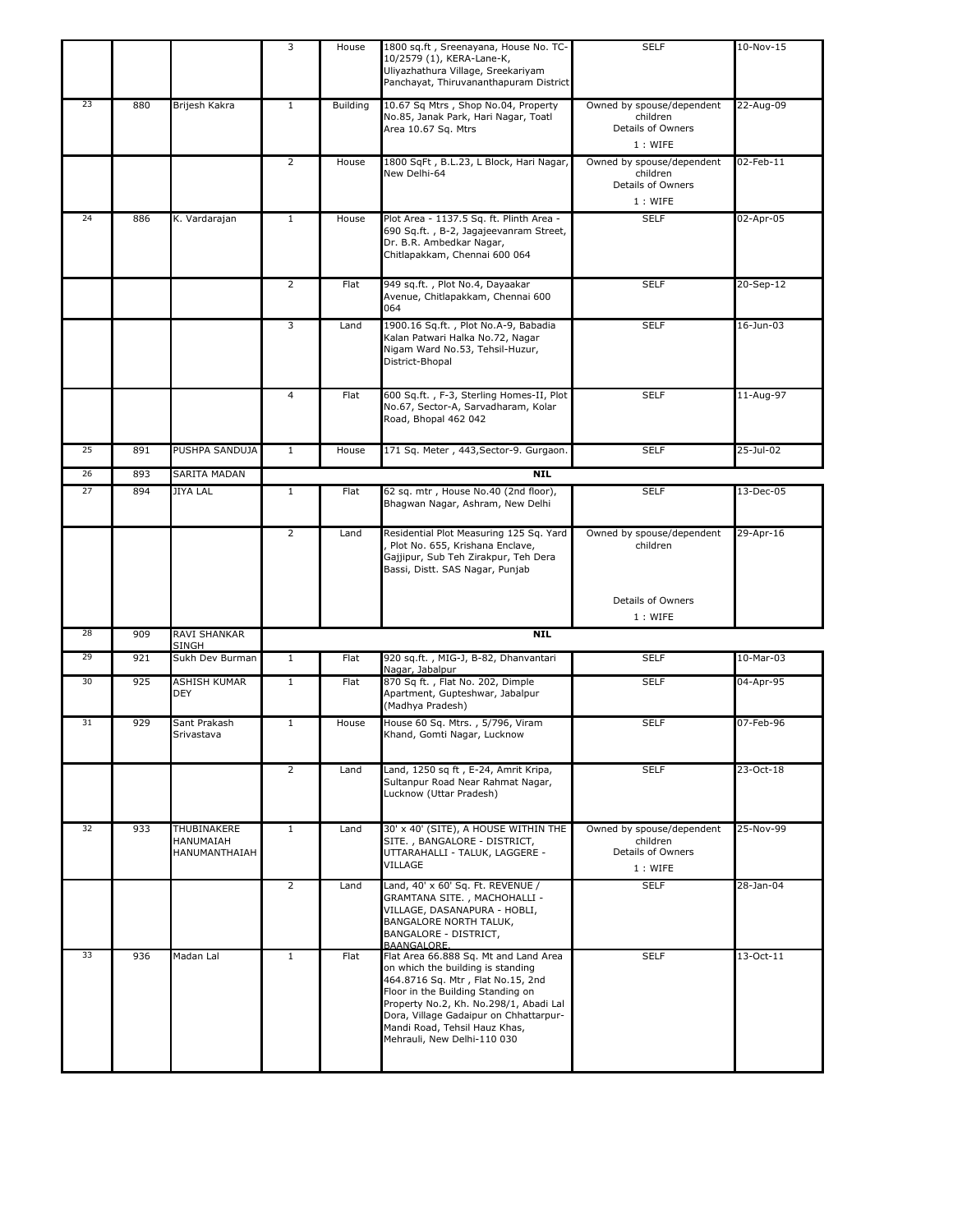|    |     |                                           | 3              | House           | 1800 sq.ft, Sreenayana, House No. TC-<br>10/2579 (1), KERA-Lane-K,<br>Uliyazhathura Village, Sreekariyam<br>Panchayat, Thiruvananthapuram District                                                                                                                                                       | <b>SELF</b>                                                           | 10-Nov-15    |
|----|-----|-------------------------------------------|----------------|-----------------|----------------------------------------------------------------------------------------------------------------------------------------------------------------------------------------------------------------------------------------------------------------------------------------------------------|-----------------------------------------------------------------------|--------------|
| 23 | 880 | Brijesh Kakra                             | $\mathbf{1}$   | <b>Building</b> | 10.67 Sq Mtrs, Shop No.04, Property<br>No.85, Janak Park, Hari Nagar, Toatl<br>Area 10.67 Sq. Mtrs                                                                                                                                                                                                       | Owned by spouse/dependent<br>children<br>Details of Owners<br>1: WIFE | 22-Aug-09    |
|    |     |                                           | $\overline{2}$ | House           | 1800 SqFt, B.L.23, L Block, Hari Nagar,<br>New Delhi-64                                                                                                                                                                                                                                                  | Owned by spouse/dependent<br>children<br>Details of Owners<br>1: WIFE | 02-Feb-11    |
| 24 | 886 | K. Vardarajan                             | $\mathbf{1}$   | House           | Plot Area - 1137.5 Sq. ft. Plinth Area -                                                                                                                                                                                                                                                                 | <b>SELF</b>                                                           | 02-Apr-05    |
|    |     |                                           |                |                 | 690 Sq.ft., B-2, Jagajeevanram Street,<br>Dr. B.R. Ambedkar Nagar,<br>Chitlapakkam, Chennai 600 064                                                                                                                                                                                                      |                                                                       |              |
|    |     |                                           | 2              | Flat            | 949 sq.ft., Plot No.4, Dayaakar<br>Avenue, Chitlapakkam, Chennai 600<br>064                                                                                                                                                                                                                              | <b>SELF</b>                                                           | 20-Sep-12    |
|    |     |                                           | 3              | Land            | 1900.16 Sq.ft., Plot No.A-9, Babadia<br>Kalan Patwari Halka No.72, Nagar<br>Nigam Ward No.53, Tehsil-Huzur,<br>District-Bhopal                                                                                                                                                                           | <b>SELF</b>                                                           | 16-Jun-03    |
|    |     |                                           | $\overline{a}$ | Flat            | 600 Sq.ft., F-3, Sterling Homes-II, Plot<br>No.67, Sector-A, Sarvadharam, Kolar<br>Road, Bhopal 462 042                                                                                                                                                                                                  | <b>SELF</b>                                                           | 11-Aug-97    |
| 25 | 891 | PUSHPA SANDUJA                            | $\mathbf{1}$   | House           | 171 Sq. Meter, 443, Sector-9. Gurgaon.                                                                                                                                                                                                                                                                   | <b>SELF</b>                                                           | $25$ -Jul-02 |
| 26 | 893 | SARITA MADAN                              |                |                 | <b>NIL</b>                                                                                                                                                                                                                                                                                               |                                                                       |              |
| 27 | 894 | <b>JIYA LAL</b>                           | $\mathbf{1}$   | Flat            | 62 sq. mtr, House No.40 (2nd floor),                                                                                                                                                                                                                                                                     | <b>SELF</b>                                                           | 13-Dec-05    |
|    |     |                                           |                |                 | Bhagwan Nagar, Ashram, New Delhi                                                                                                                                                                                                                                                                         |                                                                       |              |
|    |     |                                           | $\overline{2}$ | Land            | Residential Plot Measuring 125 Sq. Yard<br>Plot No. 655, Krishana Enclave,<br>Gajjipur, Sub Teh Zirakpur, Teh Dera<br>Bassi, Distt. SAS Nagar, Punjab                                                                                                                                                    | Owned by spouse/dependent<br>children                                 | 29-Apr-16    |
|    |     |                                           |                |                 |                                                                                                                                                                                                                                                                                                          | Details of Owners<br>1: WIFE                                          |              |
| 28 | 909 | <b>RAVI SHANKAR</b>                       |                |                 | <b>NIL</b>                                                                                                                                                                                                                                                                                               |                                                                       |              |
| 29 | 921 | SINGH<br>Sukh Dev Burman                  | $\mathbf{1}$   | Flat            | 920 sq.ft., MIG-J, B-82, Dhanvantari                                                                                                                                                                                                                                                                     | <b>SELF</b>                                                           | 10-Mar-03    |
| 30 | 925 | <b>ASHISH KUMAR</b><br><b>DEY</b>         | $\mathbf{1}$   | Flat            | Nagar, Jabalpur<br>870 Sq ft., Flat No. 202, Dimple<br>Apartment, Gupteshwar, Jabalpur<br>(Madhya Pradesh)                                                                                                                                                                                               | <b>SELF</b>                                                           | 04-Apr-95    |
| 31 | 929 | Sant Prakash<br>Srivastava                | 1              | House           | House 60 Sq. Mtrs., 5/796, Viram<br>Khand, Gomti Nagar, Lucknow                                                                                                                                                                                                                                          | <b>SELF</b>                                                           | 07-Feb-96    |
|    |     |                                           | 2              | Land            | Land, 1250 sq ft, E-24, Amrit Kripa,<br>Sultanpur Road Near Rahmat Nagar,<br>Lucknow (Uttar Pradesh)                                                                                                                                                                                                     | <b>SELF</b>                                                           | 23-Oct-18    |
| 32 | 933 | THUBINAKERE<br>HANUMAIAH<br>HANUMANTHAIAH | $\mathbf{1}$   | Land            | 30' x 40' (SITE), A HOUSE WITHIN THE<br>SITE., BANGALORE - DISTRICT,<br>UTTARAHALLI - TALUK, LAGGERE -<br>VILLAGE                                                                                                                                                                                        | Owned by spouse/dependent<br>children<br>Details of Owners<br>1: WIFE | 25-Nov-99    |
|    |     |                                           | $\overline{2}$ | Land            | Land, 40' x 60' Sq. Ft. REVENUE /<br>GRAMTANA SITE., MACHOHALLI -<br>VILLAGE, DASANAPURA - HOBLI,<br>BANGALORE NORTH TALUK,<br>BANGALORE - DISTRICT,<br>BAANGALORE.                                                                                                                                      | <b>SELF</b>                                                           | 28-Jan-04    |
| 33 | 936 | Madan Lal                                 | $\mathbf{1}$   | Flat            | Flat Area 66.888 Sq. Mt and Land Area<br>on which the building is standing<br>464.8716 Sq. Mtr, Flat No.15, 2nd<br>Floor in the Building Standing on<br>Property No.2, Kh. No.298/1, Abadi Lal<br>Dora, Village Gadaipur on Chhattarpur-<br>Mandi Road, Tehsil Hauz Khas,<br>Mehrauli, New Delhi-110 030 | <b>SELF</b>                                                           | 13-Oct-11    |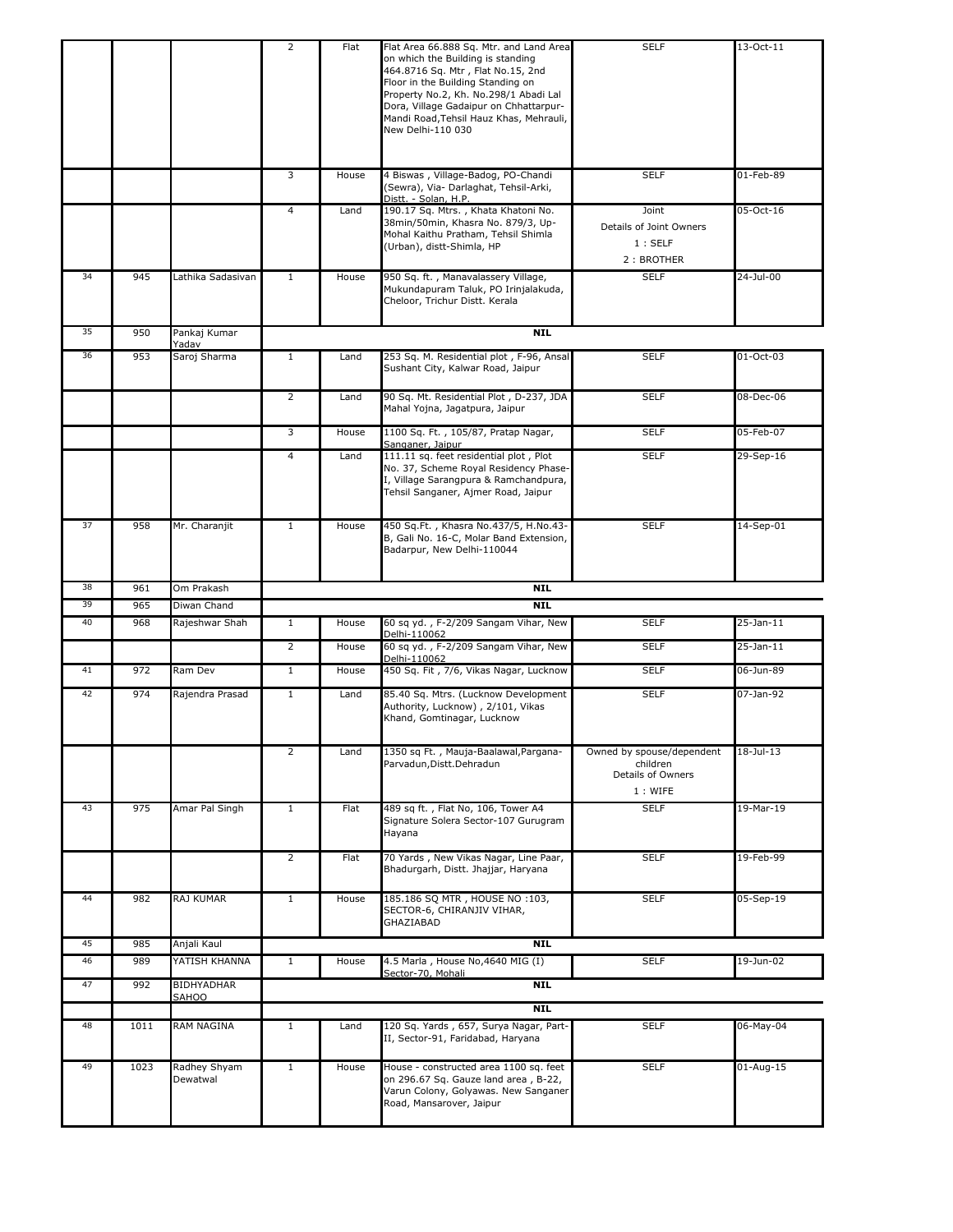|    |      |                       | 2              | Flat  | Flat Area 66.888 Sq. Mtr. and Land Area<br>on which the Building is standing<br>464.8716 Sq. Mtr , Flat No.15, 2nd<br>Floor in the Building Standing on<br>Property No.2, Kh. No.298/1 Abadi Lal<br>Dora, Village Gadaipur on Chhattarpur-<br>Mandi Road, Tehsil Hauz Khas, Mehrauli,<br>New Delhi-110 030 | <b>SELF</b>                                                           | 13-Oct-11               |
|----|------|-----------------------|----------------|-------|------------------------------------------------------------------------------------------------------------------------------------------------------------------------------------------------------------------------------------------------------------------------------------------------------------|-----------------------------------------------------------------------|-------------------------|
|    |      |                       | 3              | House | 4 Biswas, Village-Badog, PO-Chandi<br>(Sewra), Via- Darlaghat, Tehsil-Arki,<br>Distt. - Solan, H.P.                                                                                                                                                                                                        | <b>SELF</b>                                                           | 01-Feb-89               |
|    |      |                       | 4              | Land  | 190.17 Sq. Mtrs., Khata Khatoni No.<br>38min/50min, Khasra No. 879/3, Up-<br>Mohal Kaithu Pratham, Tehsil Shimla<br>(Urban), distt-Shimla, HP                                                                                                                                                              | Joint<br>Details of Joint Owners<br>1:SELF<br>2: BROTHER              | 05-Oct-16               |
| 34 | 945  | Lathika Sadasivan     | $\mathbf{1}$   | House | 950 Sq. ft., Manavalassery Village,<br>Mukundapuram Taluk, PO Irinjalakuda,<br>Cheloor, Trichur Distt. Kerala                                                                                                                                                                                              | <b>SELF</b>                                                           | 24-Jul-00               |
| 35 | 950  | Pankaj Kumar<br>Yadav |                |       | <b>NIL</b>                                                                                                                                                                                                                                                                                                 |                                                                       |                         |
| 36 | 953  | Saroj Sharma          | $\mathbf{1}$   | Land  | 253 Sq. M. Residential plot, F-96, Ansal<br>Sushant City, Kalwar Road, Jaipur                                                                                                                                                                                                                              | <b>SELF</b>                                                           | 01-Oct-03               |
|    |      |                       | $\overline{2}$ | Land  | 90 Sq. Mt. Residential Plot, D-237, JDA<br>Mahal Yojna, Jagatpura, Jaipur                                                                                                                                                                                                                                  | <b>SELF</b>                                                           | 08-Dec-06               |
|    |      |                       | 3              | House | 1100 Sq. Ft., 105/87, Pratap Nagar,<br>Sanganer, Jaipur                                                                                                                                                                                                                                                    | <b>SELF</b>                                                           | 05-Feb-07               |
|    |      |                       | 4              | Land  | 111.11 sq. feet residential plot, Plot<br>No. 37, Scheme Royal Residency Phase-<br>I, Village Sarangpura & Ramchandpura,<br>Tehsil Sanganer, Ajmer Road, Jaipur                                                                                                                                            | <b>SELF</b>                                                           | 29-Sep-16               |
| 37 | 958  | Mr. Charanjit         | $\mathbf{1}$   | House | 450 Sq.Ft., Khasra No.437/5, H.No.43-<br>B, Gali No. 16-C, Molar Band Extension,<br>Badarpur, New Delhi-110044                                                                                                                                                                                             | <b>SELF</b>                                                           | 14-Sep-01               |
| 38 | 961  | Om Prakash            |                |       | <b>NIL</b>                                                                                                                                                                                                                                                                                                 |                                                                       |                         |
|    |      |                       |                |       |                                                                                                                                                                                                                                                                                                            |                                                                       |                         |
| 39 | 965  | Diwan Chand           |                |       | <b>NIL</b>                                                                                                                                                                                                                                                                                                 |                                                                       |                         |
| 40 | 968  | Rajeshwar Shah        | $\mathbf{1}$   | House | 60 sq yd., F-2/209 Sangam Vihar, New<br>Delhi-110062                                                                                                                                                                                                                                                       | <b>SELF</b>                                                           | 25-Jan-11               |
|    |      |                       | $\overline{2}$ | House | 60 sq yd., F-2/209 Sangam Vihar, New<br>Delhi-110062                                                                                                                                                                                                                                                       | <b>SELF</b>                                                           | $25-Jan-11$             |
| 41 | 972  | Ram Dev               | $\mathbf{1}$   | House | 450 Sq. Fit, 7/6, Vikas Nagar, Lucknow                                                                                                                                                                                                                                                                     | <b>SELF</b>                                                           | 06-Jun-89               |
| 42 | 974  | Rajendra Prasad       | $\mathbf{1}$   | Land  | 85.40 Sq. Mtrs. (Lucknow Development<br>Authority, Lucknow), 2/101, Vikas<br>Khand, Gomtinagar, Lucknow                                                                                                                                                                                                    | <b>SELF</b>                                                           | 07-Jan-92               |
|    |      |                       | 2              | Land  | 1350 sq Ft., Mauja-Baalawal, Pargana-<br>Parvadun, Distt. Dehradun                                                                                                                                                                                                                                         | Owned by spouse/dependent<br>children<br>Details of Owners<br>1: WIFE | $\overline{18}$ -Jul-13 |
| 43 | 975  | Amar Pal Singh        | $\mathbf{1}$   | Flat  | 489 sq ft., Flat No, 106, Tower A4<br>Signature Solera Sector-107 Gurugram<br>Hayana                                                                                                                                                                                                                       | <b>SELF</b>                                                           | 19-Mar-19               |
|    |      |                       | $\overline{2}$ | Flat  | 70 Yards, New Vikas Nagar, Line Paar,<br>Bhadurgarh, Distt. Jhajjar, Haryana                                                                                                                                                                                                                               | <b>SELF</b>                                                           | 19-Feb-99               |
| 44 | 982  | RAJ KUMAR             | $\mathbf{1}$   | House | 185.186 SQ MTR, HOUSE NO :103,<br>SECTOR-6, CHIRANJIV VIHAR,<br>GHAZIABAD                                                                                                                                                                                                                                  | <b>SELF</b>                                                           | 05-Sep-19               |
| 45 | 985  | Anjali Kaul           |                |       | NIL                                                                                                                                                                                                                                                                                                        |                                                                       |                         |
| 46 | 989  | YATISH KHANNA         | $\,1\,$        | House | 4.5 Marla, House No, 4640 MIG (I)<br>Sector-70, Mohali                                                                                                                                                                                                                                                     | <b>SELF</b>                                                           | 19-Jun-02               |
| 47 | 992  | BIDHYADHAR            |                |       | <b>NIL</b>                                                                                                                                                                                                                                                                                                 |                                                                       |                         |
|    |      | SAHOO                 |                |       | NIL                                                                                                                                                                                                                                                                                                        |                                                                       |                         |
| 48 | 1011 | RAM NAGINA            | $\mathbf{1}$   | Land  | 120 Sq. Yards, 657, Surya Nagar, Part-<br>II, Sector-91, Faridabad, Haryana                                                                                                                                                                                                                                | <b>SELF</b>                                                           | 06-May-04               |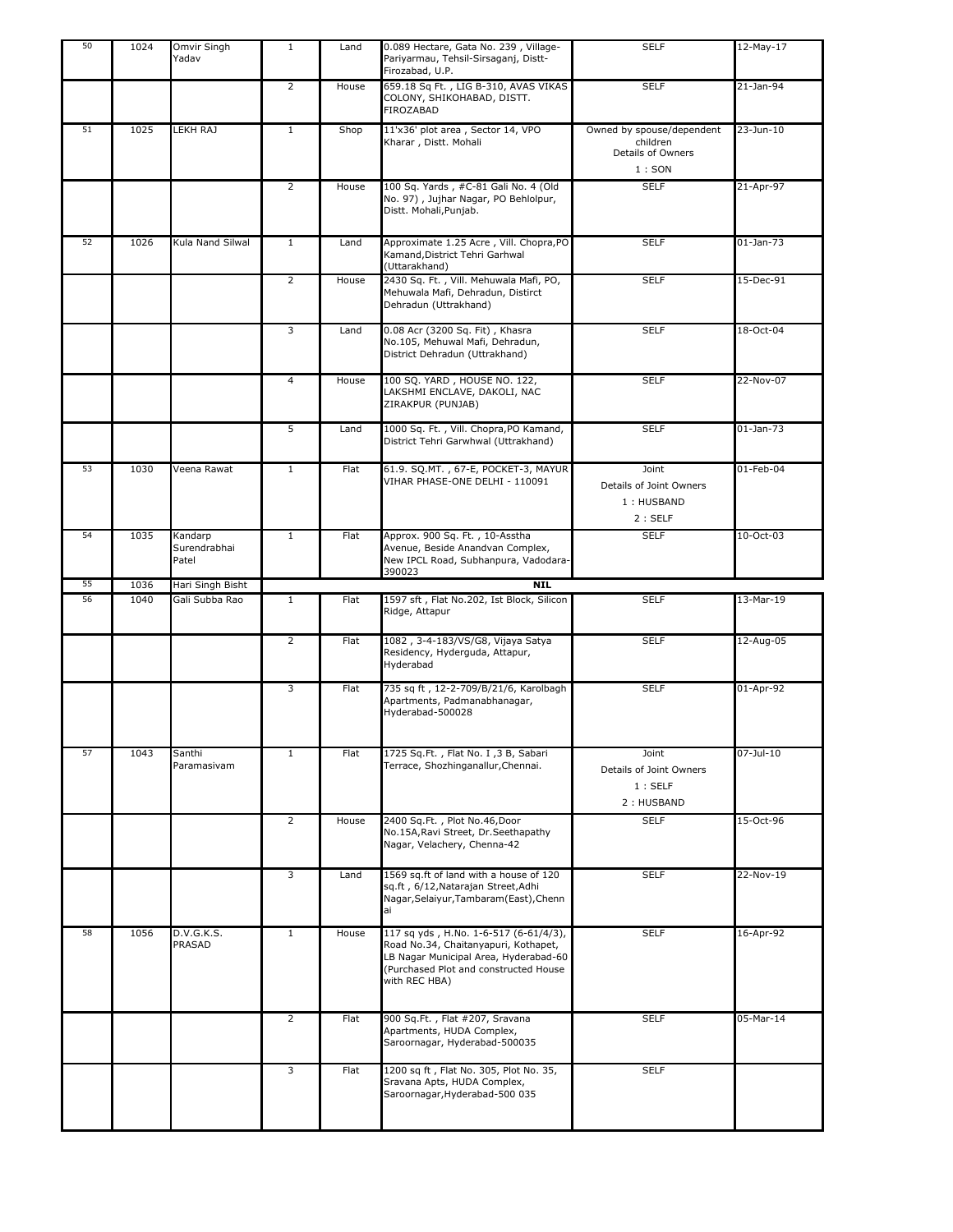| 50 | 1024 | Omvir Singh<br>Yadav             | $\mathbf{1}$   | Land  | 0.089 Hectare, Gata No. 239, Village-<br>Pariyarmau, Tehsil-Sirsaganj, Distt-<br>Firozabad, U.P.                                                                                 | <b>SELF</b>                                                         | 12-May-17     |
|----|------|----------------------------------|----------------|-------|----------------------------------------------------------------------------------------------------------------------------------------------------------------------------------|---------------------------------------------------------------------|---------------|
|    |      |                                  | $\overline{2}$ | House | 659.18 Sq Ft., LIG B-310, AVAS VIKAS<br>COLONY, SHIKOHABAD, DISTT.<br>FIROZABAD                                                                                                  | <b>SELF</b>                                                         | 21-Jan-94     |
| 51 | 1025 | LEKH RAJ                         | $\mathbf{1}$   | Shop  | 11'x36' plot area, Sector 14, VPO<br>Kharar, Distt. Mohali                                                                                                                       | Owned by spouse/dependent<br>children<br>Details of Owners<br>1:SON | 23-Jun-10     |
|    |      |                                  | $\overline{2}$ | House | 100 Sq. Yards, #C-81 Gali No. 4 (Old<br>No. 97), Jujhar Nagar, PO Behlolpur,<br>Distt. Mohali, Punjab.                                                                           | <b>SELF</b>                                                         | 21-Apr-97     |
| 52 | 1026 | Kula Nand Silwal                 | $\mathbf{1}$   | Land  | Approximate 1.25 Acre, Vill. Chopra, PO<br>Kamand, District Tehri Garhwal<br>(Uttarakhand)                                                                                       | <b>SELF</b>                                                         | $01$ -Jan-73  |
|    |      |                                  | $\overline{2}$ | House | 2430 Sq. Ft., Vill. Mehuwala Mafi, PO,<br>Mehuwala Mafi, Dehradun, Distirct<br>Dehradun (Uttrakhand)                                                                             | <b>SELF</b>                                                         | 15-Dec-91     |
|    |      |                                  | 3              | Land  | 0.08 Acr (3200 Sq. Fit), Khasra<br>No.105, Mehuwal Mafi, Dehradun,<br>District Dehradun (Uttrakhand)                                                                             | <b>SELF</b>                                                         | 18-Oct-04     |
|    |      |                                  | 4              | House | 100 SQ. YARD, HOUSE NO. 122,<br>LAKSHMI ENCLAVE, DAKOLI, NAC<br>ZIRAKPUR (PUNJAB)                                                                                                | <b>SELF</b>                                                         | 22-Nov-07     |
|    |      |                                  | 5              | Land  | 1000 Sq. Ft., Vill. Chopra, PO Kamand,<br>District Tehri Garwhwal (Uttrakhand)                                                                                                   | <b>SELF</b>                                                         | $01$ -Jan-73  |
| 53 | 1030 | Veena Rawat                      | $\mathbf{1}$   | Flat  | 61.9. SQ.MT., 67-E, POCKET-3, MAYUR<br>VIHAR PHASE-ONE DELHI - 110091                                                                                                            | Joint<br>Details of Joint Owners<br>1: HUSBAND<br>2:SELF            | 01-Feb-04     |
| 54 | 1035 | Kandarp<br>Surendrabhai<br>Patel | $\mathbf{1}$   | Flat  | Approx. 900 Sq. Ft., 10-Asstha<br>Avenue, Beside Anandvan Complex,<br>New IPCL Road, Subhanpura, Vadodara-<br>390023                                                             | <b>SELF</b>                                                         | 10-Oct-03     |
| 55 | 1036 | Hari Singh Bisht                 |                |       | <b>NIL</b>                                                                                                                                                                       |                                                                     |               |
| 56 | 1040 | Gali Subba Rao                   | $\mathbf{1}$   | Flat  | 1597 sft, Flat No.202, Ist Block, Silicon<br>Ridge, Attapur                                                                                                                      | <b>SELF</b>                                                         | 13-Mar-19     |
|    |      |                                  | $\overline{2}$ | Flat  | 1082, 3-4-183/VS/G8, Vijaya Satya<br>Residency, Hyderguda, Attapur,<br>Hyderabad                                                                                                 | <b>SELF</b>                                                         | 12-Aug-05     |
|    |      |                                  | 3              | Flat  | 735 sq ft, 12-2-709/B/21/6, Karolbagh<br>Apartments, Padmanabhanagar,<br>Hyderabad-500028                                                                                        | <b>SELF</b>                                                         | 01-Apr-92     |
| 57 | 1043 | Santhi<br>Paramasivam            | $1\,$          | Flat  | 1725 Sq.Ft., Flat No. I, 3 B, Sabari<br>Terrace, Shozhinganallur, Chennai.                                                                                                       | Joint<br>Details of Joint Owners<br>1:SELF<br>2: HUSBAND            | $07 -$ Jul-10 |
|    |      |                                  | $\overline{2}$ | House | 2400 Sq.Ft., Plot No.46,Door<br>No.15A, Ravi Street, Dr. Seethapathy<br>Nagar, Velachery, Chenna-42                                                                              | <b>SELF</b>                                                         | 15-Oct-96     |
|    |      |                                  | 3              | Land  | 1569 sq.ft of land with a house of 120<br>sq.ft, 6/12, Natarajan Street, Adhi<br>Nagar, Selaiyur, Tambaram (East), Chenn<br>ai                                                   | <b>SELF</b>                                                         | 22-Nov-19     |
| 58 | 1056 | D.V.G.K.S.<br>PRASAD             | $\mathbf{1}$   | House | 117 sq yds, H.No. 1-6-517 (6-61/4/3),<br>Road No.34, Chaitanyapuri, Kothapet,<br>LB Nagar Municipal Area, Hyderabad-60<br>(Purchased Plot and constructed House<br>with REC HBA) | <b>SELF</b>                                                         | 16-Apr-92     |
|    |      |                                  | $\overline{2}$ | Flat  | 900 Sq.Ft., Flat #207, Sravana<br>Apartments, HUDA Complex,<br>Saroornagar, Hyderabad-500035                                                                                     | <b>SELF</b>                                                         | 05-Mar-14     |
|    |      |                                  | 3              | Flat  | 1200 sq ft, Flat No. 305, Plot No. 35,<br>Sravana Apts, HUDA Complex,<br>Saroornagar, Hyderabad-500 035                                                                          | <b>SELF</b>                                                         |               |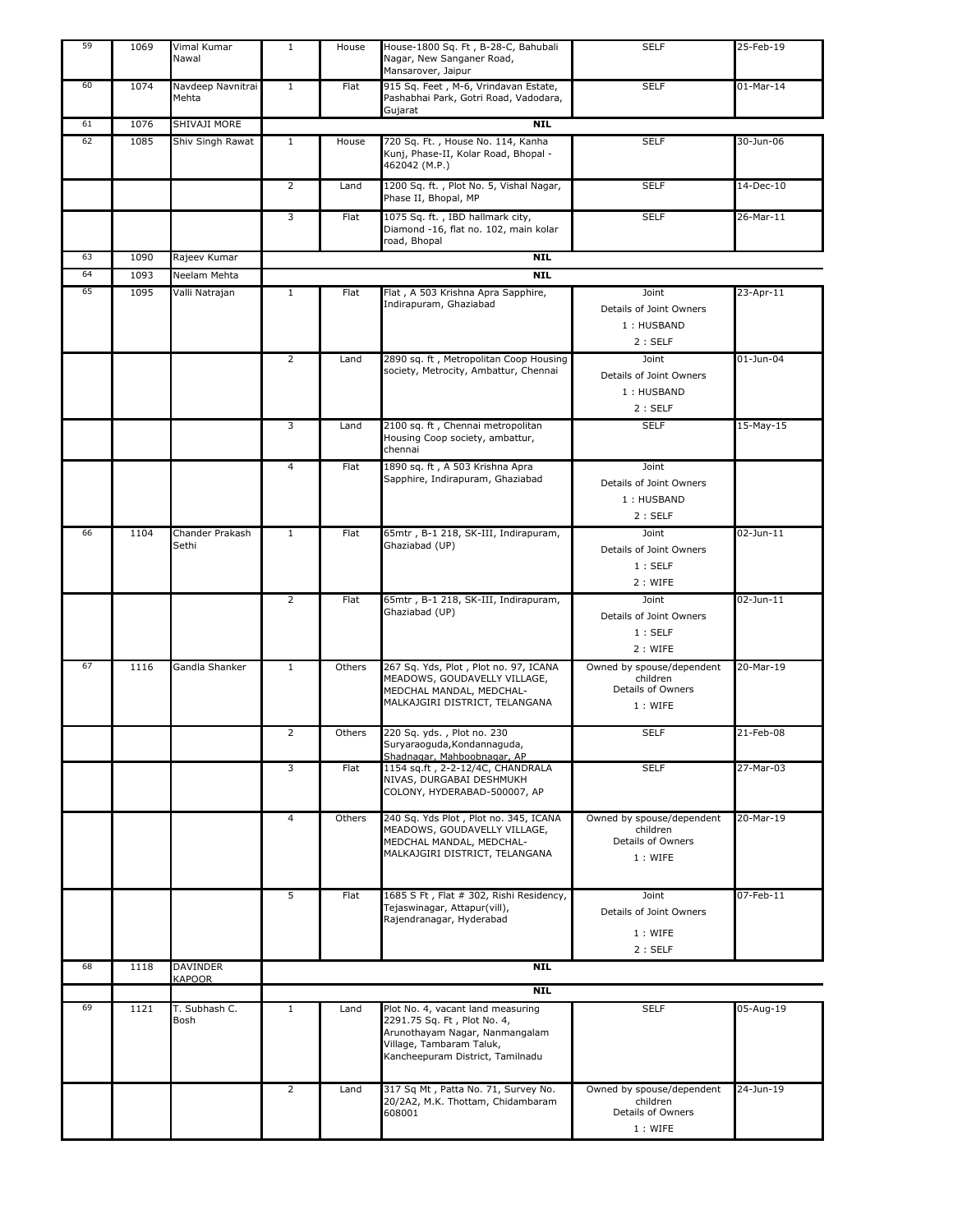| 59 | 1069 | Vimal Kumar<br>Nawal       | $\mathbf{1}$   | House  | House-1800 Sq. Ft, B-28-C, Bahubali<br>Nagar, New Sanganer Road,<br>Mansarover, Jaipur                                                                             | <b>SELF</b>                                                           | 25-Feb-19   |
|----|------|----------------------------|----------------|--------|--------------------------------------------------------------------------------------------------------------------------------------------------------------------|-----------------------------------------------------------------------|-------------|
| 60 | 1074 | Navdeep Navnitrai<br>Mehta | $\mathbf{1}$   | Flat   | 915 Sq. Feet, M-6, Vrindavan Estate,<br>Pashabhai Park, Gotri Road, Vadodara,                                                                                      | <b>SELF</b>                                                           | $01-Mar-14$ |
| 61 | 1076 | SHIVAJI MORE               |                |        | Gujarat<br><b>NIL</b>                                                                                                                                              |                                                                       |             |
|    |      |                            |                |        |                                                                                                                                                                    |                                                                       |             |
| 62 | 1085 | Shiv Singh Rawat           | $\mathbf{1}$   | House  | 720 Sq. Ft., House No. 114, Kanha<br>Kunj, Phase-II, Kolar Road, Bhopal -<br>462042 (M.P.)                                                                         | <b>SELF</b>                                                           | 30-Jun-06   |
|    |      |                            | $\overline{2}$ | Land   | 1200 Sq. ft., Plot No. 5, Vishal Nagar,<br>Phase II, Bhopal, MP                                                                                                    | <b>SELF</b>                                                           | 14-Dec-10   |
|    |      |                            | 3              | Flat   | 1075 Sq. ft., IBD hallmark city,<br>Diamond -16, flat no. 102, main kolar<br>road, Bhopal                                                                          | <b>SELF</b>                                                           | 26-Mar-11   |
| 63 | 1090 | Rajeev Kumar               |                |        | <b>NIL</b>                                                                                                                                                         |                                                                       |             |
| 64 | 1093 | Neelam Mehta               |                |        | <b>NIL</b>                                                                                                                                                         |                                                                       |             |
| 65 | 1095 | Valli Natrajan             | $\mathbf{1}$   | Flat   | Flat, A 503 Krishna Apra Sapphire,                                                                                                                                 | Joint                                                                 | 23-Apr-11   |
|    |      |                            |                |        | Indirapuram, Ghaziabad                                                                                                                                             | Details of Joint Owners<br>1: HUSBAND<br>2:SELF                       |             |
|    |      |                            | $\overline{2}$ | Land   | 2890 sq. ft, Metropolitan Coop Housing<br>society, Metrocity, Ambattur, Chennai                                                                                    | Joint<br>Details of Joint Owners<br>1: HUSBAND<br>2:SELF              | 01-Jun-04   |
|    |      |                            | 3              | Land   | 2100 sq. ft, Chennai metropolitan<br>Housing Coop society, ambattur,<br>chennai                                                                                    | <b>SELF</b>                                                           | 15-May-15   |
|    |      |                            | 4              | Flat   | 1890 sq. ft, A 503 Krishna Apra<br>Sapphire, Indirapuram, Ghaziabad                                                                                                | Joint<br>Details of Joint Owners<br>1: HUSBAND<br>2:SELF              |             |
| 66 | 1104 | Chander Prakash<br>Sethi   | $\mathbf{1}$   | Flat   | 65mtr, B-1 218, SK-III, Indirapuram,<br>Ghaziabad (UP)                                                                                                             | Joint<br>Details of Joint Owners<br>1:SELF<br>2 : WIFE                | 02-Jun-11   |
|    |      |                            | 2              | Flat   | 65mtr, B-1 218, SK-III, Indirapuram,<br>Ghaziabad (UP)                                                                                                             | Joint<br>Details of Joint Owners<br>1:SELF<br>2: WIFE                 | 02-Jun-11   |
| 67 | 1116 | Gandla Shanker             | $\mathbf{1}$   | Others | 267 Sq. Yds, Plot, Plot no. 97, ICANA<br>MEADOWS, GOUDAVELLY VILLAGE,<br>MEDCHAL MANDAL, MEDCHAL-<br>MALKAJGIRI DISTRICT, TELANGANA                                | Owned by spouse/dependent<br>children<br>Details of Owners<br>1: WIFE | 20-Mar-19   |
|    |      |                            | $\overline{2}$ | Others | 220 Sq. yds., Plot no. 230<br>Suryaraoguda, Kondannaguda,<br>Shadnagar, Mahboobnagar, AP                                                                           | <b>SELF</b>                                                           | 21-Feb-08   |
|    |      |                            | 3              | Flat   | 1154 sq.ft, 2-2-12/4C, CHANDRALA<br>NIVAS, DURGABAI DESHMUKH<br>COLONY, HYDERABAD-500007, AP                                                                       | <b>SELF</b>                                                           | 27-Mar-03   |
|    |      |                            | 4              | Others | 240 Sq. Yds Plot, Plot no. 345, ICANA<br>MEADOWS, GOUDAVELLY VILLAGE,<br>MEDCHAL MANDAL, MEDCHAL-<br>MALKAJGIRI DISTRICT, TELANGANA                                | Owned by spouse/dependent<br>children<br>Details of Owners<br>1: WIFE | 20-Mar-19   |
|    |      |                            | 5              | Flat   | 1685 S Ft, Flat # 302, Rishi Residency,<br>Tejaswinagar, Attapur(vill),<br>Rajendranagar, Hyderabad                                                                | Joint<br>Details of Joint Owners<br>1: WIFE<br>2:SELF                 | 07-Feb-11   |
| 68 | 1118 | <b>DAVINDER</b>            |                |        | <b>NIL</b>                                                                                                                                                         |                                                                       |             |
|    |      | <b>KAPOOR</b>              |                |        | <b>NIL</b>                                                                                                                                                         |                                                                       |             |
| 69 | 1121 | T. Subhash C.<br>Bosh      | $\mathbf{1}$   | Land   | Plot No. 4, vacant land measuring<br>2291.75 Sq. Ft, Plot No. 4,<br>Arunothayam Nagar, Nanmangalam<br>Village, Tambaram Taluk,<br>Kancheepuram District, Tamilnadu | <b>SELF</b>                                                           | 05-Aug-19   |
|    |      |                            | $\overline{2}$ | Land   | 317 Sq Mt, Patta No. 71, Survey No.<br>20/2A2, M.K. Thottam, Chidambaram<br>608001                                                                                 | Owned by spouse/dependent<br>children<br>Details of Owners<br>1: WIFE | 24-Jun-19   |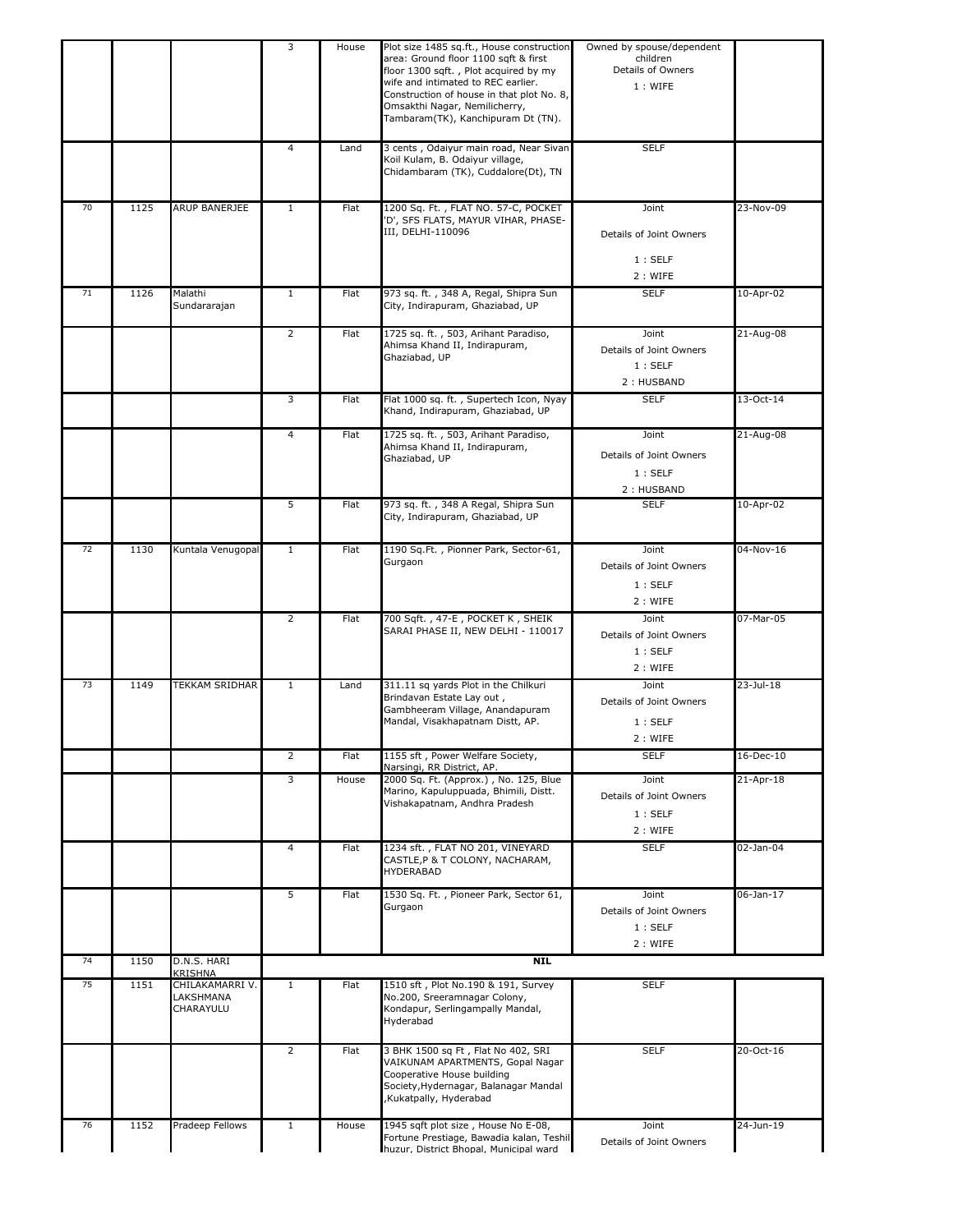|    |      |                                           | 3                       | House | Plot size 1485 sq.ft., House construction<br>area: Ground floor 1100 sqft & first<br>floor 1300 sqft., Plot acquired by my<br>wife and intimated to REC earlier.<br>Construction of house in that plot No. 8,<br>Omsakthi Nagar, Nemilicherry,<br>Tambaram(TK), Kanchipuram Dt (TN). | Owned by spouse/dependent<br>children<br>Details of Owners<br>1: WIFE |                 |
|----|------|-------------------------------------------|-------------------------|-------|--------------------------------------------------------------------------------------------------------------------------------------------------------------------------------------------------------------------------------------------------------------------------------------|-----------------------------------------------------------------------|-----------------|
|    |      |                                           | 4                       | Land  | 3 cents, Odaiyur main road, Near Sivan<br>Koil Kulam, B. Odaiyur village,<br>Chidambaram (TK), Cuddalore(Dt), TN                                                                                                                                                                     | <b>SELF</b>                                                           |                 |
| 70 | 1125 | ARUP BANERJEE                             | $\mathbf{1}$            | Flat  | 1200 Sq. Ft., FLAT NO. 57-C, POCKET<br>D', SFS FLATS, MAYUR VIHAR, PHASE-<br>III, DELHI-110096                                                                                                                                                                                       | Joint<br>Details of Joint Owners<br>1:SELF<br>2 : WIFE                | 23-Nov-09       |
| 71 | 1126 | Malathi<br>Sundararajan                   | $\overline{1}$          | Flat  | 973 sq. ft., 348 A, Regal, Shipra Sun<br>City, Indirapuram, Ghaziabad, UP                                                                                                                                                                                                            | <b>SELF</b>                                                           | $10 - Apr - 02$ |
|    |      |                                           | $\overline{2}$          | Flat  | 1725 sq. ft., 503, Arihant Paradiso,<br>Ahimsa Khand II, Indirapuram,<br>Ghaziabad, UP                                                                                                                                                                                               | Joint<br>Details of Joint Owners<br>1:SELF<br>2: HUSBAND              | 21-Aug-08       |
|    |      |                                           | 3                       | Flat  | Flat 1000 sq. ft., Supertech Icon, Nyay<br>Khand, Indirapuram, Ghaziabad, UP                                                                                                                                                                                                         | <b>SELF</b>                                                           | 13-Oct-14       |
|    |      |                                           | 4                       | Flat  | 1725 sq. ft., 503, Arihant Paradiso,<br>Ahimsa Khand II, Indirapuram,<br>Ghaziabad, UP                                                                                                                                                                                               | Joint<br>Details of Joint Owners<br>1:SELF<br>2: HUSBAND              | 21-Aug-08       |
|    |      |                                           | 5                       | Flat  | 973 sq. ft., 348 A Regal, Shipra Sun<br>City, Indirapuram, Ghaziabad, UP                                                                                                                                                                                                             | <b>SELF</b>                                                           | $10-Apr-02$     |
| 72 | 1130 | Kuntala Venugopal                         | $\mathbf{1}$            | Flat  | 1190 Sq.Ft., Pionner Park, Sector-61,<br>Gurgaon                                                                                                                                                                                                                                     | Joint<br>Details of Joint Owners<br>1:SELF<br>2 : WIFE                | 04-Nov-16       |
|    |      |                                           | 2                       | Flat  | 700 Sqft., 47-E, POCKET K, SHEIK<br>SARAI PHASE II, NEW DELHI - 110017                                                                                                                                                                                                               | Joint<br>Details of Joint Owners<br>1:SELF<br>2 : WIFE                | 07-Mar-05       |
| 73 | 1149 | TEKKAM SRIDHAR                            | $\mathbf{1}$            | Land  | 311.11 sq yards Plot in the Chilkuri<br>Brindavan Estate Lay out,<br>Gambheeram Village, Anandapuram<br>Mandal, Visakhapatnam Distt, AP.                                                                                                                                             | Joint<br>Details of Joint Owners<br>1:SELF<br>2: WIFE                 | 23-Jul-18       |
|    |      |                                           | $\overline{2}$          | Flat  | 1155 sft, Power Welfare Society,<br>Narsingi, RR District, AP.                                                                                                                                                                                                                       | <b>SELF</b>                                                           | 16-Dec-10       |
|    |      |                                           | 3                       | House | 2000 Sq. Ft. (Approx.), No. 125, Blue<br>Marino, Kapuluppuada, Bhimili, Distt.<br>Vishakapatnam, Andhra Pradesh                                                                                                                                                                      | Joint<br>Details of Joint Owners<br>1:SELF<br>2: WIFE                 | 21-Apr-18       |
|    |      |                                           | $\overline{\mathbf{4}}$ | Flat  | 1234 sft., FLAT NO 201, VINEYARD<br>CASTLE, P & T COLONY, NACHARAM,<br>HYDERABAD                                                                                                                                                                                                     | <b>SELF</b>                                                           | 02-Jan-04       |
|    |      |                                           | 5                       | Flat  | 1530 Sq. Ft., Pioneer Park, Sector 61,<br>Gurgaon                                                                                                                                                                                                                                    | Joint<br>Details of Joint Owners<br>1:SELF<br>2 : WIFE                | 06-Jan-17       |
| 74 | 1150 | D.N.S. HARI<br><b>KRISHNA</b>             |                         |       | NIL                                                                                                                                                                                                                                                                                  |                                                                       |                 |
| 75 | 1151 | CHILAKAMARRI V.<br>LAKSHMANA<br>CHARAYULU | $\mathbf{1}$            | Flat  | 1510 sft, Plot No.190 & 191, Survey<br>No.200, Sreeramnagar Colony,<br>Kondapur, Serlingampally Mandal,<br>Hyderabad                                                                                                                                                                 | <b>SELF</b>                                                           |                 |
|    |      |                                           | $\overline{2}$          | Flat  | 3 BHK 1500 sq Ft, Flat No 402, SRI<br>VAIKUNAM APARTMENTS, Gopal Nagar<br>Cooperative House building<br>Society, Hydernagar, Balanagar Mandal<br>Kukatpally, Hyderabad                                                                                                               | <b>SELF</b>                                                           | 20-Oct-16       |
| 76 | 1152 | Pradeep Fellows                           | $\mathbf{1}$            | House | 1945 sqft plot size, House No E-08,<br>Fortune Prestiage, Bawadia kalan, Teshil<br>huzur. District Bhopal. Municipal ward                                                                                                                                                            | Joint<br>Details of Joint Owners                                      | 24-Jun-19       |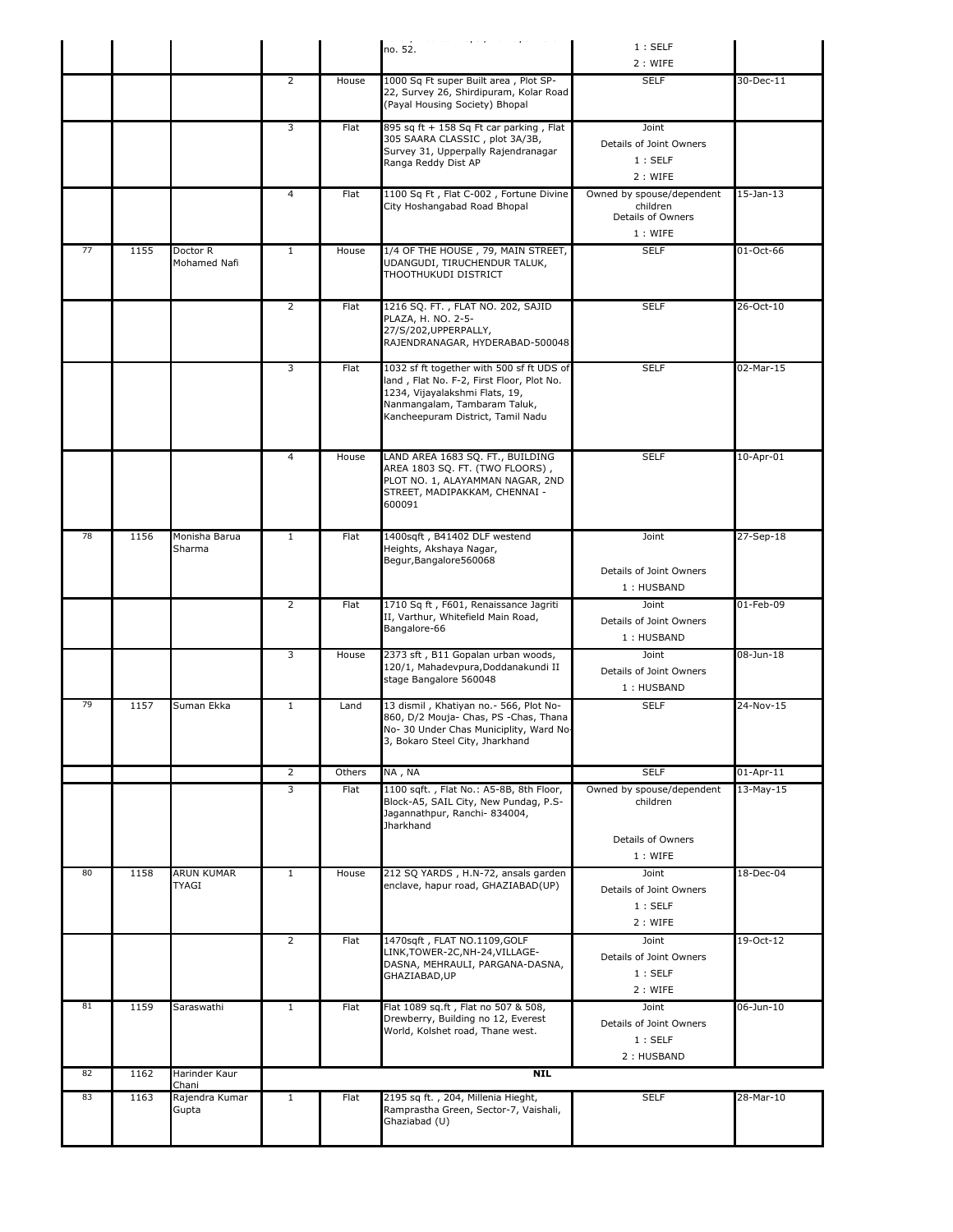|    |      |                                  |                |        | موصلات وسادي والمستوساة والمستحدث والمستد<br>no. 52.                                                                                                                                          | 1:SELF<br>2 : WIFE                                                    |                 |
|----|------|----------------------------------|----------------|--------|-----------------------------------------------------------------------------------------------------------------------------------------------------------------------------------------------|-----------------------------------------------------------------------|-----------------|
|    |      |                                  | $\overline{2}$ | House  | 1000 Sq Ft super Built area, Plot SP-<br>22, Survey 26, Shirdipuram, Kolar Road<br>(Payal Housing Society) Bhopal                                                                             | <b>SELF</b>                                                           | 30-Dec-11       |
|    |      |                                  | 3              | Flat   | 895 sq ft + 158 Sq Ft car parking, Flat<br>305 SAARA CLASSIC, plot 3A/3B,<br>Survey 31, Upperpally Rajendranagar<br>Ranga Reddy Dist AP                                                       | Joint<br>Details of Joint Owners<br>1:SELF<br>2 : WIFE                |                 |
|    |      |                                  | 4              | Flat   | 1100 Sq Ft, Flat C-002, Fortune Divine<br>City Hoshangabad Road Bhopal                                                                                                                        | Owned by spouse/dependent<br>children<br>Details of Owners<br>1: WIFE | $15$ -Jan- $13$ |
| 77 | 1155 | Doctor R<br>Mohamed Nafi         | $\mathbf{1}$   | House  | 1/4 OF THE HOUSE, 79, MAIN STREET,<br>UDANGUDI, TIRUCHENDUR TALUK,<br>THOOTHUKUDI DISTRICT                                                                                                    | <b>SELF</b>                                                           | 01-Oct-66       |
|    |      |                                  | $\overline{2}$ | Flat   | 1216 SQ. FT. , FLAT NO. 202, SAJID<br>PLAZA, H. NO. 2-5-<br>27/S/202, UPPERPALLY,<br>RAJENDRANAGAR, HYDERABAD-500048                                                                          | <b>SELF</b>                                                           | 26-Oct-10       |
|    |      |                                  | 3              | Flat   | 1032 sf ft together with 500 sf ft UDS of<br>land, Flat No. F-2, First Floor, Plot No.<br>1234, Vijayalakshmi Flats, 19,<br>Nanmangalam, Tambaram Taluk,<br>Kancheepuram District, Tamil Nadu | <b>SELF</b>                                                           | 02-Mar-15       |
|    |      |                                  | 4              | House  | LAND AREA 1683 SQ. FT., BUILDING<br>AREA 1803 SQ. FT. (TWO FLOORS),<br>PLOT NO. 1, ALAYAMMAN NAGAR, 2ND<br>STREET, MADIPAKKAM, CHENNAI -<br>600091                                            | <b>SELF</b>                                                           | 10-Apr-01       |
| 78 | 1156 | Monisha Barua<br>Sharma          | $\mathbf{1}$   | Flat   | 1400sqft, B41402 DLF westend<br>Heights, Akshaya Nagar,<br>Begur, Bangalore 560068                                                                                                            | Joint<br>Details of Joint Owners<br>1: HUSBAND                        | 27-Sep-18       |
|    |      |                                  | $\overline{2}$ | Flat   | 1710 Sq ft, F601, Renaissance Jagriti<br>II, Varthur, Whitefield Main Road,<br>Bangalore-66                                                                                                   | Joint<br>Details of Joint Owners<br>1: HUSBAND                        | 01-Feb-09       |
|    |      |                                  | 3              | House  | 2373 sft, B11 Gopalan urban woods,<br>120/1, Mahadevpura, Doddanakundi II<br>stage Bangalore 560048                                                                                           | Joint<br>Details of Joint Owners<br>1: HUSBAND                        | 08-Jun-18       |
| 79 | 1157 | Suman Ekka                       | $\mathbf{1}$   | Land   | 13 dismil, Khatiyan no.- 566, Plot No-<br>860, D/2 Mouja- Chas, PS -Chas, Thana<br>No- 30 Under Chas Municiplity, Ward No-<br>3, Bokaro Steel City, Jharkhand                                 | <b>SELF</b>                                                           | 24-Nov-15       |
|    |      |                                  | $\overline{2}$ | Others | NA, NA                                                                                                                                                                                        | <b>SELF</b>                                                           | $01-Apr-11$     |
|    |      |                                  | 3              | Flat   | 1100 sqft., Flat No.: A5-8B, 8th Floor,<br>Block-A5, SAIL City, New Pundag, P.S-<br>Jagannathpur, Ranchi- 834004,<br>Jharkhand                                                                | Owned by spouse/dependent<br>children<br>Details of Owners            | 13-May-15       |
|    |      |                                  |                |        |                                                                                                                                                                                               | 1: WIFE                                                               |                 |
| 80 | 1158 | ARUN KUMAR<br><b>TYAGI</b>       | $\mathbf{1}$   | House  | 212 SQ YARDS, H.N-72, ansals garden<br>enclave, hapur road, GHAZIABAD(UP)                                                                                                                     | Joint<br>Details of Joint Owners<br>1:SELF<br>2: WIFE                 | 18-Dec-04       |
|    |      |                                  | $\overline{2}$ | Flat   | 1470sqft, FLAT NO.1109, GOLF<br>LINK,TOWER-2C,NH-24,VILLAGE-<br>DASNA, MEHRAULI, PARGANA-DASNA,<br>GHAZIABAD,UP                                                                               | Joint<br>Details of Joint Owners<br>1:SELF<br>2 : WIFE                | 19-Oct-12       |
| 81 | 1159 | Saraswathi                       | $\mathbf{1}$   | Flat   | Flat 1089 sq.ft, Flat no 507 & 508,<br>Drewberry, Building no 12, Everest<br>World, Kolshet road, Thane west.                                                                                 | Joint<br>Details of Joint Owners<br>1:SELF<br>2: HUSBAND              | 06-Jun-10       |
| 82 | 1162 | Harinder Kaur                    |                |        | <b>NIL</b>                                                                                                                                                                                    |                                                                       |                 |
| 83 | 1163 | Chani<br>Rajendra Kumar<br>Gupta | $\mathbf{1}$   | Flat   | 2195 sq ft., 204, Millenia Hieght,<br>Ramprastha Green, Sector-7, Vaishali,<br>Ghaziabad (U)                                                                                                  | <b>SELF</b>                                                           | 28-Mar-10       |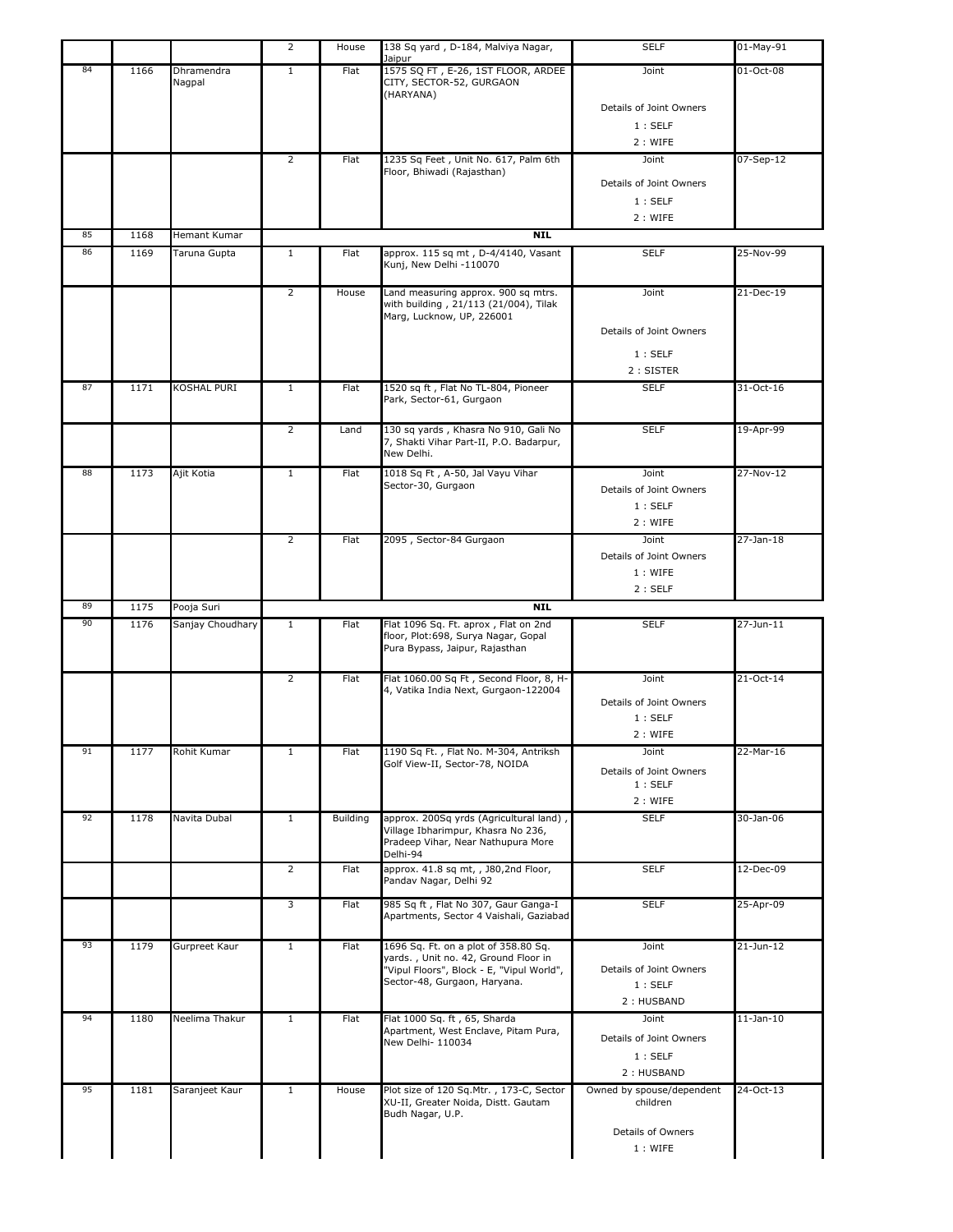|    |      |                      | 2              | House    | 138 Sq yard, D-184, Malviya Nagar,<br>Jaipur                                                                  | <b>SELF</b>                       | 01-May-91       |
|----|------|----------------------|----------------|----------|---------------------------------------------------------------------------------------------------------------|-----------------------------------|-----------------|
| 84 | 1166 | Dhramendra<br>Nagpal | $\mathbf{1}$   | Flat     | 1575 SQ FT, E-26, 1ST FLOOR, ARDEE<br>CITY, SECTOR-52, GURGAON<br>(HARYANA)                                   | Joint                             | 01-Oct-08       |
|    |      |                      |                |          |                                                                                                               | Details of Joint Owners           |                 |
|    |      |                      |                |          |                                                                                                               | 1:SELF                            |                 |
|    |      |                      |                |          |                                                                                                               | 2: WIFE                           |                 |
|    |      |                      | $\overline{2}$ | Flat     | 1235 Sq Feet, Unit No. 617, Palm 6th                                                                          | Joint                             | 07-Sep-12       |
|    |      |                      |                |          | Floor, Bhiwadi (Rajasthan)                                                                                    | Details of Joint Owners           |                 |
|    |      |                      |                |          |                                                                                                               | 1:SELF                            |                 |
|    |      |                      |                |          |                                                                                                               | 2: WIFE                           |                 |
| 85 | 1168 | Hemant Kumar         |                |          | <b>NIL</b>                                                                                                    |                                   |                 |
| 86 | 1169 | Taruna Gupta         | $\mathbf{1}$   | Flat     | approx. 115 sq mt, D-4/4140, Vasant                                                                           | <b>SELF</b>                       | 25-Nov-99       |
|    |      |                      |                |          | Kunj, New Delhi -110070                                                                                       |                                   |                 |
|    |      |                      | $\overline{2}$ | House    | Land measuring approx. 900 sq mtrs.<br>with building, 21/113 (21/004), Tilak                                  | Joint                             | 21-Dec-19       |
|    |      |                      |                |          | Marg, Lucknow, UP, 226001                                                                                     |                                   |                 |
|    |      |                      |                |          |                                                                                                               | Details of Joint Owners           |                 |
|    |      |                      |                |          |                                                                                                               | 1:SELF                            |                 |
|    |      |                      |                |          |                                                                                                               | 2: SISTER                         |                 |
| 87 | 1171 | KOSHAL PURI          | $\mathbf{1}$   | Flat     | 1520 sq ft, Flat No TL-804, Pioneer<br>Park, Sector-61, Gurgaon                                               | <b>SELF</b>                       | 31-Oct-16       |
|    |      |                      | $\overline{2}$ | Land     | 130 sq yards, Khasra No 910, Gali No                                                                          | <b>SELF</b>                       | 19-Apr-99       |
|    |      |                      |                |          | 7, Shakti Vihar Part-II, P.O. Badarpur,<br>New Delhi.                                                         |                                   |                 |
| 88 | 1173 | Ajit Kotia           | $\mathbf{1}$   | Flat     | 1018 Sq Ft, A-50, Jal Vayu Vihar                                                                              | Joint                             | 27-Nov-12       |
|    |      |                      |                |          | Sector-30, Gurgaon                                                                                            | Details of Joint Owners           |                 |
|    |      |                      |                |          |                                                                                                               | 1:SELF                            |                 |
|    |      |                      |                |          |                                                                                                               | 2: WIFE                           |                 |
|    |      |                      | $\overline{2}$ | Flat     | 2095, Sector-84 Gurgaon                                                                                       | Joint                             | 27-Jan-18       |
|    |      |                      |                |          |                                                                                                               | Details of Joint Owners           |                 |
|    |      |                      |                |          |                                                                                                               | 1: WIFE                           |                 |
|    |      |                      |                |          |                                                                                                               | 2:SELF                            |                 |
| 89 | 1175 | Pooja Suri           |                |          | <b>NIL</b>                                                                                                    |                                   |                 |
|    |      |                      |                |          |                                                                                                               |                                   |                 |
| 90 | 1176 | Sanjay Choudhary     | $\mathbf{1}$   | Flat     | Flat 1096 Sq. Ft. aprox, Flat on 2nd<br>floor, Plot:698, Surya Nagar, Gopal<br>Pura Bypass, Jaipur, Rajasthan | <b>SELF</b>                       | 27-Jun-11       |
|    |      |                      | $\overline{2}$ | Flat     | Flat 1060.00 Sq Ft, Second Floor, 8, H-                                                                       | Joint                             | 21-Oct-14       |
|    |      |                      |                |          | 4, Vatika India Next, Gurgaon-122004                                                                          |                                   |                 |
|    |      |                      |                |          |                                                                                                               | Details of Joint Owners           |                 |
|    |      |                      |                |          |                                                                                                               | 1:SELF<br>2: WIFE                 |                 |
| 91 | 1177 | Rohit Kumar          | $\mathbf{1}$   | Flat     | 1190 Sq Ft., Flat No. M-304, Antriksh                                                                         | Joint                             | 22-Mar-16       |
|    |      |                      |                |          | Golf View-II, Sector-78, NOIDA                                                                                |                                   |                 |
|    |      |                      |                |          |                                                                                                               | Details of Joint Owners<br>1:SELF |                 |
|    |      |                      |                |          |                                                                                                               | 2 : WIFE                          |                 |
| 92 | 1178 | Navita Dubal         | $\mathbf{1}$   | Building | approx. 200Sq yrds (Agricultural land),                                                                       | <b>SELF</b>                       | 30-Jan-06       |
|    |      |                      |                |          | Village Ibharimpur, Khasra No 236,<br>Pradeep Vihar, Near Nathupura More                                      |                                   |                 |
|    |      |                      |                |          | Delhi-94                                                                                                      |                                   |                 |
|    |      |                      | $\overline{2}$ | Flat     | approx. 41.8 sq mt, , J80,2nd Floor,<br>Pandav Nagar, Delhi 92                                                | <b>SELF</b>                       | 12-Dec-09       |
|    |      |                      | 3              | Flat     | 985 Sq ft, Flat No 307, Gaur Ganga-I                                                                          | <b>SELF</b>                       | 25-Apr-09       |
|    |      |                      |                |          | Apartments, Sector 4 Vaishali, Gaziabad                                                                       |                                   |                 |
| 93 | 1179 | Gurpreet Kaur        | $\mathbf{1}$   | Flat     | 1696 Sq. Ft. on a plot of 358.80 Sq.                                                                          | Joint                             | 21-Jun-12       |
|    |      |                      |                |          | yards., Unit no. 42, Ground Floor in<br>"Vipul Floors", Block - E, "Vipul World",                             | Details of Joint Owners           |                 |
|    |      |                      |                |          | Sector-48, Gurgaon, Haryana.                                                                                  | 1:SELF                            |                 |
|    |      |                      |                |          |                                                                                                               | 2: HUSBAND                        |                 |
| 94 | 1180 | Neelima Thakur       | $\mathbf{1}$   | Flat     | Flat 1000 Sq. ft, 65, Sharda                                                                                  | Joint                             | $11$ -Jan- $10$ |
|    |      |                      |                |          | Apartment, West Enclave, Pitam Pura,                                                                          | Details of Joint Owners           |                 |
|    |      |                      |                |          | New Delhi- 110034                                                                                             | 1:SELF                            |                 |
|    |      |                      |                |          |                                                                                                               | 2: HUSBAND                        |                 |
| 95 | 1181 | Saranjeet Kaur       | $\mathbf{1}$   | House    | Plot size of 120 Sq.Mtr., 173-C, Sector                                                                       | Owned by spouse/dependent         | 24-Oct-13       |
|    |      |                      |                |          | XU-II, Greater Noida, Distt. Gautam                                                                           | children                          |                 |
|    |      |                      |                |          | Budh Nagar, U.P.                                                                                              |                                   |                 |
|    |      |                      |                |          |                                                                                                               | Details of Owners<br>1: WIFE      |                 |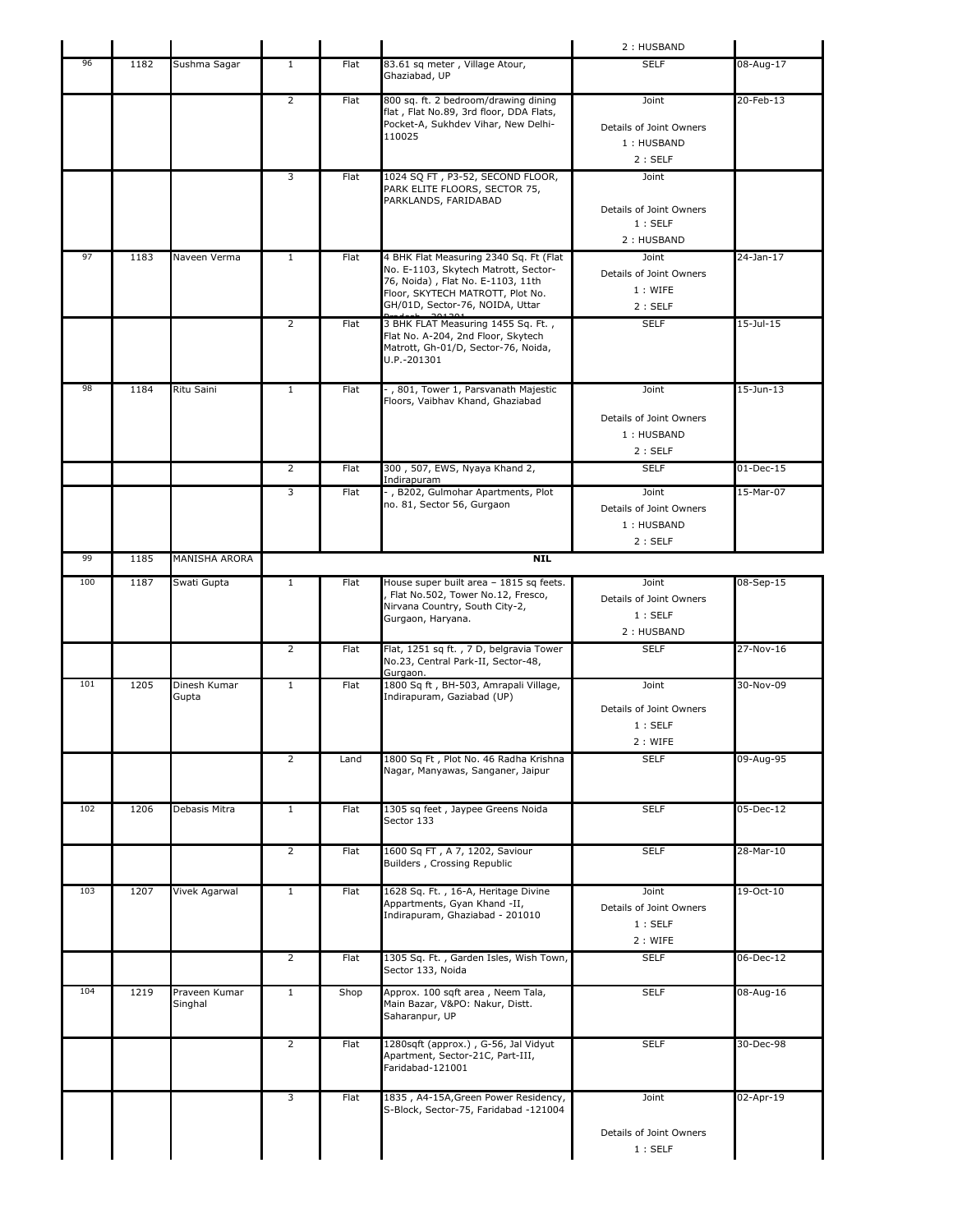|     |      |                          |                |      |                                                                                                                                                                                            | 2: HUSBAND                                               |                 |
|-----|------|--------------------------|----------------|------|--------------------------------------------------------------------------------------------------------------------------------------------------------------------------------------------|----------------------------------------------------------|-----------------|
| 96  | 1182 | Sushma Sagar             | 1              | Flat | 83.61 sq meter, Village Atour,<br>Ghaziabad, UP                                                                                                                                            | <b>SELF</b>                                              | 08-Aug-17       |
|     |      |                          | $\overline{2}$ | Flat | 800 sq. ft. 2 bedroom/drawing dining<br>flat, Flat No.89, 3rd floor, DDA Flats,<br>Pocket-A, Sukhdev Vihar, New Delhi-<br>110025                                                           | Joint<br>Details of Joint Owners<br>1: HUSBAND<br>2:SELF | 20-Feb-13       |
|     |      |                          | 3              | Flat | 1024 SQ FT, P3-52, SECOND FLOOR,<br>PARK ELITE FLOORS, SECTOR 75,<br>PARKLANDS, FARIDABAD                                                                                                  | Joint<br>Details of Joint Owners<br>1:SELF<br>2: HUSBAND |                 |
| 97  | 1183 | Naveen Verma             | $\mathbf{1}$   | Flat | 4 BHK Flat Measuring 2340 Sq. Ft (Flat<br>No. E-1103, Skytech Matrott, Sector-<br>76, Noida), Flat No. E-1103, 11th<br>Floor, SKYTECH MATROTT, Plot No.<br>GH/01D, Sector-76, NOIDA, Uttar | Joint<br>Details of Joint Owners<br>1: WIFE<br>2:SELF    | 24-Jan-17       |
|     |      |                          | $\overline{2}$ | Flat | 3 BHK FLAT Measuring 1455 Sq. Ft.,<br>Flat No. A-204, 2nd Floor, Skytech<br>Matrott, Gh-01/D, Sector-76, Noida,<br>U.P.-201301                                                             | <b>SELF</b>                                              | $15$ -Jul- $15$ |
| 98  | 1184 | Ritu Saini               | $\mathbf{1}$   | Flat | -, 801, Tower 1, Parsvanath Majestic<br>Floors, Vaibhav Khand, Ghaziabad                                                                                                                   | Joint<br>Details of Joint Owners<br>1: HUSBAND<br>2:SELF | 15-Jun-13       |
|     |      |                          | $\overline{2}$ | Flat | 300, 507, EWS, Nyaya Khand 2,<br>Indirapuram                                                                                                                                               | <b>SELF</b>                                              | $01$ -Dec-15    |
|     |      |                          | 3              | Flat | -, B202, Gulmohar Apartments, Plot<br>no. 81, Sector 56, Gurgaon                                                                                                                           | Joint<br>Details of Joint Owners<br>1: HUSBAND<br>2:SELF | 15-Mar-07       |
| 99  | 1185 | MANISHA ARORA            |                |      | <b>NIL</b>                                                                                                                                                                                 |                                                          |                 |
| 100 | 1187 | Swati Gupta              | $\mathbf{1}$   | Flat | House super built area - 1815 sq feets.<br>Flat No.502, Tower No.12, Fresco,<br>Nirvana Country, South City-2,<br>Gurgaon, Haryana.                                                        | Joint<br>Details of Joint Owners<br>1:SELF<br>2: HUSBAND | 08-Sep-15       |
|     |      |                          | $\overline{2}$ | Flat | Flat, 1251 sq ft., 7 D, belgravia Tower<br>No.23, Central Park-II, Sector-48,                                                                                                              | <b>SELF</b>                                              | 27-Nov-16       |
| 101 | 1205 | Dinesh Kumar<br>Gupta    | $\mathbf{1}$   | Flat | Gurgaon.<br>1800 Sq ft, BH-503, Amrapali Village,<br>Indirapuram, Gaziabad (UP)                                                                                                            | Joint<br>Details of Joint Owners<br>1 : SELF<br>2 : WIFE | 30-Nov-09       |
|     |      |                          | $\overline{2}$ | Land | 1800 Sq Ft, Plot No. 46 Radha Krishna<br>Nagar, Manyawas, Sanganer, Jaipur                                                                                                                 | <b>SELF</b>                                              | 09-Aug-95       |
| 102 | 1206 | Debasis Mitra            | $\mathbf{1}$   | Flat | 1305 sq feet, Jaypee Greens Noida<br>Sector 133                                                                                                                                            | <b>SELF</b>                                              | $05$ -Dec-12    |
|     |      |                          | $\overline{2}$ | Flat | 1600 Sq FT, A 7, 1202, Saviour<br>Builders, Crossing Republic                                                                                                                              | <b>SELF</b>                                              | 28-Mar-10       |
| 103 | 1207 | Vivek Agarwal            | $\mathbf{1}$   | Flat | 1628 Sq. Ft., 16-A, Heritage Divine<br>Appartments, Gyan Khand -II,<br>Indirapuram, Ghaziabad - 201010                                                                                     | Joint<br>Details of Joint Owners<br>1:SELF<br>2 : WIFE   | 19-Oct-10       |
|     |      |                          | $\overline{2}$ | Flat | 1305 Sq. Ft., Garden Isles, Wish Town,<br>Sector 133, Noida                                                                                                                                | <b>SELF</b>                                              | 06-Dec-12       |
| 104 | 1219 | Praveen Kumar<br>Singhal | $\mathbf{1}$   | Shop | Approx. 100 sqft area, Neem Tala,<br>Main Bazar, V&PO: Nakur, Distt.<br>Saharanpur, UP                                                                                                     | <b>SELF</b>                                              | 08-Aug-16       |
|     |      |                          | 2              | Flat | 1280sqft (approx.), G-56, Jal Vidyut<br>Apartment, Sector-21C, Part-III,<br>Faridabad-121001                                                                                               | <b>SELF</b>                                              | 30-Dec-98       |
|     |      |                          | 3              | Flat | 1835, A4-15A, Green Power Residency,<br>S-Block, Sector-75, Faridabad -121004                                                                                                              | Joint<br>Details of Joint Owners<br>1:SELF               | 02-Apr-19       |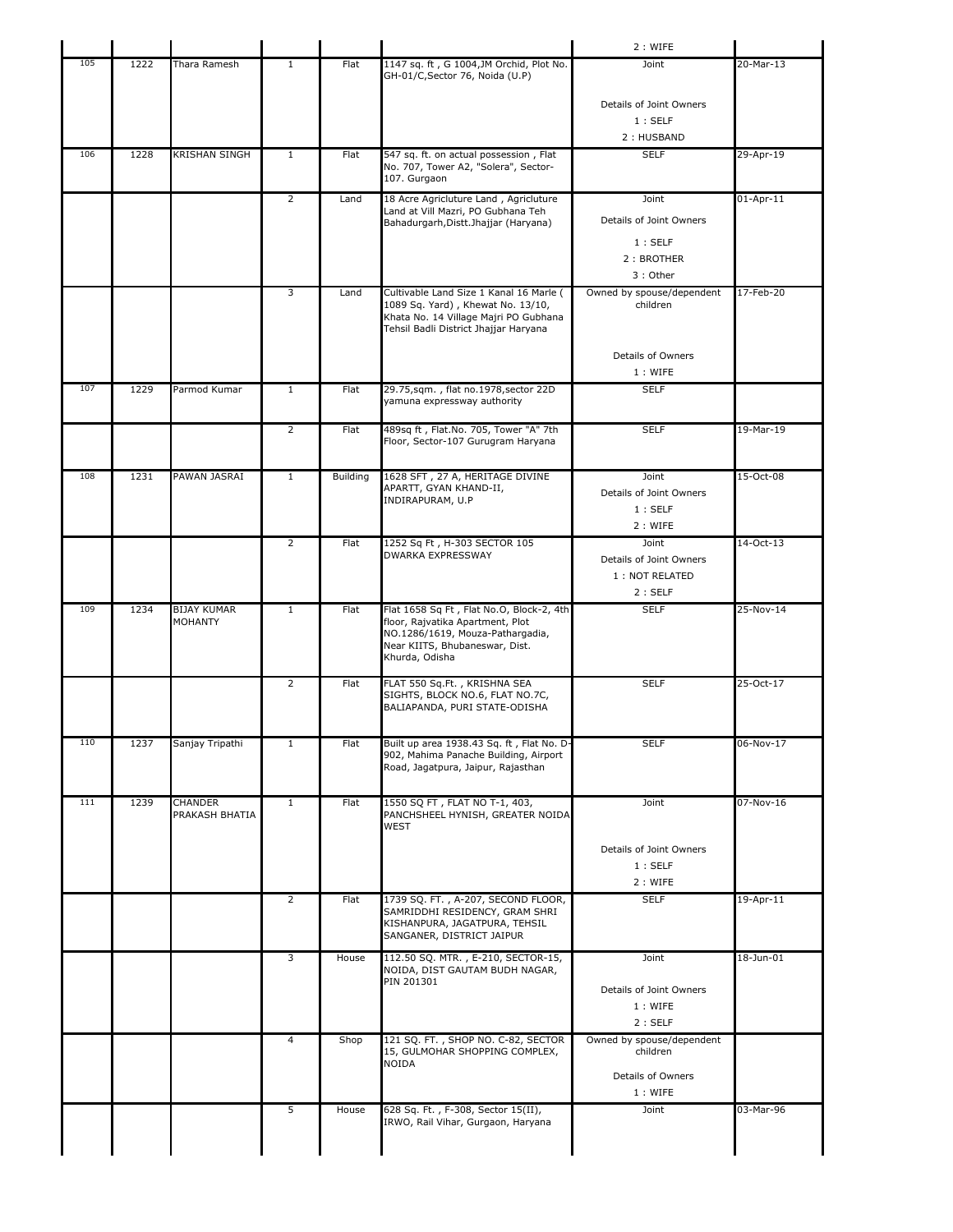|     |      |                    |                |                 |                                                                                    | 2 : WIFE                              |                 |
|-----|------|--------------------|----------------|-----------------|------------------------------------------------------------------------------------|---------------------------------------|-----------------|
| 105 | 1222 | Thara Ramesh       | $\mathbf{1}$   | Flat            | 1147 sq. ft, G 1004, JM Orchid, Plot No.<br>GH-01/C, Sector 76, Noida (U.P)        | Joint                                 | 20-Mar-13       |
|     |      |                    |                |                 |                                                                                    |                                       |                 |
|     |      |                    |                |                 |                                                                                    | Details of Joint Owners<br>1:SELF     |                 |
|     |      |                    |                |                 |                                                                                    | 2: HUSBAND                            |                 |
| 106 | 1228 | KRISHAN SINGH      | 1              | Flat            | 547 sq. ft. on actual possession, Flat                                             | <b>SELF</b>                           | 29-Apr-19       |
|     |      |                    |                |                 | No. 707, Tower A2, "Solera", Sector-<br>107. Gurgaon                               |                                       |                 |
|     |      |                    | $\overline{2}$ | Land            | 18 Acre Agricluture Land, Agricluture                                              | Joint                                 | $01$ -Apr-11    |
|     |      |                    |                |                 | Land at Vill Mazri, PO Gubhana Teh<br>Bahadurgarh, Distt. Jhajjar (Haryana)        | Details of Joint Owners               |                 |
|     |      |                    |                |                 |                                                                                    | 1:SELF                                |                 |
|     |      |                    |                |                 |                                                                                    | 2: BROTHER                            |                 |
|     |      |                    |                |                 |                                                                                    | 3: Other                              |                 |
|     |      |                    | 3              | Land            | Cultivable Land Size 1 Kanal 16 Marle (<br>1089 Sq. Yard), Khewat No. 13/10,       | Owned by spouse/dependent<br>children | 17-Feb-20       |
|     |      |                    |                |                 | Khata No. 14 Village Majri PO Gubhana                                              |                                       |                 |
|     |      |                    |                |                 | Tehsil Badli District Jhajjar Haryana                                              |                                       |                 |
|     |      |                    |                |                 |                                                                                    | Details of Owners                     |                 |
|     |      |                    |                |                 |                                                                                    | 1: WIFE                               |                 |
| 107 | 1229 | Parmod Kumar       | $\mathbf{1}$   | Flat            | 29.75,sqm., flat no.1978,sector 22D<br>yamuna expressway authority                 | <b>SELF</b>                           |                 |
|     |      |                    |                |                 |                                                                                    |                                       |                 |
|     |      |                    | $\overline{2}$ | Flat            | 489sq ft, Flat.No. 705, Tower "A" 7th<br>Floor, Sector-107 Gurugram Haryana        | <b>SELF</b>                           | 19-Mar-19       |
|     |      |                    |                |                 |                                                                                    |                                       |                 |
| 108 | 1231 | PAWAN JASRAI       | $\overline{1}$ | <b>Building</b> | 1628 SFT, 27 A, HERITAGE DIVINE                                                    | Joint                                 | 15-Oct-08       |
|     |      |                    |                |                 | APARTT, GYAN KHAND-II,<br>INDIRAPURAM, U.P                                         | Details of Joint Owners               |                 |
|     |      |                    |                |                 |                                                                                    | 1:SELF                                |                 |
|     |      |                    |                |                 |                                                                                    | 2: WIFE                               |                 |
|     |      |                    | $\overline{2}$ | Flat            | 1252 Sq Ft, H-303 SECTOR 105<br><b>DWARKA EXPRESSWAY</b>                           | Joint<br>Details of Joint Owners      | 14-Oct-13       |
|     |      |                    |                |                 |                                                                                    | 1 : NOT RELATED                       |                 |
|     |      |                    |                |                 |                                                                                    | 2:SELF                                |                 |
| 109 | 1234 | <b>BIJAY KUMAR</b> | $\mathbf{1}$   | Flat            | Flat 1658 Sq Ft, Flat No.O, Block-2, 4th                                           | <b>SELF</b>                           | 25-Nov-14       |
|     |      | MOHANTY            |                |                 | floor, Rajvatika Apartment, Plot<br>NO.1286/1619, Mouza-Pathargadia,               |                                       |                 |
|     |      |                    |                |                 | Near KIITS, Bhubaneswar, Dist.<br>Khurda, Odisha                                   |                                       |                 |
|     |      |                    |                |                 |                                                                                    |                                       |                 |
|     |      |                    | $\overline{2}$ | Flat            | FLAT 550 Sq.Ft., KRISHNA SEA<br>SIGHTS, BLOCK NO.6, FLAT NO.7C,                    | <b>SELF</b>                           | 25-Oct-17       |
|     |      |                    |                |                 | BALIAPANDA, PURI STATE-ODISHA                                                      |                                       |                 |
|     |      |                    |                |                 |                                                                                    |                                       |                 |
| 110 | 1237 | Sanjay Tripathi    |                | Flat            | Built up area 1938.43 Sq. ft, Flat No. D-<br>902, Mahima Panache Building, Airport | <b>SELF</b>                           | 06-Nov-17       |
|     |      |                    |                |                 | Road, Jagatpura, Jaipur, Rajasthan                                                 |                                       |                 |
| 111 | 1239 | <b>CHANDER</b>     | $\mathbf{1}$   | Flat            | 1550 SQ FT, FLAT NO T-1, 403,                                                      |                                       |                 |
|     |      | PRAKASH BHATIA     |                |                 | PANCHSHEEL HYNISH, GREATER NOIDA                                                   | Joint                                 | 07-Nov-16       |
|     |      |                    |                |                 | <b>WEST</b>                                                                        |                                       |                 |
|     |      |                    |                |                 |                                                                                    | Details of Joint Owners               |                 |
|     |      |                    |                |                 |                                                                                    | 1:SELF                                |                 |
|     |      |                    | $\overline{2}$ | Flat            | 1739 SQ. FT., A-207, SECOND FLOOR,                                                 | 2: WIFE<br><b>SELF</b>                | $19 - Apr - 11$ |
|     |      |                    |                |                 | SAMRIDDHI RESIDENCY, GRAM SHRI                                                     |                                       |                 |
|     |      |                    |                |                 | KISHANPURA, JAGATPURA, TEHSIL<br>SANGANER, DISTRICT JAIPUR                         |                                       |                 |
|     |      |                    | 3              | House           | 112.50 SQ. MTR., E-210, SECTOR-15,                                                 | Joint                                 | 18-Jun-01       |
|     |      |                    |                |                 | NOIDA, DIST GAUTAM BUDH NAGAR,                                                     |                                       |                 |
|     |      |                    |                |                 | PIN 201301                                                                         | Details of Joint Owners               |                 |
|     |      |                    |                |                 |                                                                                    | 1: WIFE                               |                 |
|     |      |                    | $\overline{4}$ |                 | 121 SQ. FT., SHOP NO. C-82, SECTOR                                                 | 2:SELF                                |                 |
|     |      |                    |                | Shop            | 15, GULMOHAR SHOPPING COMPLEX,                                                     | Owned by spouse/dependent<br>children |                 |
|     |      |                    |                |                 | NOIDA                                                                              | Details of Owners                     |                 |
|     |      |                    |                |                 |                                                                                    | 1: WIFE                               |                 |
|     |      |                    |                |                 |                                                                                    |                                       |                 |
|     |      |                    | 5              | House           | 628 Sq. Ft., F-308, Sector 15(II),<br>IRWO, Rail Vihar, Gurgaon, Haryana           | Joint                                 | 03-Mar-96       |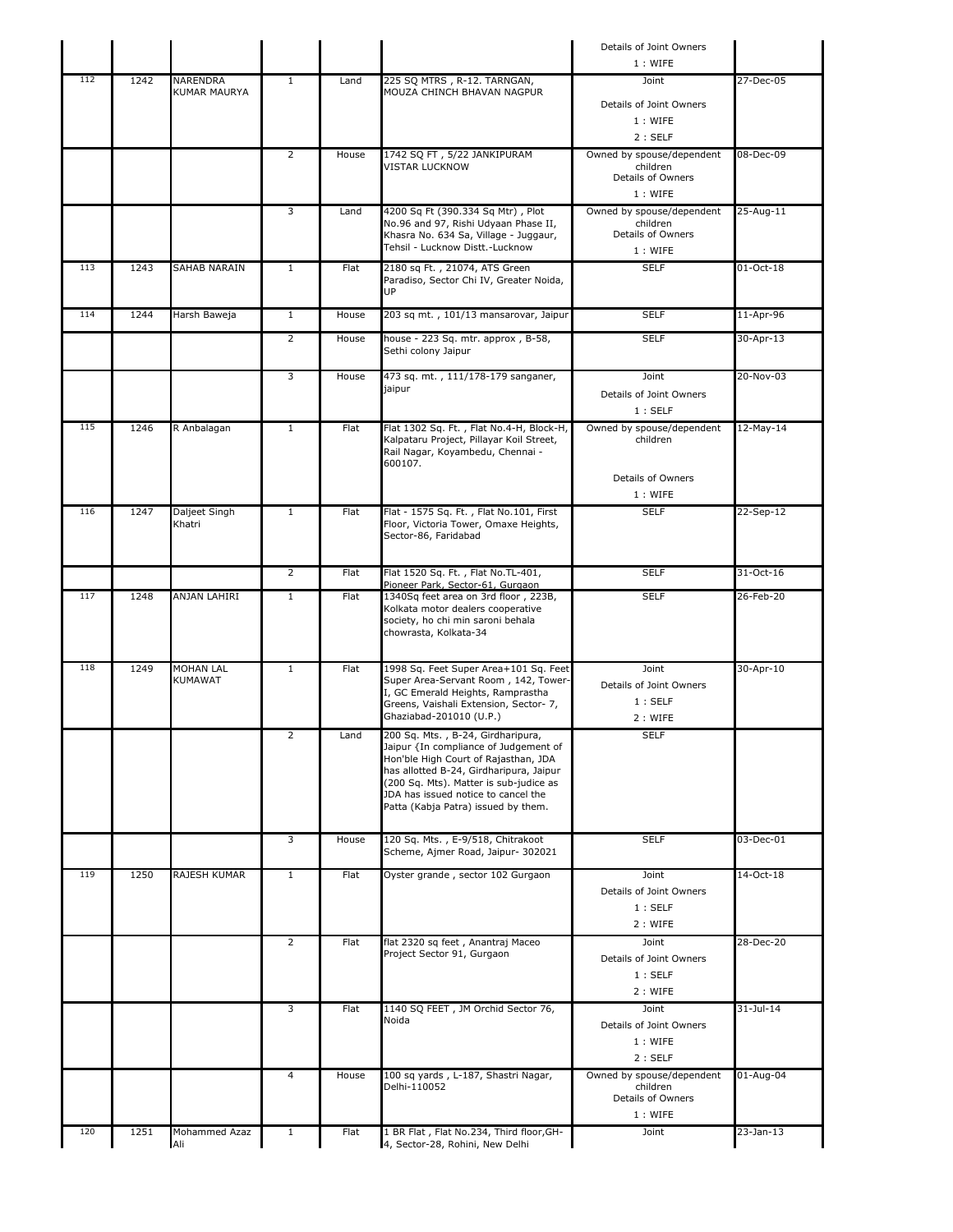|     |      |                             |                |       |                                                                                      | Details of Joint Owners<br>1: WIFE    |               |
|-----|------|-----------------------------|----------------|-------|--------------------------------------------------------------------------------------|---------------------------------------|---------------|
| 112 | 1242 | NARENDRA                    | $\mathbf{1}$   | Land  | 225 SQ MTRS, R-12. TARNGAN,                                                          | Joint                                 | 27-Dec-05     |
|     |      | <b>KUMAR MAURYA</b>         |                |       | MOUZA CHINCH BHAVAN NAGPUR                                                           |                                       |               |
|     |      |                             |                |       |                                                                                      | Details of Joint Owners               |               |
|     |      |                             |                |       |                                                                                      | 1: WIFE                               |               |
|     |      |                             |                |       |                                                                                      | 2:SELF                                |               |
|     |      |                             | $\overline{2}$ | House | 1742 SQ FT, 5/22 JANKIPURAM<br><b>VISTAR LUCKNOW</b>                                 | Owned by spouse/dependent<br>children | 08-Dec-09     |
|     |      |                             |                |       |                                                                                      | Details of Owners                     |               |
|     |      |                             |                |       |                                                                                      | 1: WIFE                               |               |
|     |      |                             | 3              | Land  | 4200 Sq Ft (390.334 Sq Mtr), Plot<br>No.96 and 97, Rishi Udyaan Phase II,            | Owned by spouse/dependent<br>children | 25-Aug-11     |
|     |      |                             |                |       | Khasra No. 634 Sa, Village - Juggaur,                                                | Details of Owners                     |               |
|     |      |                             |                |       | Tehsil - Lucknow Distt.-Lucknow                                                      | 1: WIFE                               |               |
| 113 | 1243 | SAHAB NARAIN                | $\mathbf{1}$   | Flat  | 2180 sq Ft., 21074, ATS Green                                                        | <b>SELF</b>                           | 01-Oct-18     |
|     |      |                             |                |       | Paradiso, Sector Chi IV, Greater Noida,<br>UP                                        |                                       |               |
| 114 | 1244 | Harsh Baweja                | $\mathbf{1}$   | House | 203 sq mt., 101/13 mansarovar, Jaipur                                                | <b>SELF</b>                           | 11-Apr-96     |
|     |      |                             |                |       |                                                                                      |                                       |               |
|     |      |                             | $\overline{2}$ | House | house - 223 Sq. mtr. approx, B-58,<br>Sethi colony Jaipur                            | <b>SELF</b>                           | 30-Apr-13     |
|     |      |                             |                |       |                                                                                      |                                       |               |
|     |      |                             | 3              | House | 473 sq. mt., 111/178-179 sanganer,                                                   | Joint                                 | 20-Nov-03     |
|     |      |                             |                |       | jaipur                                                                               | Details of Joint Owners               |               |
|     |      |                             |                |       |                                                                                      | 1:SELF                                |               |
| 115 | 1246 | R Anbalagan                 | $\mathbf{1}$   | Flat  | Flat 1302 Sq. Ft., Flat No.4-H, Block-H,<br>Kalpataru Project, Pillayar Koil Street, | Owned by spouse/dependent<br>children | 12-May-14     |
|     |      |                             |                |       | Rail Nagar, Koyambedu, Chennai -                                                     |                                       |               |
|     |      |                             |                |       | 600107.                                                                              |                                       |               |
|     |      |                             |                |       |                                                                                      | Details of Owners<br>1: WIFE          |               |
| 116 | 1247 | Daljeet Singh               | $\mathbf{1}$   | Flat  | Flat - 1575 Sq. Ft., Flat No.101, First                                              | <b>SELF</b>                           | 22-Sep-12     |
|     |      | Khatri                      |                |       | Floor, Victoria Tower, Omaxe Heights,                                                |                                       |               |
|     |      |                             |                |       | Sector-86, Faridabad                                                                 |                                       |               |
|     |      |                             |                |       |                                                                                      |                                       |               |
|     |      |                             | $\overline{2}$ | Flat  | Flat 1520 Sq. Ft., Flat No.TL-401,<br>Pioneer Park, Sector-61, Gurgaon               | <b>SELF</b>                           | 31-Oct-16     |
| 117 | 1248 | ANJAN LAHIRI                | $\mathbf{1}$   | Flat  | 1340Sq feet area on 3rd floor, 223B,                                                 | <b>SELF</b>                           | 26-Feb-20     |
|     |      |                             |                |       | Kolkata motor dealers cooperative<br>society, ho chi min saroni behala               |                                       |               |
|     |      |                             |                |       | chowrasta, Kolkata-34                                                                |                                       |               |
|     |      |                             |                |       |                                                                                      |                                       |               |
| 118 | 1249 | MOHAN LAL                   | $\mathbf{1}$   | Flat  | 1998 Sq. Feet Super Area+101 Sq. Feet                                                | Joint                                 | 30-Apr-10     |
|     |      | <b>KUMAWAT</b>              |                |       | Super Area-Servant Room, 142, Tower-<br>I, GC Emerald Heights, Ramprastha            | Details of Joint Owners               |               |
|     |      |                             |                |       | Greens, Vaishali Extension, Sector- 7,                                               | 1:SELF                                |               |
|     |      |                             |                |       | Ghaziabad-201010 (U.P.)                                                              | 2: WIFE                               |               |
|     |      |                             | 2              | Land  | 200 Sq. Mts., B-24, Girdharipura,<br>Jaipur {In compliance of Judgement of           | <b>SELF</b>                           |               |
|     |      |                             |                |       | Hon'ble High Court of Rajasthan, JDA                                                 |                                       |               |
|     |      |                             |                |       | has allotted B-24, Girdharipura, Jaipur<br>(200 Sq. Mts). Matter is sub-judice as    |                                       |               |
|     |      |                             |                |       | JDA has issued notice to cancel the                                                  |                                       |               |
|     |      |                             |                |       | Patta (Kabja Patra) issued by them.                                                  |                                       |               |
|     |      |                             | 3              | House | 120 Sq. Mts., E-9/518, Chitrakoot                                                    | <b>SELF</b>                           | 03-Dec-01     |
|     |      |                             |                |       | Scheme, Ajmer Road, Jaipur- 302021                                                   |                                       |               |
| 119 | 1250 | <b>RAJESH KUMAR</b>         | $\mathbf{1}$   | Flat  | Oyster grande, sector 102 Gurgaon                                                    | Joint                                 | 14-Oct-18     |
|     |      |                             |                |       |                                                                                      | Details of Joint Owners               |               |
|     |      |                             |                |       |                                                                                      | 1:SELF                                |               |
|     |      |                             |                |       |                                                                                      | 2: WIFE                               |               |
|     |      |                             | $\overline{2}$ | Flat  | flat 2320 sq feet, Anantraj Maceo                                                    | Joint                                 | 28-Dec-20     |
|     |      |                             |                |       | Project Sector 91, Gurgaon                                                           | Details of Joint Owners               |               |
|     |      |                             |                |       |                                                                                      | 1:SELF                                |               |
|     |      |                             |                |       |                                                                                      | 2 : WIFE                              |               |
|     |      |                             | 3              | Flat  | 1140 SQ FEET, JM Orchid Sector 76,<br>Noida                                          | Joint                                 | $31 -$ Jul-14 |
|     |      |                             |                |       |                                                                                      | Details of Joint Owners<br>1: WIFE    |               |
|     |      |                             |                |       |                                                                                      | 2:SELF                                |               |
|     |      |                             | 4              | House | 100 sq yards, L-187, Shastri Nagar,                                                  | Owned by spouse/dependent             | 01-Aug-04     |
|     |      |                             |                |       | Delhi-110052                                                                         | children                              |               |
|     |      |                             |                |       |                                                                                      | Details of Owners                     |               |
| 120 |      |                             |                |       |                                                                                      | 1: WIFE                               |               |
|     | 1251 | <b>Mohammed Azaz</b><br>Ali | $\mathbf{1}$   | Flat  | 1 BR Flat, Flat No.234, Third floor, GH-<br>4, Sector-28, Rohini, New Delhi          | Joint                                 | 23-Jan-13     |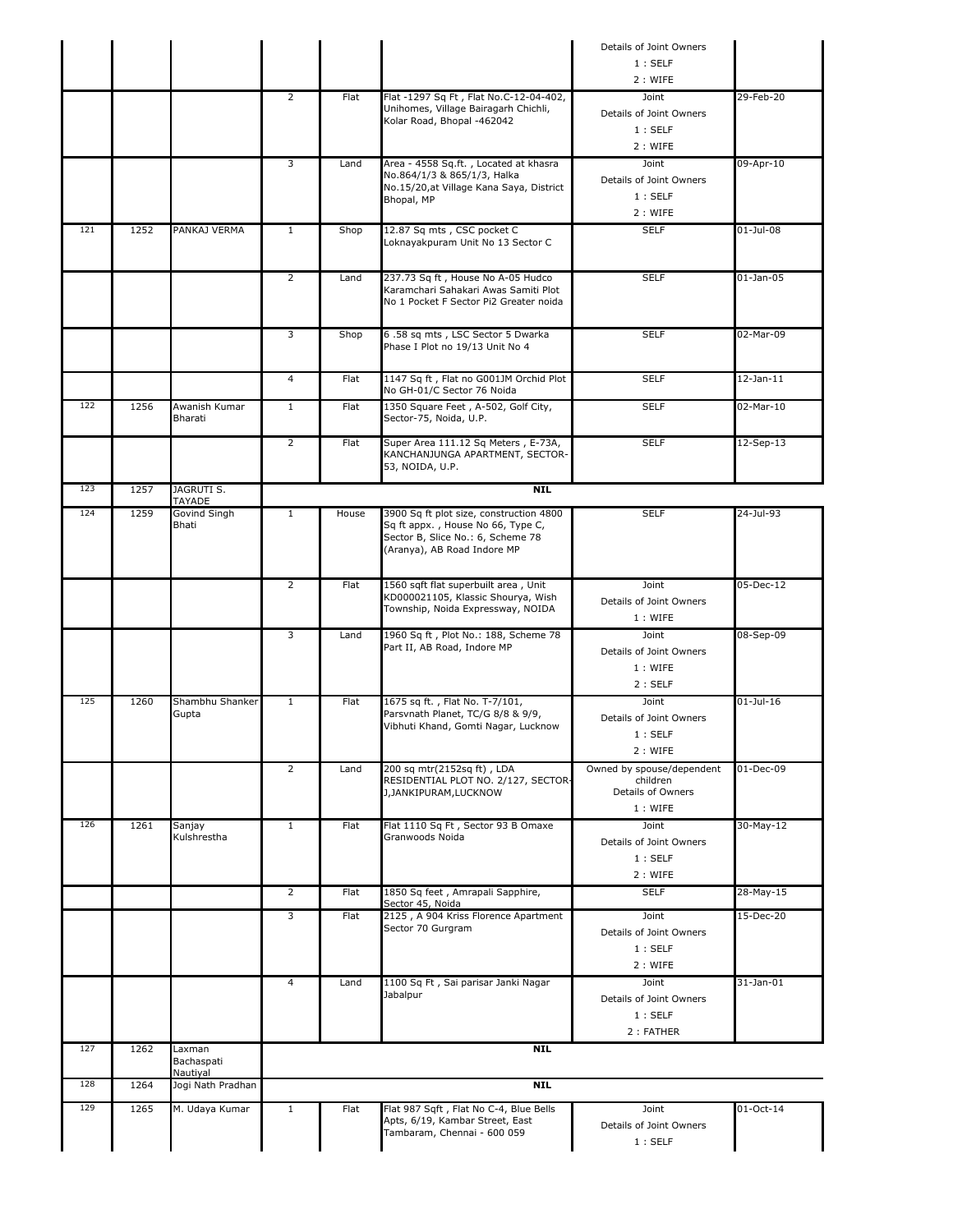| 129        | 1265 | M. Udaya Kumar              | $\mathbf{1}$   | Flat        | Flat 987 Sqft, Flat No C-4, Blue Bells<br>Apts, 6/19, Kambar Street, East<br>Tambaram, Chennai - 600 059                                         | Joint<br>Details of Joint Owners                           | 01-Oct-14       |
|------------|------|-----------------------------|----------------|-------------|--------------------------------------------------------------------------------------------------------------------------------------------------|------------------------------------------------------------|-----------------|
| 128        | 1264 | Jogi Nath Pradhan           |                |             | <b>NTL</b>                                                                                                                                       |                                                            |                 |
|            |      | Bachaspati<br>Nautiyal      |                |             |                                                                                                                                                  |                                                            |                 |
| 127        | 1262 | Laxman                      |                |             | <b>NIL</b>                                                                                                                                       | 2 : FATHER                                                 |                 |
|            |      |                             | $\overline{4}$ | Land        | 1100 Sq Ft, Sai parisar Janki Nagar<br>Jabalpur                                                                                                  | Joint<br>Details of Joint Owners<br>1:SELF                 | $31-$ Jan $-01$ |
|            |      |                             |                |             | Sector 70 Gurgram                                                                                                                                | Details of Joint Owners<br>1:SELF<br>2: WIFE               |                 |
|            |      |                             | 3              | Flat        | Sector 45, Noida<br>2125, A 904 Kriss Florence Apartment                                                                                         | Joint                                                      | 15-Dec-20       |
|            |      |                             | $\overline{2}$ | Flat        | 1850 Sq feet, Amrapali Sapphire,                                                                                                                 | 1:SELF<br>2 : WIFE<br><b>SELF</b>                          | 28-May-15       |
| 126        | 1261 | Sanjay<br>Kulshrestha       | $\mathbf{1}$   | Flat        | Flat 1110 Sq Ft, Sector 93 B Omaxe<br>Granwoods Noida                                                                                            | 1: WIFE<br>Joint<br>Details of Joint Owners                | $30-May-12$     |
|            |      |                             | $\overline{2}$ | Land        | 200 sq mtr(2152sq ft), LDA<br>RESIDENTIAL PLOT NO. 2/127, SECTOR-<br>J, JANKIPURAM, LUCKNOW                                                      | Owned by spouse/dependent<br>children<br>Details of Owners | 01-Dec-09       |
| 125        | 1260 | Shambhu Shanker<br>Gupta    | $\mathbf{1}$   | <b>Flat</b> | 1675 sq ft., Flat No. T-7/101,<br>Parsvnath Planet, TC/G 8/8 & 9/9,<br>Vibhuti Khand, Gomti Nagar, Lucknow                                       | Joint<br>Details of Joint Owners<br>1:SELF<br>2 : WIFE     | $01$ -Jul-16    |
|            |      |                             | 3              | Land        | 1960 Sq ft, Plot No.: 188, Scheme 78<br>Part II, AB Road, Indore MP                                                                              | Joint<br>Details of Joint Owners<br>1: WIFE<br>2:SELF      | 08-Sep-09       |
|            |      |                             | $\overline{2}$ | Flat        | 1560 sqft flat superbuilt area, Unit<br>KD000021105, Klassic Shourya, Wish<br>Township, Noida Expressway, NOIDA                                  | Joint<br>Details of Joint Owners<br>1: WIFE                | 05-Dec-12       |
|            | 1259 | Govind Singh<br>Bhati       | $\mathbf{1}$   | House       | 3900 Sq ft plot size, construction 4800<br>Sq ft appx., House No 66, Type C,<br>Sector B, Slice No.: 6, Scheme 78<br>(Aranya), AB Road Indore MP | <b>SELF</b>                                                | 24-Jul-93       |
| 123<br>124 | 1257 | JAGRUTI S.<br><b>TAYADE</b> |                |             | <b>NIL</b>                                                                                                                                       |                                                            |                 |
|            |      |                             | $\overline{2}$ | Flat        | Super Area 111.12 Sq Meters, E-73A,<br>KANCHANJUNGA APARTMENT, SECTOR-<br>53, NOIDA, U.P.                                                        | <b>SELF</b>                                                | 12-Sep-13       |
| 122        | 1256 | Awanish Kumar<br>Bharati    | $\mathbf{1}$   | Flat        | 1350 Square Feet, A-502, Golf City,<br>Sector-75, Noida, U.P.                                                                                    | <b>SELF</b>                                                | 02-Mar-10       |
|            |      |                             | 4              | Flat        | 1147 Sq ft, Flat no G001JM Orchid Plot<br>No GH-01/C Sector 76 Noida                                                                             | <b>SELF</b>                                                | $12$ -Jan- $11$ |
|            |      |                             | 3              | Shop        | 6.58 sq mts, LSC Sector 5 Dwarka<br>Phase I Plot no 19/13 Unit No 4                                                                              | <b>SELF</b>                                                | 02-Mar-09       |
|            |      |                             | $\overline{2}$ | Land        | 237.73 Sq ft, House No A-05 Hudco<br>Karamchari Sahakari Awas Samiti Plot<br>No 1 Pocket F Sector Pi2 Greater noida                              | <b>SELF</b>                                                | $01$ -Jan-05    |
| 121        | 1252 | PANKAJ VERMA                | $\mathbf{1}$   | Shop        | 12.87 Sq mts, CSC pocket C<br>Loknayakpuram Unit No 13 Sector C                                                                                  | <b>SELF</b>                                                | $01$ -Jul-08    |
|            |      |                             | 3              | Land        | Area - 4558 Sq.ft., Located at khasra<br>No.864/1/3 & 865/1/3, Halka<br>No.15/20, at Village Kana Saya, District<br>Bhopal, MP                   | Joint<br>Details of Joint Owners<br>1:SELF<br>2 : WIFE     | 09-Apr-10       |
|            |      |                             | $\overline{2}$ | Flat        | Flat -1297 Sq Ft, Flat No.C-12-04-402,<br>Unihomes, Village Bairagarh Chichli,<br>Kolar Road, Bhopal -462042                                     | Joint<br>Details of Joint Owners<br>1:SELF<br>2: WIFE      | 29-Feb-20       |
|            |      |                             |                |             |                                                                                                                                                  | Details of Joint Owners<br>1:SELF<br>2: WIFE               |                 |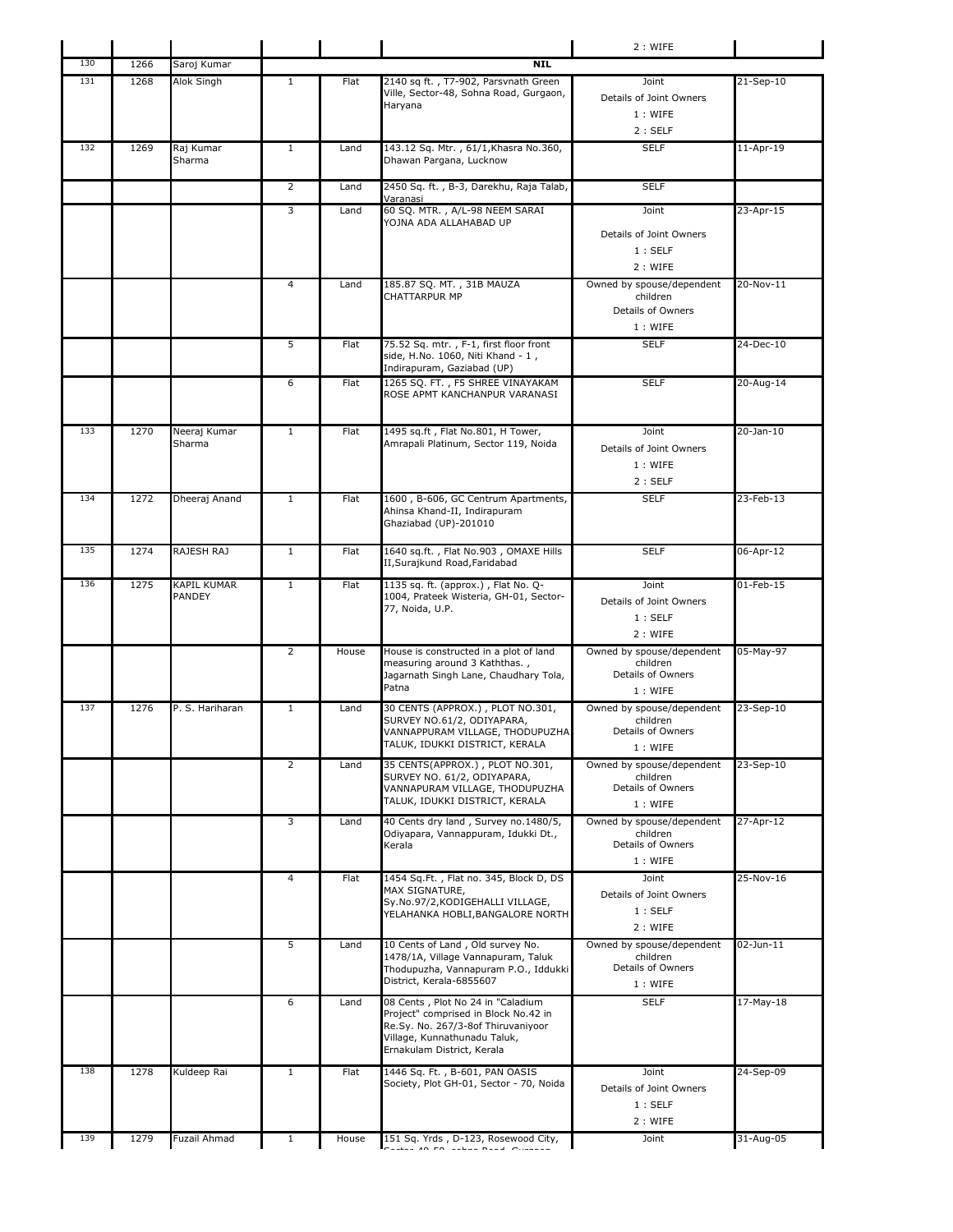|     |      |                              |                |       |                                                                                                                                                                               | 2 : WIFE                                                              |                 |
|-----|------|------------------------------|----------------|-------|-------------------------------------------------------------------------------------------------------------------------------------------------------------------------------|-----------------------------------------------------------------------|-----------------|
| 130 | 1266 | Saroj Kumar                  |                |       | <b>NIL</b>                                                                                                                                                                    |                                                                       |                 |
| 131 | 1268 | Alok Singh                   | $\mathbf{1}$   | Flat  | 2140 sq ft., T7-902, Parsvnath Green<br>Ville, Sector-48, Sohna Road, Gurgaon,<br>Haryana                                                                                     | Joint<br>Details of Joint Owners<br>1: WIFE<br>2:SELF                 | 21-Sep-10       |
| 132 | 1269 | Raj Kumar<br>Sharma          | $\mathbf{1}$   | Land  | 143.12 Sq. Mtr., 61/1, Khasra No.360,<br>Dhawan Pargana, Lucknow                                                                                                              | <b>SELF</b>                                                           | 11-Apr-19       |
|     |      |                              | $\overline{2}$ | Land  | 2450 Sq. ft., B-3, Darekhu, Raja Talab,                                                                                                                                       | <b>SELF</b>                                                           |                 |
|     |      |                              | 3              | Land  | Varanasi<br>60 SQ. MTR., A/L-98 NEEM SARAI<br>YOJNA ADA ALLAHABAD UP                                                                                                          | Joint<br>Details of Joint Owners<br>1:SELF<br>2 : WIFE                | $23$ -Apr-15    |
|     |      |                              | 4              | Land  | 185.87 SQ. MT., 31B MAUZA<br>CHATTARPUR MP                                                                                                                                    | Owned by spouse/dependent<br>children<br>Details of Owners<br>1: WIFE | 20-Nov-11       |
|     |      |                              | 5              | Flat  | 75.52 Sq. mtr., F-1, first floor front<br>side, H.No. 1060, Niti Khand - 1,<br>Indirapuram, Gaziabad (UP)                                                                     | <b>SELF</b>                                                           | 24-Dec-10       |
|     |      |                              | 6              | Flat  | 1265 SQ. FT., F5 SHREE VINAYAKAM<br>ROSE APMT KANCHANPUR VARANASI                                                                                                             | <b>SELF</b>                                                           | 20-Aug-14       |
| 133 | 1270 | Neeraj Kumar<br>Sharma       | $\mathbf{1}$   | Flat  | 1495 sq.ft, Flat No.801, H Tower,<br>Amrapali Platinum, Sector 119, Noida                                                                                                     | Joint<br>Details of Joint Owners<br>1: WIFE<br>2:SELF                 | 20-Jan-10       |
| 134 | 1272 | Dheeraj Anand                | $\mathbf{1}$   | Flat  | 1600, B-606, GC Centrum Apartments,<br>Ahinsa Khand-II, Indirapuram<br>Ghaziabad (UP)-201010                                                                                  | <b>SELF</b>                                                           | 23-Feb-13       |
| 135 | 1274 | RAJESH RAJ                   | $\mathbf{1}$   | Flat  | 1640 sq.ft., Flat No.903, OMAXE Hills<br>II, Surajkund Road, Faridabad                                                                                                        | <b>SELF</b>                                                           | 06-Apr-12       |
| 136 | 1275 | <b>KAPIL KUMAR</b><br>PANDEY | $\mathbf{1}$   | Flat  | 1135 sq. ft. (approx.), Flat No. Q-<br>1004, Prateek Wisteria, GH-01, Sector-<br>77, Noida, U.P.                                                                              | Joint<br>Details of Joint Owners<br>1:SELF<br>2 : WIFE                | $01$ -Feb- $15$ |
|     |      |                              | $\overline{2}$ | House | House is constructed in a plot of land<br>measuring around 3 Kaththas.,<br>Jagarnath Singh Lane, Chaudhary Tola,<br>Patna                                                     | Owned by spouse/dependent<br>children<br>Details of Owners<br>1: WIFE | 05-May-97       |
| 137 | 1276 | P. S. Hariharan              | $\mathbf{1}$   | Land  | 30 CENTS (APPROX.), PLOT NO.301,<br>SURVEY NO.61/2, ODIYAPARA,<br>VANNAPPURAM VILLAGE, THODUPUZHA<br>TALUK, IDUKKI DISTRICT, KERALA                                           | Owned by spouse/dependent<br>children<br>Details of Owners<br>1: WIFE | 23-Sep-10       |
|     |      |                              | 2              | Land  | 35 CENTS(APPROX.), PLOT NO.301,<br>SURVEY NO. 61/2, ODIYAPARA,<br>VANNAPURAM VILLAGE, THODUPUZHA<br>TALUK, IDUKKI DISTRICT, KERALA                                            | Owned by spouse/dependent<br>children<br>Details of Owners<br>1: WIFE | 23-Sep-10       |
|     |      |                              | 3              | Land  | 40 Cents dry land, Survey no.1480/5,<br>Odiyapara, Vannappuram, Idukki Dt.,<br>Kerala                                                                                         | Owned by spouse/dependent<br>children<br>Details of Owners<br>1: WIFE | 27-Apr-12       |
|     |      |                              | 4              | Flat  | 1454 Sq.Ft., Flat no. 345, Block D, DS<br>MAX SIGNATURE,<br>Sy.No.97/2,KODIGEHALLI VILLAGE,<br>YELAHANKA HOBLI, BANGALORE NORTH                                               | Joint<br>Details of Joint Owners<br>1:SELF<br>2 : WIFE                | 25-Nov-16       |
|     |      |                              | 5              | Land  | 10 Cents of Land, Old survey No.<br>1478/1A, Village Vannapuram, Taluk<br>Thodupuzha, Vannapuram P.O., Iddukki<br>District, Kerala-6855607                                    | Owned by spouse/dependent<br>children<br>Details of Owners<br>1: WIFE | 02-Jun-11       |
|     |      |                              | 6              | Land  | 08 Cents, Plot No 24 in "Caladium<br>Project" comprised in Block No.42 in<br>Re.Sy. No. 267/3-8of Thiruvaniyoor<br>Village, Kunnathunadu Taluk,<br>Ernakulam District, Kerala | <b>SELF</b>                                                           | $17-May-18$     |
| 138 | 1278 | Kuldeep Rai                  | $\mathbf{1}$   | Flat  | 1446 Sq. Ft., B-601, PAN OASIS<br>Society, Plot GH-01, Sector - 70, Noida                                                                                                     | Joint<br>Details of Joint Owners<br>1:SELF<br>2 : WIFE                | 24-Sep-09       |
|     | 1279 | Fuzail Ahmad                 | 1              | House | 151 Sq. Yrds, D-123, Rosewood City,                                                                                                                                           | Joint                                                                 | 31-Aug-05       |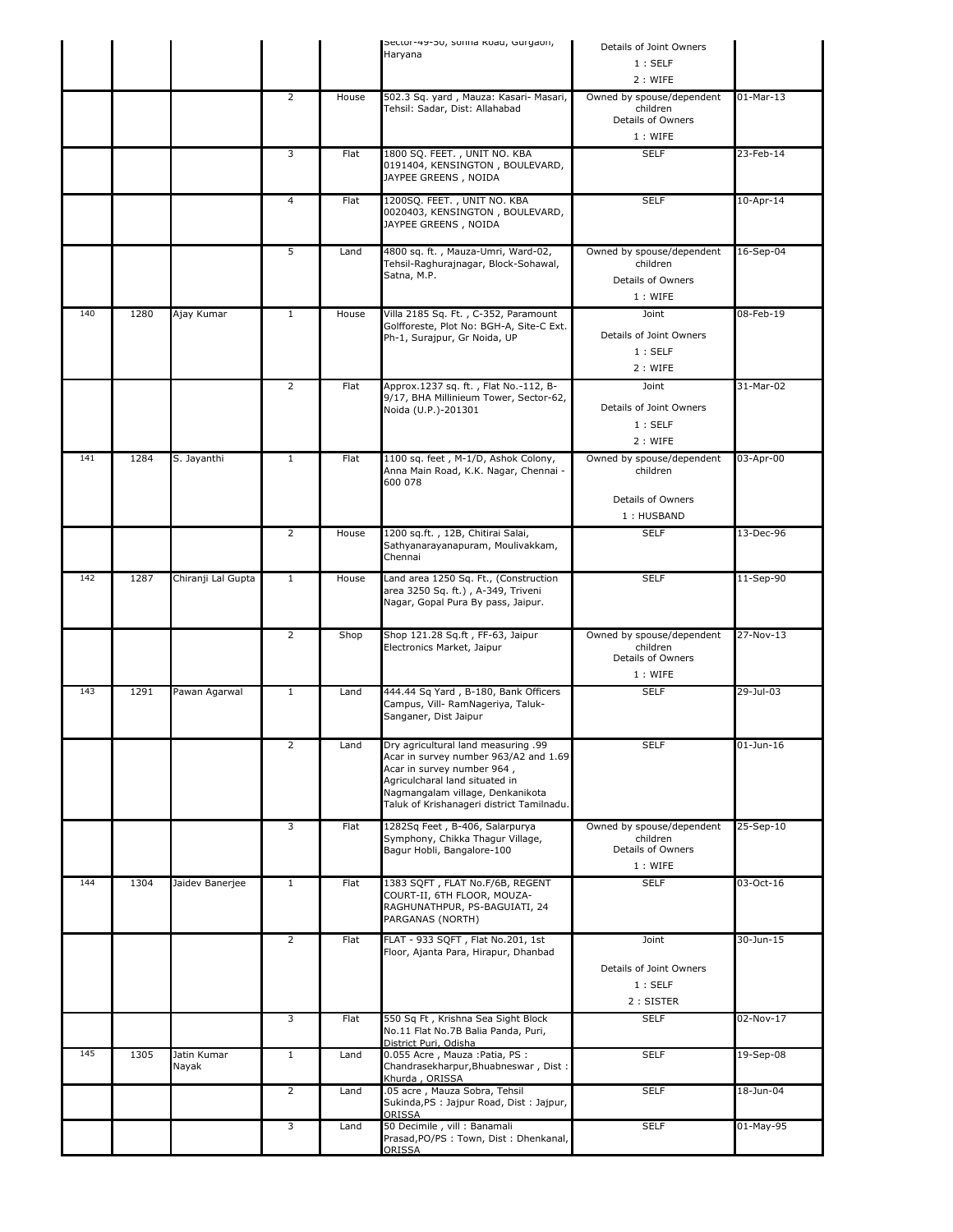|     |      |                      |                |       | Sector-49-50, sonna koad, Gurgaon,<br>Haryana                                                                                                                                                                                 | Details of Joint Owners                                               |              |
|-----|------|----------------------|----------------|-------|-------------------------------------------------------------------------------------------------------------------------------------------------------------------------------------------------------------------------------|-----------------------------------------------------------------------|--------------|
|     |      |                      |                |       |                                                                                                                                                                                                                               | 1:SELF                                                                |              |
|     |      |                      |                |       |                                                                                                                                                                                                                               | 2: WIFE                                                               |              |
|     |      |                      | 2              | House | 502.3 Sq. yard, Mauza: Kasari- Masari,<br>Tehsil: Sadar, Dist: Allahabad                                                                                                                                                      | Owned by spouse/dependent<br>children<br>Details of Owners<br>1: WIFE | $01-Mar-13$  |
|     |      |                      | 3              | Flat  | 1800 SQ. FEET., UNIT NO. KBA<br>0191404, KENSINGTON, BOULEVARD,<br>JAYPEE GREENS, NOIDA                                                                                                                                       | <b>SELF</b>                                                           | 23-Feb-14    |
|     |      |                      | $\overline{4}$ | Flat  | 1200SQ. FEET., UNIT NO. KBA<br>0020403, KENSINGTON, BOULEVARD,<br>JAYPEE GREENS, NOIDA                                                                                                                                        | <b>SELF</b>                                                           | 10-Apr-14    |
|     |      |                      | 5              | Land  | 4800 sq. ft., Mauza-Umri, Ward-02,<br>Tehsil-Raghurajnagar, Block-Sohawal,<br>Satna, M.P.                                                                                                                                     | Owned by spouse/dependent<br>children<br>Details of Owners<br>1: WIFE | 16-Sep-04    |
| 140 | 1280 | Ajay Kumar           | $\mathbf{1}$   | House | Villa 2185 Sq. Ft., C-352, Paramount<br>Golfforeste, Plot No: BGH-A, Site-C Ext.<br>Ph-1, Surajpur, Gr Noida, UP                                                                                                              | Joint<br>Details of Joint Owners<br>1:SELF<br>2: WIFE                 | 08-Feb-19    |
|     |      |                      | $\overline{2}$ | Flat  | Approx.1237 sq. ft., Flat No.-112, B-<br>9/17, BHA Millinieum Tower, Sector-62,<br>Noida (U.P.)-201301                                                                                                                        | Joint<br>Details of Joint Owners<br>1:SELF<br>2: WIFE                 | 31-Mar-02    |
| 141 | 1284 | S. Jayanthi          | $\mathbf{1}$   | Flat  | 1100 sq. feet, M-1/D, Ashok Colony,<br>Anna Main Road, K.K. Nagar, Chennai -<br>600 078                                                                                                                                       | Owned by spouse/dependent<br>children<br>Details of Owners            | 03-Apr-00    |
|     |      |                      |                |       |                                                                                                                                                                                                                               | 1: HUSBAND                                                            |              |
|     |      |                      | $\overline{2}$ | House | 1200 sq.ft., 12B, Chitirai Salai,<br>Sathyanarayanapuram, Moulivakkam,<br>Chennai                                                                                                                                             | <b>SELF</b>                                                           | 13-Dec-96    |
| 142 | 1287 | Chiranji Lal Gupta   | $\mathbf{1}$   | House | Land area 1250 Sq. Ft., (Construction<br>area 3250 Sq. ft.), A-349, Triveni<br>Nagar, Gopal Pura By pass, Jaipur.                                                                                                             | <b>SELF</b>                                                           | 11-Sep-90    |
|     |      |                      | $\overline{2}$ | Shop  | Shop 121.28 Sq.ft, FF-63, Jaipur<br>Electronics Market, Jaipur                                                                                                                                                                | Owned by spouse/dependent<br>children<br>Details of Owners<br>1: WIFE | 27-Nov-13    |
| 143 | 1291 | Pawan Agarwal        | $\mathbf{1}$   | Land  | 444.44 Sq Yard, B-180, Bank Officers<br>Campus, Vill- RamNageriya, Taluk-<br>Sanganer, Dist Jaipur                                                                                                                            | <b>SELF</b>                                                           | 29-Jul-03    |
|     |      |                      | 2              | Land  | 99. Dry agricultural land measuring<br>Acar in survey number 963/A2 and 1.69<br>Acar in survey number 964,<br>Agriculcharal land situated in<br>Nagmangalam village, Denkanikota<br>Taluk of Krishanageri district Tamilnadu. | <b>SELF</b>                                                           | $01$ -Jun-16 |
|     |      |                      | 3              | Flat  | 1282Sq Feet, B-406, Salarpurya<br>Symphony, Chikka Thagur Village,<br>Bagur Hobli, Bangalore-100                                                                                                                              | Owned by spouse/dependent<br>children<br>Details of Owners<br>1: WIFE | 25-Sep-10    |
| 144 | 1304 | Jaidev Banerjee      | $\mathbf{1}$   | Flat  | 1383 SQFT, FLAT No.F/6B, REGENT<br>COURT-II, 6TH FLOOR, MOUZA-<br>RAGHUNATHPUR, PS-BAGUIATI, 24<br>PARGANAS (NORTH)                                                                                                           | <b>SELF</b>                                                           | 03-Oct-16    |
|     |      |                      | $\overline{2}$ | Flat  | FLAT - 933 SQFT, Flat No.201, 1st<br>Floor, Ajanta Para, Hirapur, Dhanbad                                                                                                                                                     | Joint<br>Details of Joint Owners<br>1:SELF<br>2: SISTER               | 30-Jun-15    |
|     |      |                      | 3              | Flat  | 550 Sq Ft, Krishna Sea Sight Block<br>No.11 Flat No.7B Balia Panda, Puri,<br>District Puri, Odisha                                                                                                                            | <b>SELF</b>                                                           | 02-Nov-17    |
| 145 | 1305 | Jatin Kumar<br>Nayak | $\mathbf{1}$   | Land  | 0.055 Acre, Mauza : Patia, PS :<br>Chandrasekharpur, Bhuabneswar, Dist:<br>Khurda, ORISSA                                                                                                                                     | <b>SELF</b>                                                           | 19-Sep-08    |
|     |      |                      | $\overline{2}$ | Land  | .05 acre, Mauza Sobra, Tehsil<br>Sukinda, PS : Jajpur Road, Dist : Jajpur,<br>ORISSA                                                                                                                                          | <b>SELF</b>                                                           | 18-Jun-04    |
|     |      |                      | 3              | Land  | 50 Decimile, vill : Banamali<br>Prasad, PO/PS: Town, Dist: Dhenkanal,<br>ORISSA                                                                                                                                               | <b>SELF</b>                                                           | 01-May-95    |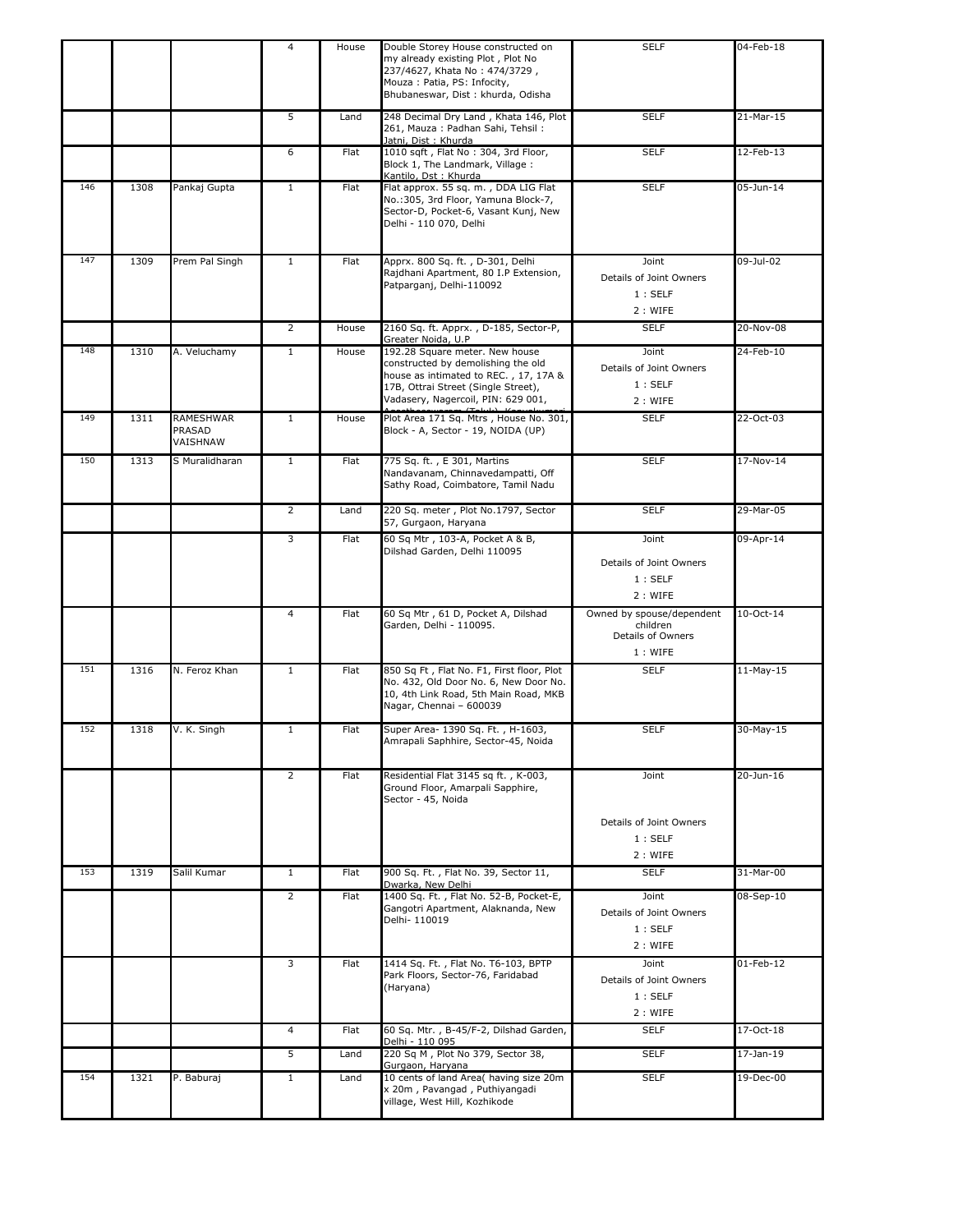|     |      |                                 | 4              | House | Double Storey House constructed on<br>my already existing Plot, Plot No<br>237/4627, Khata No: 474/3729,<br>Mouza: Patia, PS: Infocity,<br>Bhubaneswar, Dist: khurda, Odisha               | <b>SELF</b>                                                           | 04-Feb-18     |
|-----|------|---------------------------------|----------------|-------|--------------------------------------------------------------------------------------------------------------------------------------------------------------------------------------------|-----------------------------------------------------------------------|---------------|
|     |      |                                 | 5              | Land  | 248 Decimal Dry Land, Khata 146, Plot<br>261, Mauza: Padhan Sahi, Tehsil:<br>Jatni, Dist : Khurda                                                                                          | <b>SELF</b>                                                           | 21-Mar-15     |
|     |      |                                 | 6              | Flat  | 1010 sqft, Flat No: 304, 3rd Floor,<br>Block 1, The Landmark, Village:<br>Kantilo, Dst: Khurda                                                                                             | <b>SELF</b>                                                           | 12-Feb-13     |
| 146 | 1308 | Pankaj Gupta                    | $\mathbf{1}$   | Flat  | Flat approx. 55 sq. m., DDA LIG Flat<br>No.: 305, 3rd Floor, Yamuna Block-7,<br>Sector-D, Pocket-6, Vasant Kunj, New<br>Delhi - 110 070, Delhi                                             | <b>SELF</b>                                                           | $05 - Jun-14$ |
| 147 | 1309 | Prem Pal Singh                  | $\mathbf{1}$   | Flat  | Apprx. 800 Sq. ft., D-301, Delhi<br>Rajdhani Apartment, 80 I.P Extension,<br>Patparganj, Delhi-110092                                                                                      | Joint<br>Details of Joint Owners<br>1:SELF<br>2 : WIFE                | 09-Jul-02     |
|     |      |                                 | $\overline{2}$ | House | 2160 Sq. ft. Apprx., D-185, Sector-P,<br>Greater Noida, U.P                                                                                                                                | <b>SELF</b>                                                           | 20-Nov-08     |
| 148 | 1310 | A. Veluchamy                    | $\mathbf{1}$   | House | 192.28 Square meter. New house<br>constructed by demolishing the old<br>house as intimated to REC., 17, 17A &<br>17B, Ottrai Street (Single Street),<br>Vadasery, Nagercoil, PIN: 629 001, | Joint<br>Details of Joint Owners<br>1:SELF<br>2 : WIFE                | 24-Feb-10     |
| 149 | 1311 | RAMESHWAR<br>PRASAD<br>VAISHNAW | $\mathbf{1}$   | House | Plot Area 171 Sq. Mtrs, House No. 301,<br>Block - A, Sector - 19, NOIDA (UP)                                                                                                               | <b>SELF</b>                                                           | 22-Oct-03     |
| 150 | 1313 | S Muralidharan                  | $\mathbf{1}$   | Flat  | 775 Sq. ft., E 301, Martins<br>Nandavanam, Chinnavedampatti, Off<br>Sathy Road, Coimbatore, Tamil Nadu                                                                                     | <b>SELF</b>                                                           | 17-Nov-14     |
|     |      |                                 | $\overline{2}$ | Land  | 220 Sq. meter, Plot No.1797, Sector<br>57, Gurgaon, Haryana                                                                                                                                | <b>SELF</b>                                                           | 29-Mar-05     |
|     |      |                                 | 3              | Flat  | 60 Sq Mtr, 103-A, Pocket A & B,<br>Dilshad Garden, Delhi 110095                                                                                                                            | Joint<br>Details of Joint Owners<br>1:SELF<br>2 : WIFE                | 09-Apr-14     |
|     |      |                                 | 4              | Flat  | 60 Sq Mtr, 61 D, Pocket A, Dilshad<br>Garden, Delhi - 110095.                                                                                                                              | Owned by spouse/dependent<br>children<br>Details of Owners<br>1: WIFE | 10-Oct-14     |
| 151 | 1316 | N. Feroz Khan                   | $\mathbf{1}$   | Flat  | 850 Sq Ft, Flat No. F1, First floor, Plot<br>No. 432, Old Door No. 6, New Door No.<br>10, 4th Link Road, 5th Main Road, MKB<br>Nagar, Chennai - 600039                                     | <b>SELF</b>                                                           | $11-May-15$   |
| 152 | 1318 | V. K. Singh                     | $\mathbf{1}$   | Flat  | Super Area- 1390 Sq. Ft., H-1603,<br>Amrapali Saphhire, Sector-45, Noida                                                                                                                   | <b>SELF</b>                                                           | 30-May-15     |
|     |      |                                 | $\overline{2}$ | Flat  | Residential Flat 3145 sq ft., K-003,<br>Ground Floor, Amarpali Sapphire,<br>Sector - 45, Noida                                                                                             | Joint<br>Details of Joint Owners                                      | 20-Jun-16     |
|     |      |                                 |                |       |                                                                                                                                                                                            | 1:SELF<br>2: WIFE                                                     |               |
| 153 | 1319 | Salil Kumar                     | $\mathbf{1}$   | Flat  | 900 Sq. Ft., Flat No. 39, Sector 11,<br>Dwarka, New Delhi                                                                                                                                  | <b>SELF</b>                                                           | 31-Mar-00     |
|     |      |                                 | $\overline{2}$ | Flat  | 1400 Sq. Ft., Flat No. 52-B, Pocket-E,<br>Gangotri Apartment, Alaknanda, New<br>Delhi- 110019                                                                                              | Joint<br>Details of Joint Owners<br>1:SELF<br>2 : WIFE                | 08-Sep-10     |
|     |      |                                 | 3              | Flat  | 1414 Sq. Ft., Flat No. T6-103, BPTP<br>Park Floors, Sector-76, Faridabad<br>(Haryana)                                                                                                      | Joint<br>Details of Joint Owners<br>1:SELF<br>2 : WIFE                | $01$ -Feb-12  |
|     |      |                                 | $\overline{4}$ | Flat  | 60 Sq. Mtr., B-45/F-2, Dilshad Garden,<br>Delhi - 110 095                                                                                                                                  | <b>SELF</b>                                                           | 17-Oct-18     |
|     |      |                                 | 5              | Land  | 220 Sq M, Plot No 379, Sector 38,<br>Gurgaon, Haryana                                                                                                                                      | <b>SELF</b>                                                           | 17-Jan-19     |
| 154 | 1321 | P. Baburaj                      | $\mathbf{1}$   | Land  | 10 cents of land Area( having size 20m<br>x 20m, Pavangad, Puthiyangadi<br>village, West Hill, Kozhikode                                                                                   | <b>SELF</b>                                                           | 19-Dec-00     |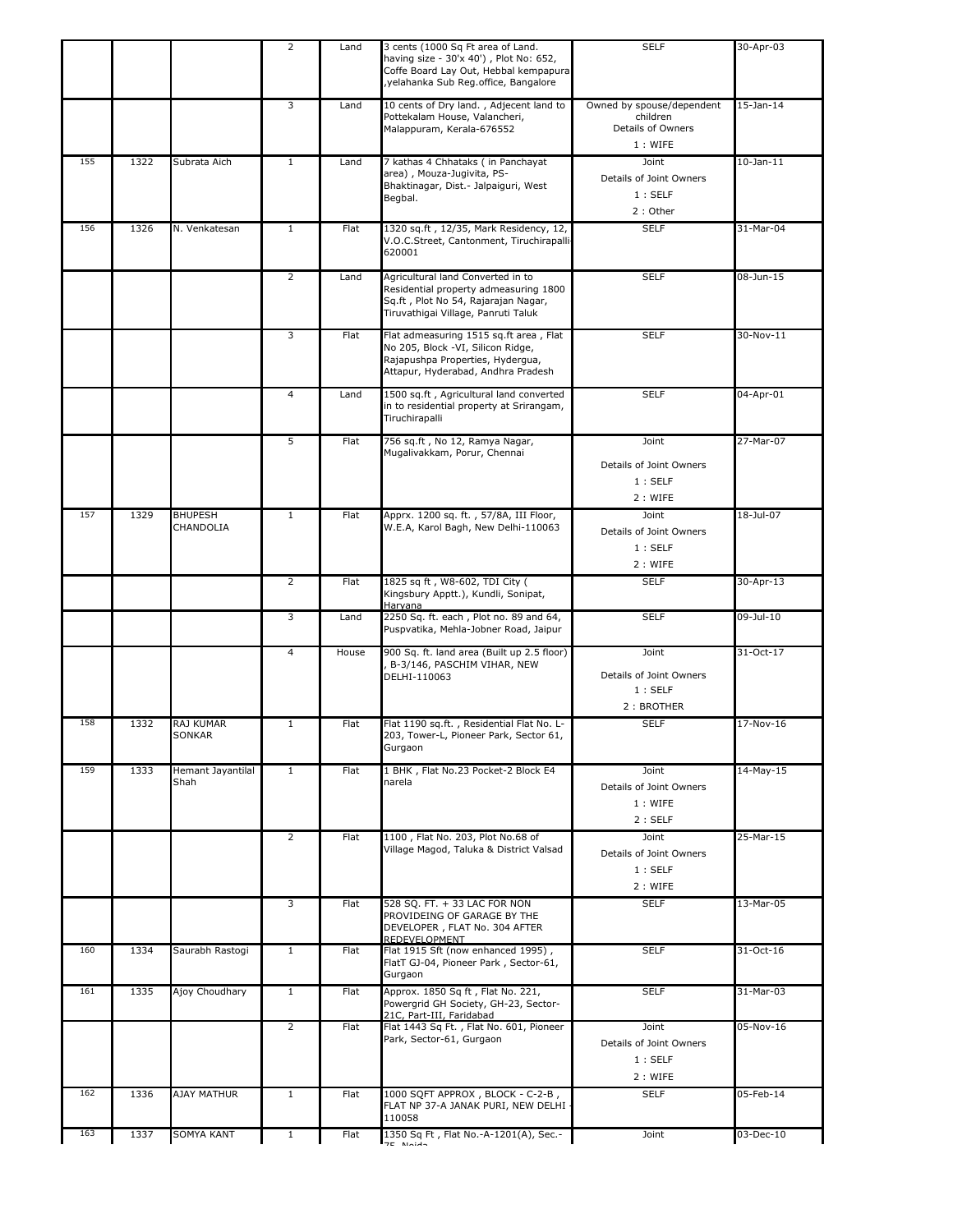|     |      |                             | 2              | Land        | 3 cents (1000 Sq Ft area of Land.<br>having size - 30'x 40'), Plot No: 652,<br>Coffe Board Lay Out, Hebbal kempapura<br>yelahanka Sub Reg.office, Bangalore | <b>SELF</b>                                                           | 30-Apr-03       |
|-----|------|-----------------------------|----------------|-------------|-------------------------------------------------------------------------------------------------------------------------------------------------------------|-----------------------------------------------------------------------|-----------------|
|     |      |                             | 3              | Land        | 10 cents of Dry land., Adjecent land to<br>Pottekalam House, Valancheri,<br>Malappuram, Kerala-676552                                                       | Owned by spouse/dependent<br>children<br>Details of Owners<br>1: WIFE | $15-$ Jan $-14$ |
| 155 | 1322 | Subrata Aich                | $\mathbf{1}$   | Land        | 7 kathas 4 Chhataks (in Panchayat<br>area), Mouza-Jugivita, PS-<br>Bhaktinagar, Dist.- Jalpaiguri, West<br>Begbal.                                          | Joint<br>Details of Joint Owners<br>1:SELF<br>2: Other                | $10$ -Jan- $11$ |
| 156 | 1326 | N. Venkatesan               | $\mathbf{1}$   | Flat        | 1320 sq.ft, 12/35, Mark Residency, 12,<br>V.O.C.Street, Cantonment, Tiruchirapalli<br>620001                                                                | <b>SELF</b>                                                           | 31-Mar-04       |
|     |      |                             | $\overline{2}$ | Land        | Agricultural land Converted in to<br>Residential property admeasuring 1800<br>Sq.ft, Plot No 54, Rajarajan Nagar,<br>Tiruvathigai Village, Panruti Taluk    | <b>SELF</b>                                                           | 08-Jun-15       |
|     |      |                             | 3              | <b>Flat</b> | Flat admeasuring 1515 sq.ft area, Flat<br>No 205, Block -VI, Silicon Ridge,<br>Rajapushpa Properties, Hydergua,<br>Attapur, Hyderabad, Andhra Pradesh       | <b>SELF</b>                                                           | 30-Nov-11       |
|     |      |                             | $\overline{a}$ | Land        | 1500 sq.ft, Agricultural land converted<br>in to residential property at Srirangam,<br>Tiruchirapalli                                                       | <b>SELF</b>                                                           | 04-Apr-01       |
|     |      |                             | 5              | Flat        | 756 sq.ft, No 12, Ramya Nagar,<br>Mugalivakkam, Porur, Chennai                                                                                              | Joint<br>Details of Joint Owners<br>1:SELF<br>2 : WIFE                | 27-Mar-07       |
| 157 | 1329 | <b>BHUPESH</b><br>CHANDOLIA | $\mathbf{1}$   | Flat        | Apprx. 1200 sq. ft., 57/8A, III Floor,<br>W.E.A, Karol Bagh, New Delhi-110063                                                                               | Joint<br>Details of Joint Owners<br>1:SELF<br>2: WIFE                 | 18-Jul-07       |
|     |      |                             | $\overline{2}$ | Flat        | 1825 sq ft, W8-602, TDI City (<br>Kingsbury Apptt.), Kundli, Sonipat,<br>Haryana                                                                            | <b>SELF</b>                                                           | 30-Apr-13       |
|     |      |                             | 3              | Land        | 2250 Sq. ft. each, Plot no. 89 and 64,<br>Puspvatika, Mehla-Jobner Road, Jaipur                                                                             | <b>SELF</b>                                                           | 09-Jul-10       |
|     |      |                             | 4              | House       | 900 Sq. ft. land area (Built up 2.5 floor)<br>B-3/146, PASCHIM VIHAR, NEW<br>DELHI-110063                                                                   | Joint<br>Details of Joint Owners<br>1:SELF<br>2: BROTHER              | 31-Oct-17       |
| 158 | 1332 | RAJ KUMAR<br><b>SONKAR</b>  | $\mathbf{1}$   | Flat        | Flat 1190 sq.ft., Residential Flat No. L-<br>203, Tower-L, Pioneer Park, Sector 61,<br>Gurgaon                                                              | <b>SELF</b>                                                           | 17-Nov-16       |
| 159 | 1333 | Hemant Jayantilal<br>Shah   | $\mathbf{1}$   | Flat        | 1 BHK, Flat No.23 Pocket-2 Block E4<br>narela                                                                                                               | Joint<br>Details of Joint Owners<br>1: WIFE<br>2:SELF                 | 14-May-15       |
|     |      |                             | $\overline{2}$ | Flat        | 1100, Flat No. 203, Plot No.68 of<br>Village Magod, Taluka & District Valsad                                                                                | Joint<br>Details of Joint Owners<br>1:SELF<br>2 : WIFE                | 25-Mar-15       |
|     |      |                             | 3              | Flat        | 528 SQ. FT. + 33 LAC FOR NON<br>PROVIDEING OF GARAGE BY THE<br>DEVELOPER, FLAT No. 304 AFTER<br>REDEVELOPMENT                                               | <b>SELF</b>                                                           | 13-Mar-05       |
| 160 | 1334 | Saurabh Rastogi             | $\mathbf{1}$   | Flat        | Flat 1915 Sft (now enhanced 1995),<br>FlatT GJ-04, Pioneer Park, Sector-61,<br>Gurgaon                                                                      | <b>SELF</b>                                                           | 31-Oct-16       |
| 161 | 1335 | Ajoy Choudhary              | $\mathbf{1}$   | Flat        | Approx. 1850 Sq ft, Flat No. 221,<br>Powergrid GH Society, GH-23, Sector-<br>21C, Part-III, Faridabad                                                       | <b>SELF</b>                                                           | 31-Mar-03       |
|     |      |                             | $\overline{2}$ | Flat        | Flat 1443 Sq Ft., Flat No. 601, Pioneer<br>Park, Sector-61, Gurgaon                                                                                         | Joint<br>Details of Joint Owners<br>1:SELF<br>2 : WIFE                | 05-Nov-16       |
| 162 | 1336 | <b>AJAY MATHUR</b>          | $\mathbf{1}$   | Flat        | 1000 SQFT APPROX, BLOCK - C-2-B,<br>FLAT NP 37-A JANAK PURI, NEW DELHI<br>110058                                                                            | <b>SELF</b>                                                           | 05-Feb-14       |
| 163 | 1337 | SOMYA KANT                  | $\mathbf{1}$   | Flat        | 1350 Sq Ft, Flat No.-A-1201(A), Sec.-                                                                                                                       | Joint                                                                 | 03-Dec-10       |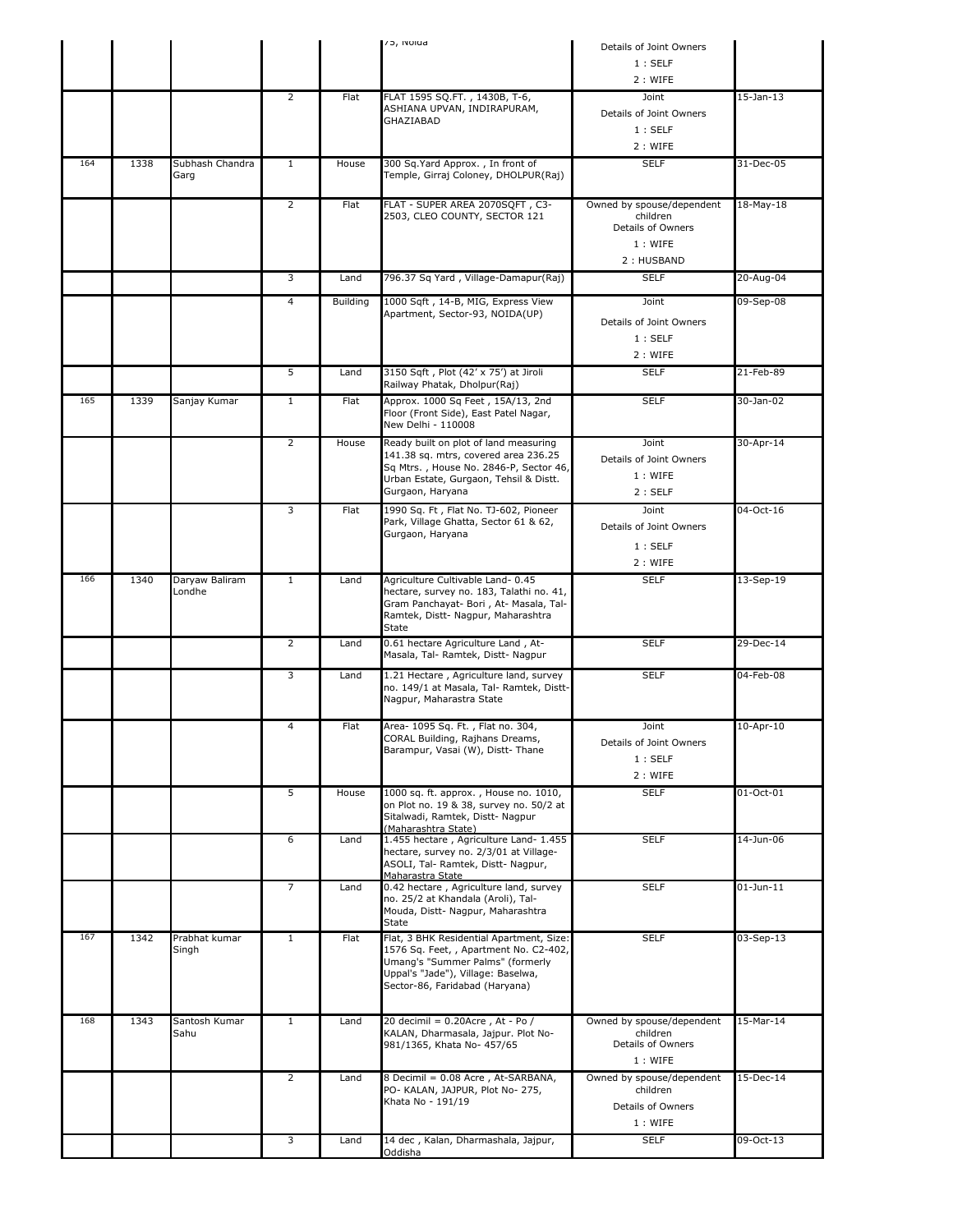|     |      |                          |                |                                      | ר / INOIDa                                                                     | Details of Joint Owners                                    |                 |
|-----|------|--------------------------|----------------|--------------------------------------|--------------------------------------------------------------------------------|------------------------------------------------------------|-----------------|
|     |      |                          |                |                                      |                                                                                | 1:SELF                                                     |                 |
|     |      |                          |                |                                      |                                                                                | 2: WIFE                                                    |                 |
|     |      |                          | 2              | Flat                                 | FLAT 1595 SQ.FT., 1430B, T-6,                                                  | Joint                                                      | $15$ -Jan- $13$ |
|     |      |                          |                |                                      | ASHIANA UPVAN, INDIRAPURAM,<br>GHAZIABAD                                       | Details of Joint Owners                                    |                 |
|     |      |                          |                |                                      |                                                                                | 1:SELF                                                     |                 |
|     |      |                          |                |                                      |                                                                                | 2 : WIFE                                                   |                 |
| 164 | 1338 | Subhash Chandra<br>Garg  | $\mathbf{1}$   | House                                | 300 Sq.Yard Approx., In front of<br>Temple, Girraj Coloney, DHOLPUR(Raj)       | <b>SELF</b>                                                | 31-Dec-05       |
|     |      |                          | $\overline{2}$ | Flat                                 | FLAT - SUPER AREA 2070SQFT, C3-<br>2503, CLEO COUNTY, SECTOR 121               | Owned by spouse/dependent<br>children<br>Details of Owners | 18-May-18       |
|     |      |                          |                |                                      | 1: WIFE                                                                        |                                                            |                 |
|     |      |                          |                |                                      |                                                                                | 2: HUSBAND                                                 |                 |
|     |      | 3                        | Land           | 796.37 Sq Yard, Village-Damapur(Raj) | <b>SELF</b>                                                                    | 20-Aug-04                                                  |                 |
|     |      |                          | 4              |                                      | 1000 Sqft, 14-B, MIG, Express View                                             |                                                            |                 |
|     |      |                          |                | Building                             | Apartment, Sector-93, NOIDA(UP)                                                | Joint                                                      | 09-Sep-08       |
|     |      |                          |                |                                      |                                                                                | Details of Joint Owners                                    |                 |
|     |      |                          |                |                                      |                                                                                | 1:SELF                                                     |                 |
|     |      |                          |                |                                      |                                                                                | 2 : WIFE                                                   |                 |
|     |      |                          | 5              | Land                                 | 3150 Sqft, Plot (42' x 75') at Jiroli<br>Railway Phatak, Dholpur(Raj)          | <b>SELF</b>                                                | 21-Feb-89       |
| 165 | 1339 | Sanjay Kumar             | $\mathbf{1}$   | Flat                                 | Approx. 1000 Sq Feet, 15A/13, 2nd                                              | <b>SELF</b>                                                | 30-Jan-02       |
|     |      |                          |                |                                      | Floor (Front Side), East Patel Nagar,<br>New Delhi - 110008                    |                                                            |                 |
|     |      |                          | $\overline{2}$ | House                                | Ready built on plot of land measuring                                          | Joint                                                      | 30-Apr-14       |
|     |      |                          |                |                                      | 141.38 sq. mtrs, covered area 236.25<br>Sq Mtrs., House No. 2846-P, Sector 46, | Details of Joint Owners                                    |                 |
|     |      |                          |                |                                      | Urban Estate, Gurgaon, Tehsil & Distt.                                         | 1: WIFE                                                    |                 |
|     |      |                          |                |                                      | Gurgaon, Haryana                                                               | 2:SELF                                                     |                 |
|     |      |                          | 3              | Flat                                 | 1990 Sq. Ft, Flat No. TJ-602, Pioneer<br>Park, Village Ghatta, Sector 61 & 62, | Joint                                                      | 04-Oct-16       |
|     |      |                          |                |                                      | Gurgaon, Haryana                                                               | Details of Joint Owners                                    |                 |
|     |      |                          |                |                                      |                                                                                | 1:SELF                                                     |                 |
|     |      |                          |                |                                      |                                                                                | 2: WIFE                                                    |                 |
| 166 | 1340 | Daryaw Baliram<br>Londhe | $\mathbf{1}$   | Land                                 | Agriculture Cultivable Land- 0.45<br>hectare, survey no. 183, Talathi no. 41,  | <b>SELF</b>                                                | 13-Sep-19       |
|     |      |                          |                |                                      | Gram Panchayat- Bori, At- Masala, Tal-                                         |                                                            |                 |
|     |      |                          |                |                                      | Ramtek, Distt- Nagpur, Maharashtra<br>State                                    |                                                            |                 |
|     |      |                          | $\overline{2}$ | Land                                 | 0.61 hectare Agriculture Land, At-                                             | <b>SELF</b>                                                | 29-Dec-14       |
|     |      |                          |                |                                      | Masala, Tal- Ramtek, Distt- Nagpur                                             |                                                            |                 |
|     |      |                          | 3              | Land                                 | 1.21 Hectare, Agriculture land, survey                                         | <b>SELF</b>                                                | 04-Feb-08       |
|     |      |                          |                |                                      | no. 149/1 at Masala, Tal- Ramtek, Distt-<br>Nagpur, Maharastra State           |                                                            |                 |
|     |      |                          |                |                                      |                                                                                |                                                            |                 |
|     |      |                          | 4              | Flat                                 | Area- 1095 Sq. Ft., Flat no. 304,<br>CORAL Building, Rajhans Dreams,           | Joint                                                      | 10-Apr-10       |
|     |      |                          |                |                                      | Barampur, Vasai (W), Distt-Thane                                               | Details of Joint Owners                                    |                 |
|     |      |                          |                |                                      |                                                                                | 1:SELF<br>2 : WIFE                                         |                 |
|     |      |                          | 5              | House                                | 1000 sq. ft. approx., House no. 1010,                                          | <b>SELF</b>                                                | 01-Oct-01       |
|     |      |                          |                |                                      | on Plot no. 19 & 38, survey no. 50/2 at                                        |                                                            |                 |
|     |      |                          |                |                                      | Sitalwadi, Ramtek, Distt- Nagpur<br>(Maharashtra State)                        |                                                            |                 |
|     |      |                          | 6              | Land                                 | 1.455 hectare, Agriculture Land- 1.455                                         | <b>SELF</b>                                                | 14-Jun-06       |
|     |      |                          |                |                                      | hectare, survey no. 2/3/01 at Village-<br>ASOLI, Tal- Ramtek, Distt- Nagpur,   |                                                            |                 |
|     |      |                          |                |                                      | Maharastra State                                                               |                                                            |                 |
|     |      |                          | $\overline{7}$ | Land                                 | 0.42 hectare, Agriculture land, survey<br>no. 25/2 at Khandala (Aroli), Tal-   | <b>SELF</b>                                                | $01$ -Jun-11    |
|     |      |                          |                |                                      | Mouda, Distt- Nagpur, Maharashtra                                              |                                                            |                 |
| 167 | 1342 | Prabhat kumar            | $\mathbf{1}$   | Flat                                 | State<br>Flat, 3 BHK Residential Apartment, Size:                              | <b>SELF</b>                                                | 03-Sep-13       |
|     |      | Singh                    |                |                                      | 1576 Sq. Feet, , Apartment No. C2-402,                                         |                                                            |                 |
|     |      |                          |                |                                      | Umang's "Summer Palms" (formerly<br>Uppal's "Jade"), Village: Baselwa,         |                                                            |                 |
|     |      |                          |                |                                      | Sector-86, Faridabad (Haryana)                                                 |                                                            |                 |
|     |      |                          |                |                                      |                                                                                |                                                            |                 |
| 168 | 1343 | Santosh Kumar            | $\mathbf{1}$   | Land                                 | 20 decimil = 0.20Acre, At - Po /                                               | Owned by spouse/dependent                                  | 15-Mar-14       |
|     |      | Sahu                     |                |                                      | KALAN, Dharmasala, Jajpur. Plot No-<br>981/1365, Khata No- 457/65              | children<br>Details of Owners                              |                 |
|     |      |                          |                |                                      |                                                                                | 1: WIFE                                                    |                 |
|     |      |                          | $\overline{2}$ | Land                                 | 8 Decimil = 0.08 Acre, At-SARBANA,                                             | Owned by spouse/dependent                                  | 15-Dec-14       |
|     |      |                          |                |                                      | PO- KALAN, JAJPUR, Plot No- 275,                                               | children                                                   |                 |
|     |      |                          |                |                                      | Khata No - 191/19                                                              | Details of Owners                                          |                 |
|     |      |                          |                |                                      |                                                                                | 1: WIFE                                                    |                 |
|     |      |                          | 3              | Land                                 | 14 dec, Kalan, Dharmashala, Jajpur,<br>Oddisha                                 | <b>SELF</b>                                                | 09-Oct-13       |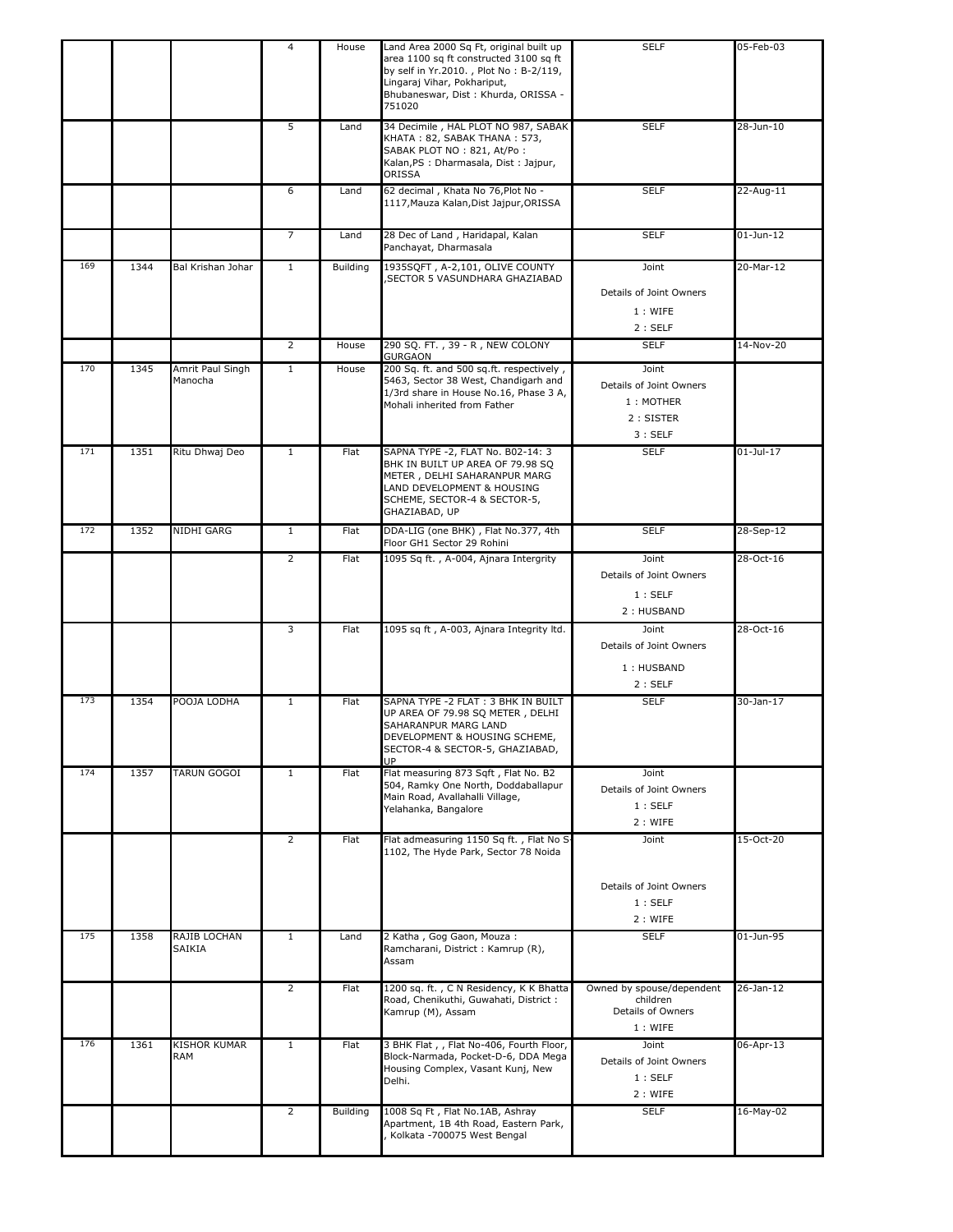|     |      |                             | 4              | House    | Land Area 2000 Sq Ft, original built up<br>area 1100 sq ft constructed 3100 sq ft<br>by self in Yr.2010., Plot No: B-2/119,<br>Lingaraj Vihar, Pokhariput,<br>Bhubaneswar, Dist: Khurda, ORISSA -<br>751020 | <b>SELF</b>                                                           | 05-Feb-03     |
|-----|------|-----------------------------|----------------|----------|-------------------------------------------------------------------------------------------------------------------------------------------------------------------------------------------------------------|-----------------------------------------------------------------------|---------------|
|     |      |                             | 5              | Land     | 34 Decimile, HAL PLOT NO 987, SABAK<br>KHATA: 82, SABAK THANA: 573,<br>SABAK PLOT NO: 821, At/Po:<br>Kalan, PS : Dharmasala, Dist : Jajpur,<br>ORISSA                                                       | <b>SELF</b>                                                           | 28-Jun-10     |
|     |      |                             | 6              | Land     | 62 decimal, Khata No 76, Plot No -<br>1117, Mauza Kalan, Dist Jajpur, ORISSA                                                                                                                                | <b>SELF</b>                                                           | 22-Aug-11     |
|     |      |                             | $\overline{7}$ | Land     | 28 Dec of Land, Haridapal, Kalan<br>Panchayat, Dharmasala                                                                                                                                                   | <b>SELF</b>                                                           | $01$ -Jun-12  |
| 169 | 1344 | Bal Krishan Johar           | $\mathbf{1}$   | Building | 1935SQFT, A-2,101, OLIVE COUNTY<br>SECTOR 5 VASUNDHARA GHAZIABAD,                                                                                                                                           | Joint<br>Details of Joint Owners<br>1: WIFE<br>2:SELF                 | 20-Mar-12     |
|     |      |                             | $\overline{2}$ | House    | 290 SQ. FT., 39 - R, NEW COLONY<br>GURGAON                                                                                                                                                                  | <b>SELF</b>                                                           | 14-Nov-20     |
| 170 | 1345 | Amrit Paul Singh<br>Manocha | $\mathbf{1}$   | House    | 200 Sq. ft. and 500 sq.ft. respectively,<br>5463, Sector 38 West, Chandigarh and<br>1/3rd share in House No.16, Phase 3 A,<br>Mohali inherited from Father                                                  | Joint<br>Details of Joint Owners<br>1 : MOTHER<br>2: SISTER<br>3:SELF |               |
| 171 | 1351 | Ritu Dhwaj Deo              | $\mathbf{1}$   | Flat     | SAPNA TYPE -2, FLAT No. B02-14: 3<br>BHK IN BUILT UP AREA OF 79.98 SQ<br>METER, DELHI SAHARANPUR MARG<br>LAND DEVELOPMENT & HOUSING<br>SCHEME, SECTOR-4 & SECTOR-5,<br>GHAZIABAD, UP                        | <b>SELF</b>                                                           | $01 -$ Jul-17 |
| 172 | 1352 | NIDHI GARG                  | $\mathbf{1}$   | Flat     | DDA-LIG (one BHK), Flat No.377, 4th<br>Floor GH1 Sector 29 Rohini                                                                                                                                           | <b>SELF</b>                                                           | 28-Sep-12     |
|     |      |                             | $\overline{2}$ | Flat     | 1095 Sq ft., A-004, Ajnara Intergrity                                                                                                                                                                       | Joint<br>Details of Joint Owners<br>1:SELF<br>2: HUSBAND              | 28-Oct-16     |
|     |      |                             | 3              | Flat     | 1095 sq ft, A-003, Ajnara Integrity ltd.                                                                                                                                                                    | Joint<br>Details of Joint Owners<br>1: HUSBAND<br>2:SELF              | 28-Oct-16     |
| 173 | 1354 | POOJA LODHA                 | $\mathbf{1}$   | Flat     | SAPNA TYPE -2 FLAT : 3 BHK IN BUILT<br>UP AREA OF 79.98 SQ METER, DELHI<br>SAHARANPUR MARG LAND<br>DEVELOPMENT & HOUSING SCHEME,<br>SECTOR-4 & SECTOR-5, GHAZIABAD,<br>UP                                   | <b>SELF</b>                                                           | 30-Jan-17     |
| 174 | 1357 | TARUN GOGOI                 | $\mathbf{1}$   | Flat     | Flat measuring 873 Sgft, Flat No. B2<br>504, Ramky One North, Doddaballapur<br>Main Road, Avallahalli Village,<br>Yelahanka, Bangalore                                                                      | Joint<br>Details of Joint Owners<br>1:SELF<br>2 : WIFE                |               |
|     |      |                             | $\overline{2}$ | Flat     | Flat admeasuring 1150 Sq ft., Flat No S<br>1102, The Hyde Park, Sector 78 Noida                                                                                                                             | Joint<br>Details of Joint Owners<br>1:SELF<br>2 : WIFE                | 15-Oct-20     |
| 175 | 1358 | RAJIB LOCHAN<br>SAIKIA      | $\mathbf{1}$   | Land     | 2 Katha, Gog Gaon, Mouza:<br>Ramcharani, District : Kamrup (R),<br>Assam                                                                                                                                    | <b>SELF</b>                                                           | 01-Jun-95     |
|     |      |                             | $\overline{2}$ | Flat     | 1200 sq. ft., C N Residency, K K Bhatta<br>Road, Chenikuthi, Guwahati, District:<br>Kamrup (M), Assam                                                                                                       | Owned by spouse/dependent<br>children<br>Details of Owners<br>1: WIFE | 26-Jan-12     |
| 176 | 1361 | <b>KISHOR KUMAR</b><br>RAM  | $\mathbf{1}$   | Flat     | 3 BHK Flat,, Flat No-406, Fourth Floor,<br>Block-Narmada, Pocket-D-6, DDA Mega<br>Housing Complex, Vasant Kunj, New<br>Delhi.                                                                               | Joint<br>Details of Joint Owners<br>1:SELF<br>2 : WIFE                | 06-Apr-13     |
|     |      |                             | $\overline{2}$ | Building | 1008 Sq Ft, Flat No.1AB, Ashray<br>Apartment, 1B 4th Road, Eastern Park,<br>Kolkata -700075 West Bengal                                                                                                     | <b>SELF</b>                                                           | 16-May-02     |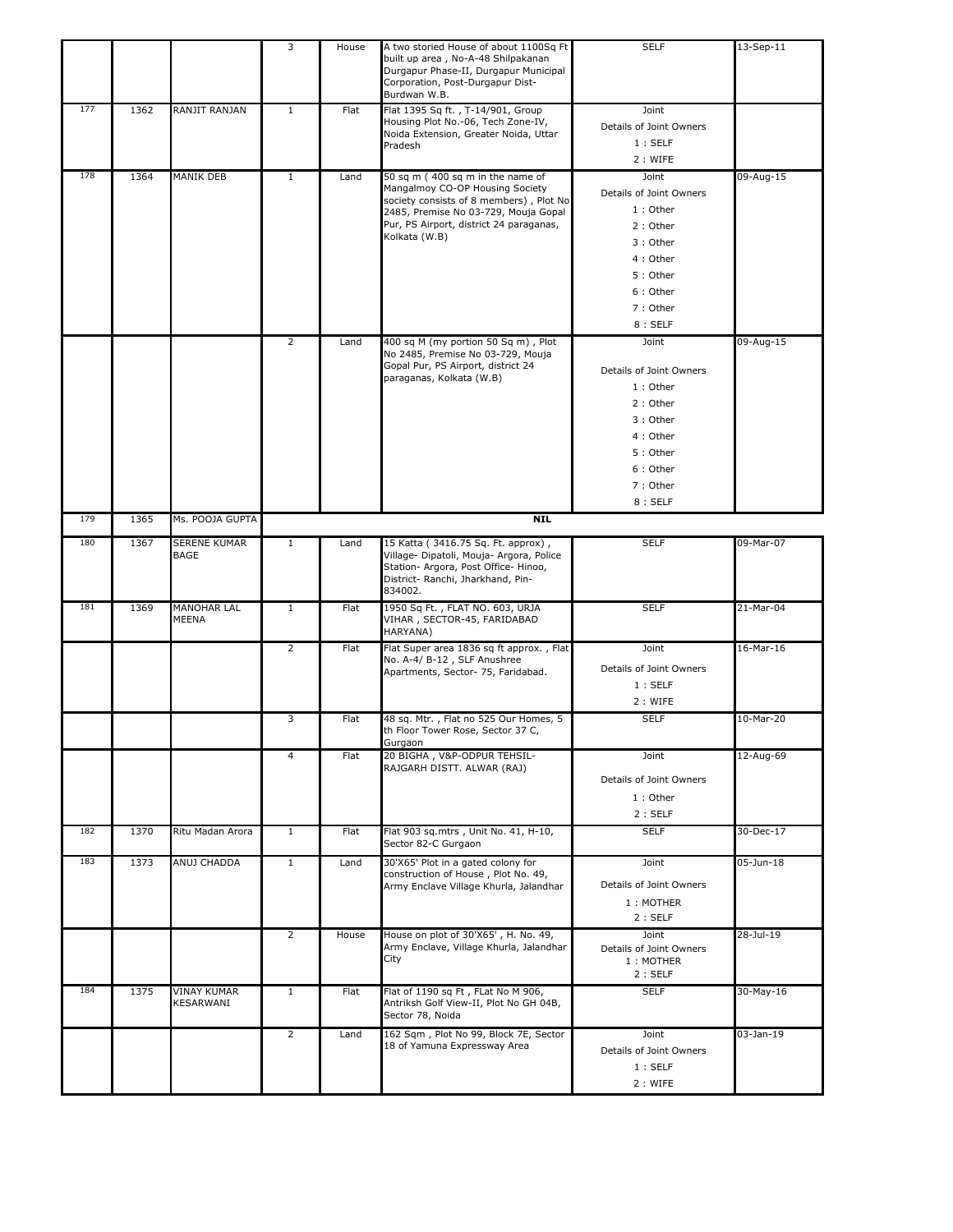|     |      |                                    | 3              | House | A two storied House of about 1100Sq Ft<br>built up area, No-A-48 Shilpakanan<br>Durgapur Phase-II, Durgapur Municipal<br>Corporation, Post-Durgapur Dist-<br>Burdwan W.B.                                          | <b>SELF</b>                                                                                                                        | 13-Sep-11   |
|-----|------|------------------------------------|----------------|-------|--------------------------------------------------------------------------------------------------------------------------------------------------------------------------------------------------------------------|------------------------------------------------------------------------------------------------------------------------------------|-------------|
| 177 | 1362 | RANJIT RANJAN                      | $\mathbf{1}$   | Flat  | Flat 1395 Sq ft., T-14/901, Group<br>Housing Plot No.-06, Tech Zone-IV,<br>Noida Extension, Greater Noida, Uttar<br>Pradesh                                                                                        | Joint<br>Details of Joint Owners<br>1:SELF<br>2 : WIFE                                                                             |             |
| 178 | 1364 | MANIK DEB                          | $\mathbf{1}$   | Land  | 50 sq m (400 sq m in the name of<br>Mangalmoy CO-OP Housing Society<br>society consists of 8 members), Plot No<br>2485, Premise No 03-729, Mouja Gopal<br>Pur, PS Airport, district 24 paraganas,<br>Kolkata (W.B) | Joint<br>Details of Joint Owners<br>$1:$ Other<br>2: Other<br>3: Other<br>4 : Other<br>5: Other<br>6: Other<br>7: Other<br>8:SELF  | $09-Aug-15$ |
|     |      |                                    | $\overline{2}$ | Land  | 400 sq M (my portion 50 Sq m), Plot<br>No 2485, Premise No 03-729, Mouja<br>Gopal Pur, PS Airport, district 24<br>paraganas, Kolkata (W.B)                                                                         | Joint<br>Details of Joint Owners<br>$1:$ Other<br>2: Other<br>3: Other<br>4 : Other<br>5: Other<br>6: Other<br>7 : Other<br>8:SELF | 09-Aug-15   |
| 179 | 1365 | Ms. POOJA GUPTA                    |                |       | <b>NIL</b>                                                                                                                                                                                                         |                                                                                                                                    |             |
| 180 | 1367 | <b>SERENE KUMAR</b><br>BAGE        | $\mathbf{1}$   | Land  | 15 Katta (3416.75 Sq. Ft. approx),<br>Village- Dipatoli, Mouja- Argora, Police<br>Station- Argora, Post Office- Hinoo,<br>District- Ranchi, Jharkhand, Pin-<br>834002.                                             | <b>SELF</b>                                                                                                                        | 09-Mar-07   |
| 181 | 1369 | <b>MANOHAR LAL</b><br><b>MEENA</b> | $\mathbf{1}$   | Flat  | 1950 Sq Ft., FLAT NO. 603, URJA<br>VIHAR, SECTOR-45, FARIDABAD<br>HARYANA)                                                                                                                                         | <b>SELF</b>                                                                                                                        | 21-Mar-04   |
|     |      |                                    | $\overline{2}$ | Flat  | Flat Super area 1836 sq ft approx., Flat<br>No. A-4/ B-12, SLF Anushree<br>Apartments, Sector- 75, Faridabad.                                                                                                      | Joint<br>Details of Joint Owners<br>1:SELF<br>2: WIFE                                                                              | 16-Mar-16   |
|     |      |                                    | 3              | Flat  | 48 sq. Mtr., Flat no 525 Our Homes, 5<br>th Floor Tower Rose, Sector 37 C,<br>Gurgaon                                                                                                                              | <b>SELF</b>                                                                                                                        | 10-Mar-20   |
|     |      |                                    | $\overline{4}$ | Flat  | 20 BIGHA, V&P-ODPUR TEHSIL-<br>RAJGARH DISTT. ALWAR (RAJ)                                                                                                                                                          | Joint<br>Details of Joint Owners<br>1: Other<br>2:SELF                                                                             | 12-Aug-69   |
| 182 | 1370 | Ritu Madan Arora                   | $\mathbf{1}$   | Flat  | Flat 903 sq.mtrs, Unit No. 41, H-10,<br>Sector 82-C Gurgaon                                                                                                                                                        | <b>SELF</b>                                                                                                                        | 30-Dec-17   |
| 183 | 1373 | ANUJ CHADDA                        | $\mathbf{1}$   | Land  | 30'X65' Plot in a gated colony for<br>construction of House, Plot No. 49,<br>Army Enclave Village Khurla, Jalandhar                                                                                                | Joint<br>Details of Joint Owners<br>1: MOTHER<br>2:SELF                                                                            | 05-Jun-18   |
|     |      |                                    | $\overline{2}$ | House | House on plot of 30'X65', H. No. 49,<br>Army Enclave, Village Khurla, Jalandhar<br>City                                                                                                                            | Joint<br>Details of Joint Owners<br>1: MOTHER<br>2:SELF                                                                            | 28-Jul-19   |
| 184 | 1375 | <b>VINAY KUMAR</b><br>KESARWANI    | $\mathbf{1}$   | Flat  | Flat of 1190 sq Ft, FLat No M 906,<br>Antriksh Golf View-II, Plot No GH 04B,<br>Sector 78, Noida                                                                                                                   | <b>SELF</b>                                                                                                                        | 30-May-16   |
|     |      |                                    | $\overline{2}$ | Land  | 162 Sqm, Plot No 99, Block 7E, Sector<br>18 of Yamuna Expressway Area                                                                                                                                              | Joint<br>Details of Joint Owners<br>1:SELF<br>2 : WIFE                                                                             | 03-Jan-19   |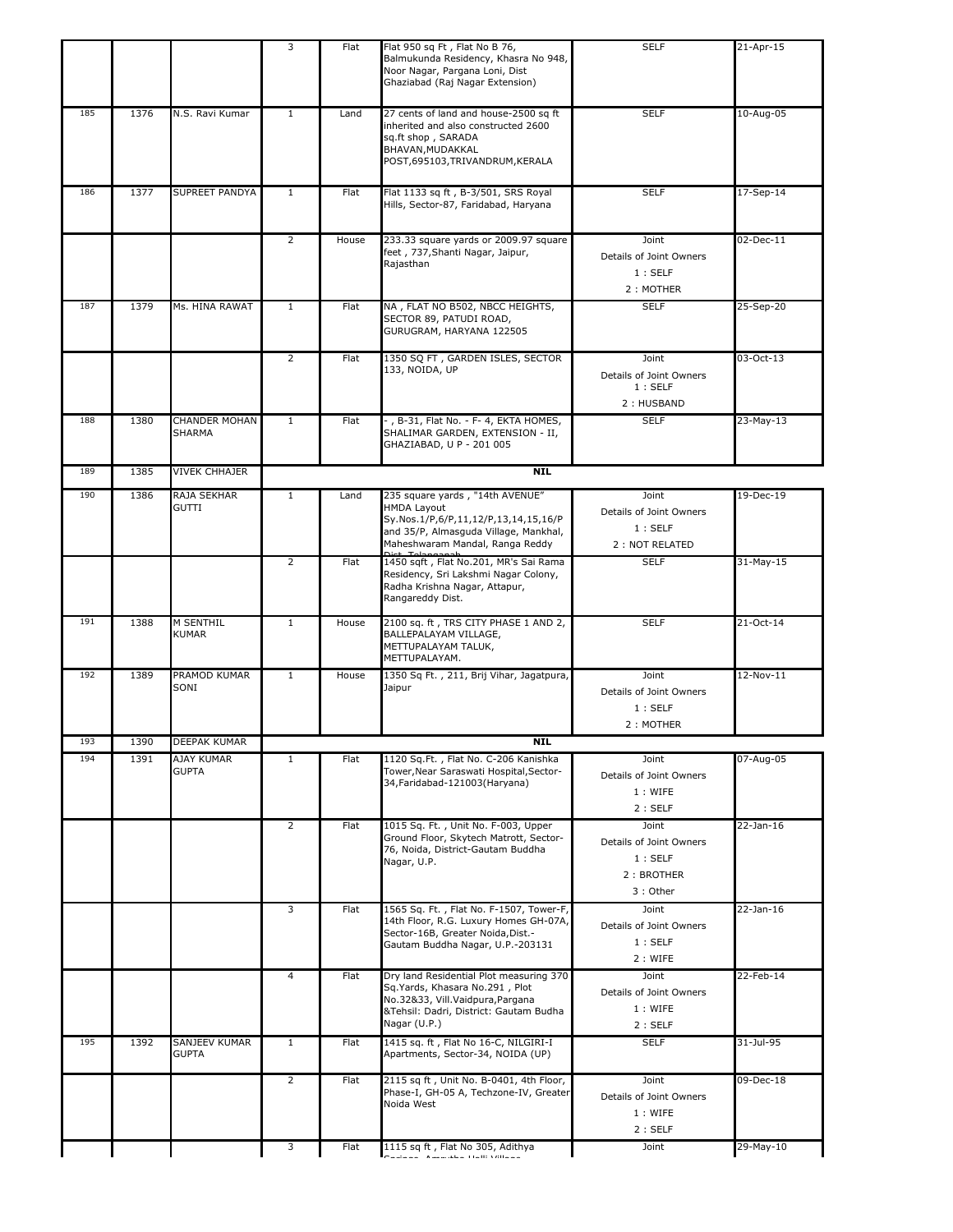|     |      |                                       | 3              | Flat  | Flat 950 sq Ft, Flat No B 76,<br>Balmukunda Residency, Khasra No 948,<br>Noor Nagar, Pargana Loni, Dist<br>Ghaziabad (Raj Nagar Extension)                                | <b>SELF</b>                                                          | 21-Apr-15   |
|-----|------|---------------------------------------|----------------|-------|---------------------------------------------------------------------------------------------------------------------------------------------------------------------------|----------------------------------------------------------------------|-------------|
| 185 | 1376 | N.S. Ravi Kumar                       | $\mathbf{1}$   | Land  | 27 cents of land and house-2500 sq ft<br>inherited and also constructed 2600<br>sq.ft shop, SARADA<br>BHAVAN, MUDAKKAL<br>POST,695103,TRIVANDRUM,KERALA                   | <b>SELF</b>                                                          | 10-Aug-05   |
| 186 | 1377 | SUPREET PANDYA                        | $\mathbf{1}$   | Flat  | Flat 1133 sq ft, B-3/501, SRS Royal<br>Hills, Sector-87, Faridabad, Haryana                                                                                               | <b>SELF</b>                                                          | 17-Sep-14   |
|     |      |                                       | $\overline{2}$ | House | 233.33 square yards or 2009.97 square<br>feet, 737, Shanti Nagar, Jaipur,<br>Raiasthan                                                                                    | Joint<br>Details of Joint Owners<br>1:SELF<br>2: MOTHER              | 02-Dec-11   |
| 187 | 1379 | Ms. HINA RAWAT                        | $\mathbf{1}$   | Flat  | NA, FLAT NO B502, NBCC HEIGHTS,<br>SECTOR 89, PATUDI ROAD,<br>GURUGRAM, HARYANA 122505                                                                                    | <b>SELF</b>                                                          | 25-Sep-20   |
|     |      |                                       | $\overline{2}$ | Flat  | 1350 SQ FT, GARDEN ISLES, SECTOR<br>133, NOIDA, UP                                                                                                                        | Joint<br>Details of Joint Owners<br>1:SELF<br>2: HUSBAND             | 03-Oct-13   |
| 188 | 1380 | <b>CHANDER MOHAN</b><br><b>SHARMA</b> | $\mathbf{1}$   | Flat  | -, B-31, Flat No. - F- 4, EKTA HOMES,<br>SHALIMAR GARDEN, EXTENSION - II,<br>GHAZIABAD, U P - 201 005                                                                     | <b>SELF</b>                                                          | 23-May-13   |
| 189 | 1385 | <b>VIVEK CHHAJER</b>                  |                |       | <b>NIL</b>                                                                                                                                                                |                                                                      |             |
| 190 | 1386 | RAJA SEKHAR<br><b>GUTTI</b>           | $\mathbf{1}$   | Land  | 235 square yards, "14th AVENUE"<br><b>HMDA Layout</b><br>Sy.Nos.1/P,6/P,11,12/P,13,14,15,16/P<br>and 35/P, Almasguda Village, Mankhal,<br>Maheshwaram Mandal, Ranga Reddy | Joint<br>Details of Joint Owners<br>1:SELF<br>2 : NOT RELATED        | 19-Dec-19   |
|     |      |                                       | 2              | Flat  | 1450 sqft, Flat No.201, MR's Sai Rama<br>Residency, Sri Lakshmi Nagar Colony,<br>Radha Krishna Nagar, Attapur,<br>Rangareddy Dist.                                        | <b>SELF</b>                                                          | 31-May-15   |
| 191 | 1388 | M SENTHIL<br><b>KUMAR</b>             | $\mathbf{1}$   | House | 2100 sq. ft, TRS CITY PHASE 1 AND 2,<br>BALLEPALAYAM VILLAGE,<br>METTUPALAYAM TALUK,<br>METTUPALAYAM.                                                                     | <b>SELF</b>                                                          | 21-Oct-14   |
| 192 | 1389 | PRAMOD KUMAR<br>SONI                  | $\mathbf{1}$   | House | 1350 Sq Ft., 211, Brij Vihar, Jagatpura,<br>Jaipur                                                                                                                        | Joint<br>Details of Joint Owners<br>1:SELF<br>2: MOTHER              | $12-Nov-11$ |
| 193 | 1390 | DEEPAK KUMAR                          |                |       | <b>NIL</b>                                                                                                                                                                |                                                                      |             |
| 194 | 1391 | AJAY KUMAR<br><b>GUPTA</b>            | $\mathbf{1}$   | Flat  | 1120 Sq.Ft., Flat No. C-206 Kanishka<br>Tower, Near Saraswati Hospital, Sector-<br>34, Faridabad - 121003 (Haryana)                                                       | Joint<br>Details of Joint Owners<br>1: WIFE<br>2:SELF                | 07-Aug-05   |
|     |      |                                       | $\overline{2}$ | Flat  | 1015 Sq. Ft., Unit No. F-003, Upper<br>Ground Floor, Skytech Matrott, Sector-<br>76, Noida, District-Gautam Buddha<br>Nagar, U.P.                                         | Joint<br>Details of Joint Owners<br>1:SELF<br>2: BROTHER<br>3: Other | 22-Jan-16   |
|     |      |                                       | 3              | Flat  | 1565 Sq. Ft., Flat No. F-1507, Tower-F,<br>14th Floor, R.G. Luxury Homes GH-07A,<br>Sector-16B, Greater Noida, Dist.-<br>Gautam Buddha Nagar, U.P.-203131                 | Joint<br>Details of Joint Owners<br>1:SELF<br>2 : WIFE               | 22-Jan-16   |
|     |      |                                       | $\overline{4}$ | Flat  | Dry land Residential Plot measuring 370<br>Sq.Yards, Khasara No.291, Plot<br>No.32&33, Vill.Vaidpura,Pargana<br>&Tehsil: Dadri, District: Gautam Budha<br>Nagar (U.P.)    | Joint<br>Details of Joint Owners<br>1: WIFE<br>2:SELF                | 22-Feb-14   |
| 195 | 1392 | SANJEEV KUMAR<br><b>GUPTA</b>         | $\mathbf{1}$   | Flat  | 1415 sq. ft, Flat No 16-C, NILGIRI-I<br>Apartments, Sector-34, NOIDA (UP)                                                                                                 | <b>SELF</b>                                                          | 31-Jul-95   |
|     |      |                                       | $\overline{2}$ | Flat  | 2115 sq ft, Unit No. B-0401, 4th Floor,<br>Phase-I, GH-05 A, Techzone-IV, Greater<br>Noida West                                                                           | Joint<br>Details of Joint Owners<br>1: WIFE<br>2:SELF                | 09-Dec-18   |
|     |      |                                       | 3              | Flat  | 1115 sq ft, Flat No 305, Adithya<br>Les ses sols a descripto a morte ventos d                                                                                             | Joint                                                                | 29-May-10   |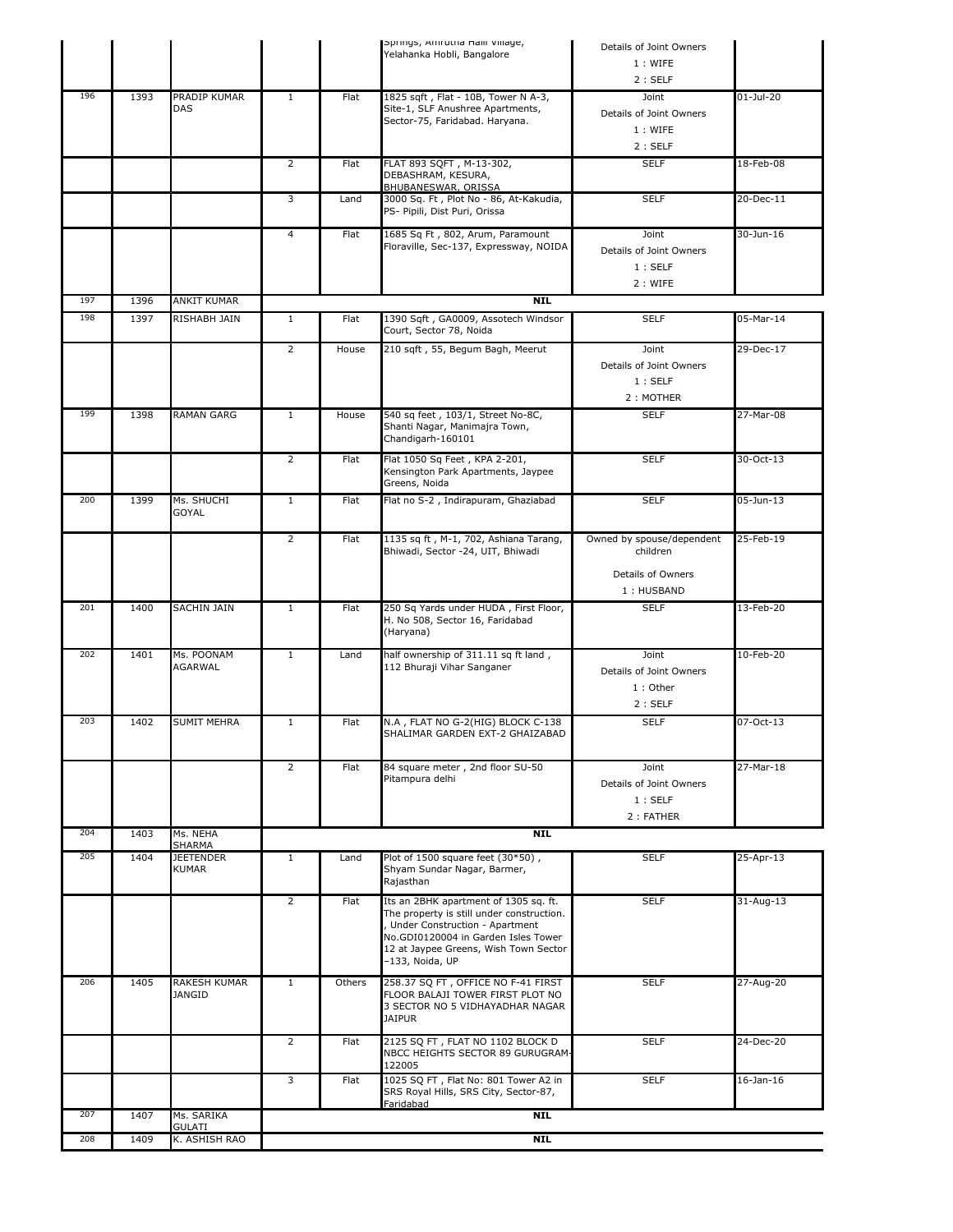|     |      |                                     |                |        | Springs, Amrutna Halli Village,<br>Yelahanka Hobli, Bangalore                                                                                                                                                             | Details of Joint Owners                                  |                 |
|-----|------|-------------------------------------|----------------|--------|---------------------------------------------------------------------------------------------------------------------------------------------------------------------------------------------------------------------------|----------------------------------------------------------|-----------------|
|     |      |                                     |                |        |                                                                                                                                                                                                                           | 1: WIFE<br>2:SELF                                        |                 |
| 196 | 1393 | PRADIP KUMAR<br>DAS                 | $\mathbf{1}$   | Flat   | 1825 sqft, Flat - 10B, Tower N A-3,<br>Site-1, SLF Anushree Apartments,<br>Sector-75, Faridabad. Haryana.                                                                                                                 | Joint<br>Details of Joint Owners<br>1: WIFE              | $01-Jul-20$     |
|     |      |                                     |                |        |                                                                                                                                                                                                                           | 2:SELF                                                   |                 |
|     |      |                                     | $\overline{2}$ | Flat   | FLAT 893 SQFT, M-13-302,<br>DEBASHRAM, KESURA,<br>BHUBANESWAR, ORISSA                                                                                                                                                     | <b>SELF</b>                                              | 18-Feb-08       |
|     |      |                                     | 3              | Land   | 3000 Sg. Ft, Plot No - 86, At-Kakudia,<br>PS- Pipili, Dist Puri, Orissa                                                                                                                                                   | <b>SELF</b>                                              | 20-Dec-11       |
|     |      |                                     | $\overline{4}$ | Flat   | 1685 Sq Ft, 802, Arum, Paramount<br>Floraville, Sec-137, Expressway, NOIDA                                                                                                                                                | Joint<br>Details of Joint Owners<br>1:SELF               | 30-Jun-16       |
| 197 | 1396 | ANKIT KUMAR                         |                |        | <b>NIL</b>                                                                                                                                                                                                                | 2 : WIFE                                                 |                 |
| 198 | 1397 | RISHABH JAIN                        | $\mathbf{1}$   | Flat   | 1390 Sqft, GA0009, Assotech Windsor<br>Court, Sector 78, Noida                                                                                                                                                            | <b>SELF</b>                                              | 05-Mar-14       |
|     |      |                                     | $\overline{2}$ | House  | 210 sqft, 55, Begum Bagh, Meerut                                                                                                                                                                                          | Joint<br>Details of Joint Owners<br>1:SELF<br>2: MOTHER  | 29-Dec-17       |
| 199 | 1398 | <b>RAMAN GARG</b>                   | $\mathbf{1}$   | House  | 540 sq feet, 103/1, Street No-8C,<br>Shanti Nagar, Manimajra Town,<br>Chandigarh-160101                                                                                                                                   | <b>SELF</b>                                              | 27-Mar-08       |
|     |      |                                     | $\overline{2}$ | Flat   | Flat 1050 Sq Feet, KPA 2-201,<br>Kensington Park Apartments, Jaypee<br>Greens, Noida                                                                                                                                      | <b>SELF</b>                                              | 30-Oct-13       |
| 200 | 1399 | Ms. SHUCHI<br><b>GOYAL</b>          | $\mathbf{1}$   | Flat   | Flat no S-2, Indirapuram, Ghaziabad                                                                                                                                                                                       | <b>SELF</b>                                              | 05-Jun-13       |
|     |      |                                     | $\overline{2}$ | Flat   | 1135 sq ft, M-1, 702, Ashiana Tarang,<br>Bhiwadi, Sector -24, UIT, Bhiwadi                                                                                                                                                | Owned by spouse/dependent<br>children                    | 25-Feb-19       |
|     |      |                                     |                |        |                                                                                                                                                                                                                           | Details of Owners<br>1: HUSBAND                          |                 |
| 201 | 1400 | SACHIN JAIN                         | $\mathbf{1}$   | Flat   | 250 Sq Yards under HUDA, First Floor,<br>H. No 508, Sector 16, Faridabad<br>(Haryana)                                                                                                                                     | <b>SELF</b>                                              | 13-Feb-20       |
| 202 | 1401 | Ms. POONAM<br>AGARWAL               | $\mathbf{1}$   | Land   | half ownership of 311.11 sq ft land,<br>112 Bhuraji Vihar Sanganer                                                                                                                                                        | Joint<br>Details of Joint Owners<br>$1:$ Other<br>2:SELF | 10-Feb-20       |
| 203 | 1402 | <b>SUMIT MEHRA</b>                  | $1\,$          | Flat   | N.A, FLAT NO G-2(HIG) BLOCK C-138<br>SHALIMAR GARDEN EXT-2 GHAIZABAD                                                                                                                                                      | <b>SELF</b>                                              | 07-Oct-13       |
|     |      |                                     | $\overline{2}$ | Flat   | 84 square meter, 2nd floor SU-50<br>Pitampura delhi                                                                                                                                                                       | Joint<br>Details of Joint Owners<br>1:SELF<br>2: FATHER  | 27-Mar-18       |
| 204 | 1403 | Ms. NEHA                            |                |        | NIL                                                                                                                                                                                                                       |                                                          |                 |
| 205 | 1404 | SHARMA<br>JEETENDER<br><b>KUMAR</b> | $\mathbf{1}$   | Land   | Plot of 1500 square feet (30*50),<br>Shyam Sundar Nagar, Barmer,<br>Rajasthan                                                                                                                                             | <b>SELF</b>                                              | 25-Apr-13       |
|     |      |                                     | $\overline{2}$ | Flat   | Its an 2BHK apartment of 1305 sq. ft.<br>The property is still under construction.<br>, Under Construction - Apartment<br>No.GDI0120004 in Garden Isles Tower<br>12 at Jaypee Greens, Wish Town Sector<br>-133, Noida, UP | <b>SELF</b>                                              | $31 - Aug-13$   |
| 206 | 1405 | RAKESH KUMAR<br>JANGID              | $\mathbf{1}$   | Others | 258.37 SQ FT, OFFICE NO F-41 FIRST<br>FLOOR BALAJI TOWER FIRST PLOT NO<br>3 SECTOR NO 5 VIDHAYADHAR NAGAR<br>JAIPUR                                                                                                       | <b>SELF</b>                                              | 27-Aug-20       |
|     |      |                                     | $\overline{2}$ | Flat   | 2125 SQ FT, FLAT NO 1102 BLOCK D<br>NBCC HEIGHTS SECTOR 89 GURUGRAM-<br>122005                                                                                                                                            | <b>SELF</b>                                              | 24-Dec-20       |
|     |      |                                     | 3              | Flat   | 1025 SQ FT, Flat No: 801 Tower A2 in<br>SRS Royal Hills, SRS City, Sector-87,<br>Faridabad                                                                                                                                | <b>SELF</b>                                              | $16$ -Jan- $16$ |
| 207 | 1407 | Ms. SARIKA<br>GULATI                |                |        | <b>NIL</b>                                                                                                                                                                                                                |                                                          |                 |
| 208 | 1409 | K. ASHISH RAO                       |                |        | <b>NIL</b>                                                                                                                                                                                                                |                                                          |                 |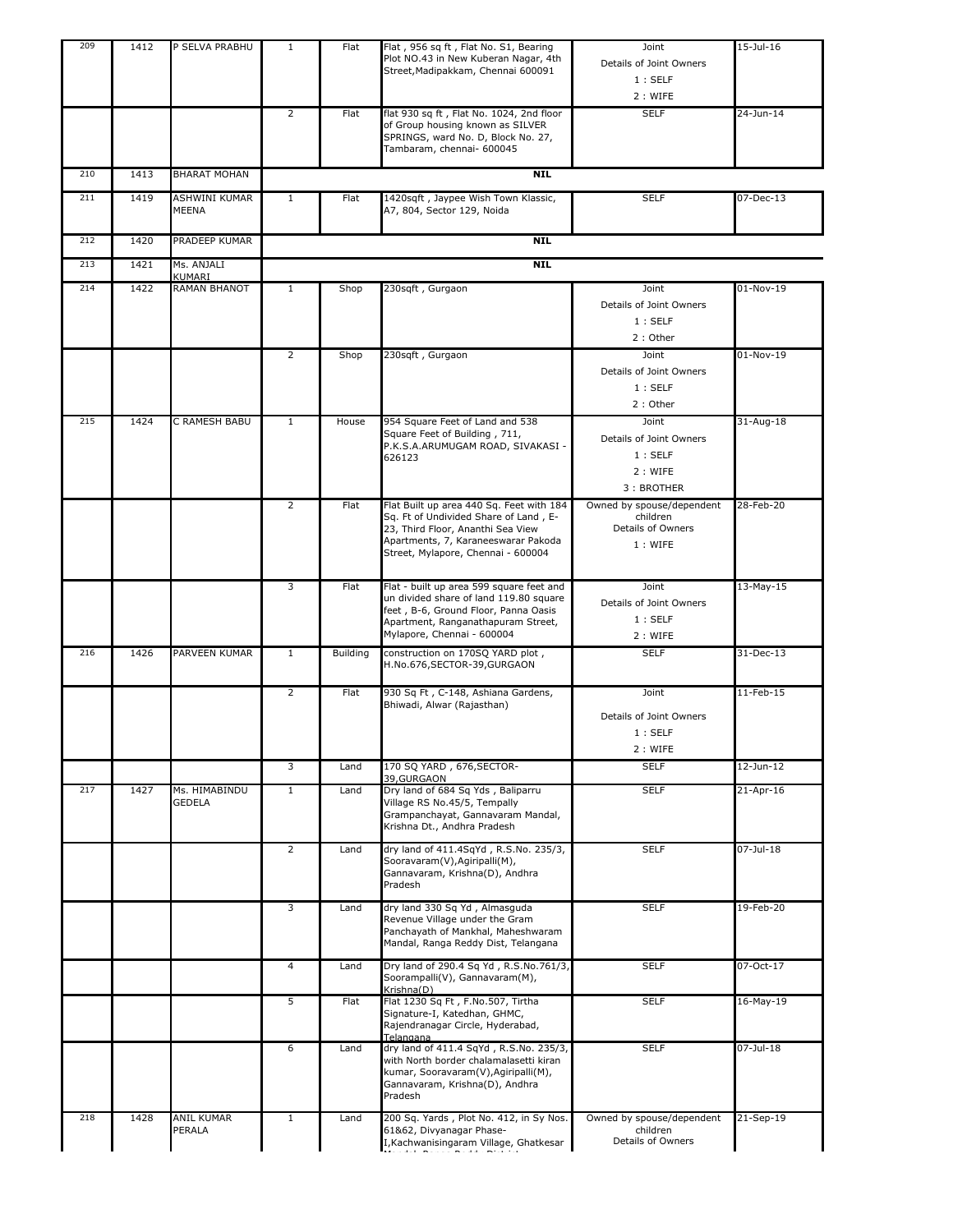| 209 | 1412 | P SELVA PRABHU          | $\mathbf{1}$   | Flat            | Flat, 956 sq ft, Flat No. S1, Bearing<br>Plot NO.43 in New Kuberan Nagar, 4th<br>Street, Madipakkam, Chennai 600091                                                                                 | Joint<br>Details of Joint Owners<br>1:SELF<br>2: WIFE                 | 15-Jul-16       |
|-----|------|-------------------------|----------------|-----------------|-----------------------------------------------------------------------------------------------------------------------------------------------------------------------------------------------------|-----------------------------------------------------------------------|-----------------|
|     |      |                         | $\overline{2}$ | Flat            | flat 930 sq ft, Flat No. 1024, 2nd floor<br>of Group housing known as SILVER<br>SPRINGS, ward No. D, Block No. 27,<br>Tambaram, chennai- 600045                                                     | <b>SELF</b>                                                           | 24-Jun-14       |
| 210 | 1413 | <b>BHARAT MOHAN</b>     |                |                 | <b>NIL</b>                                                                                                                                                                                          |                                                                       |                 |
| 211 | 1419 | ASHWINI KUMAR<br>MEENA  | $\mathbf{1}$   | Flat            | 1420sqft, Jaypee Wish Town Klassic,<br>A7, 804, Sector 129, Noida                                                                                                                                   | <b>SELF</b>                                                           | $07 - Dec-13$   |
| 212 | 1420 | PRADEEP KUMAR           |                |                 | <b>NIL</b>                                                                                                                                                                                          |                                                                       |                 |
| 213 | 1421 | Ms. ANJALI              |                |                 | <b>NIL</b>                                                                                                                                                                                          |                                                                       |                 |
| 214 | 1422 | KUMARI<br>RAMAN BHANOT  | $\mathbf{1}$   | Shop            | 230sqft, Gurgaon                                                                                                                                                                                    | Joint<br>Details of Joint Owners<br>1:SELF<br>2: Other                | 01-Nov-19       |
|     |      |                         | $\overline{2}$ | Shop            | 230sqft, Gurgaon                                                                                                                                                                                    | Joint<br>Details of Joint Owners<br>1:SELF<br>2: Other                | 01-Nov-19       |
| 215 | 1424 | C RAMESH BABU           | $\mathbf{1}$   | House           | 954 Square Feet of Land and 538<br>Square Feet of Building, 711,<br>P.K.S.A.ARUMUGAM ROAD, SIVAKASI -<br>626123                                                                                     | Joint<br>Details of Joint Owners<br>1:SELF<br>2: WIFE<br>3: BROTHER   | $31 - Aug - 18$ |
|     |      |                         | $\overline{2}$ | Flat            | Flat Built up area 440 Sq. Feet with 184<br>Sq. Ft of Undivided Share of Land, E-<br>23, Third Floor, Ananthi Sea View<br>Apartments, 7, Karaneeswarar Pakoda<br>Street, Mylapore, Chennai - 600004 | Owned by spouse/dependent<br>children<br>Details of Owners<br>1: WIFE | 28-Feb-20       |
|     |      |                         | 3              | Flat            | Flat - built up area 599 square feet and<br>un divided share of land 119.80 square<br>feet, B-6, Ground Floor, Panna Oasis<br>Apartment, Ranganathapuram Street,<br>Mylapore, Chennai - 600004      | Joint<br>Details of Joint Owners<br>1:SELF<br>2: WIFE                 | 13-May-15       |
| 216 | 1426 | PARVEEN KUMAR           | $\mathbf{1}$   | <b>Building</b> | construction on 170SO YARD plot,<br>H.No.676,SECTOR-39,GURGAON                                                                                                                                      | <b>SELF</b>                                                           | 31-Dec-13       |
|     |      |                         | $\overline{2}$ | Flat            | 930 Sq Ft, C-148, Ashiana Gardens,<br>Bhiwadi, Alwar (Rajasthan)                                                                                                                                    | Joint<br>Details of Joint Owners<br>1:SELF<br>2: WIFE                 | $11-Feb-15$     |
|     |      |                         | 3              | Land            | 170 SQ YARD, 676, SECTOR-<br>39, GURGAON                                                                                                                                                            | <b>SELF</b>                                                           | 12-Jun-12       |
| 217 | 1427 | Ms. HIMABINDU<br>GEDELA | $\mathbf{1}$   | Land            | Dry land of 684 Sq Yds, Baliparru<br>Village RS No.45/5, Tempally<br>Grampanchayat, Gannavaram Mandal,<br>Krishna Dt., Andhra Pradesh                                                               | <b>SELF</b>                                                           | 21-Apr-16       |
|     |      |                         | $\overline{2}$ | Land            | dry land of 411.4SqYd, R.S.No. 235/3,<br>Sooravaram(V), Agiripalli(M),<br>Gannavaram, Krishna(D), Andhra<br>Pradesh                                                                                 | <b>SELF</b>                                                           | 07-Jul-18       |
|     |      |                         | 3              | Land            | dry land 330 Sq Yd, Almasquda<br>Revenue Village under the Gram<br>Panchayath of Mankhal, Maheshwaram<br>Mandal, Ranga Reddy Dist, Telangana                                                        | <b>SELF</b>                                                           | 19-Feb-20       |
|     |      |                         | 4              | Land            | Dry land of 290.4 Sq Yd, R.S.No.761/3,<br>Soorampalli(V), Gannavaram(M),<br>Krishna(D)                                                                                                              | <b>SELF</b>                                                           | 07-Oct-17       |
|     |      |                         | 5              | Flat            | Flat 1230 Sq Ft, F.No.507, Tirtha<br>Signature-I, Katedhan, GHMC,<br>Rajendranagar Circle, Hyderabad,<br>Telangana                                                                                  | <b>SELF</b>                                                           | 16-May-19       |
|     |      |                         | 6              | Land            | dry land of 411.4 SqYd, R.S.No. 235/3,<br>with North border chalamalasetti kiran<br>kumar, Sooravaram(V), Agiripalli(M),<br>Gannavaram, Krishna(D), Andhra<br>Pradesh                               | <b>SELF</b>                                                           | 07-Jul-18       |
| 218 | 1428 | ANIL KUMAR<br>PERALA    | $\mathbf{1}$   | Land            | 200 Sq. Yards, Plot No. 412, in Sy Nos.<br>61&62, Divyanagar Phase-<br>I, Kachwanisingaram Village, Ghatkesar<br>where we provide                                                                   | Owned by spouse/dependent<br>children<br>Details of Owners            | 21-Sep-19       |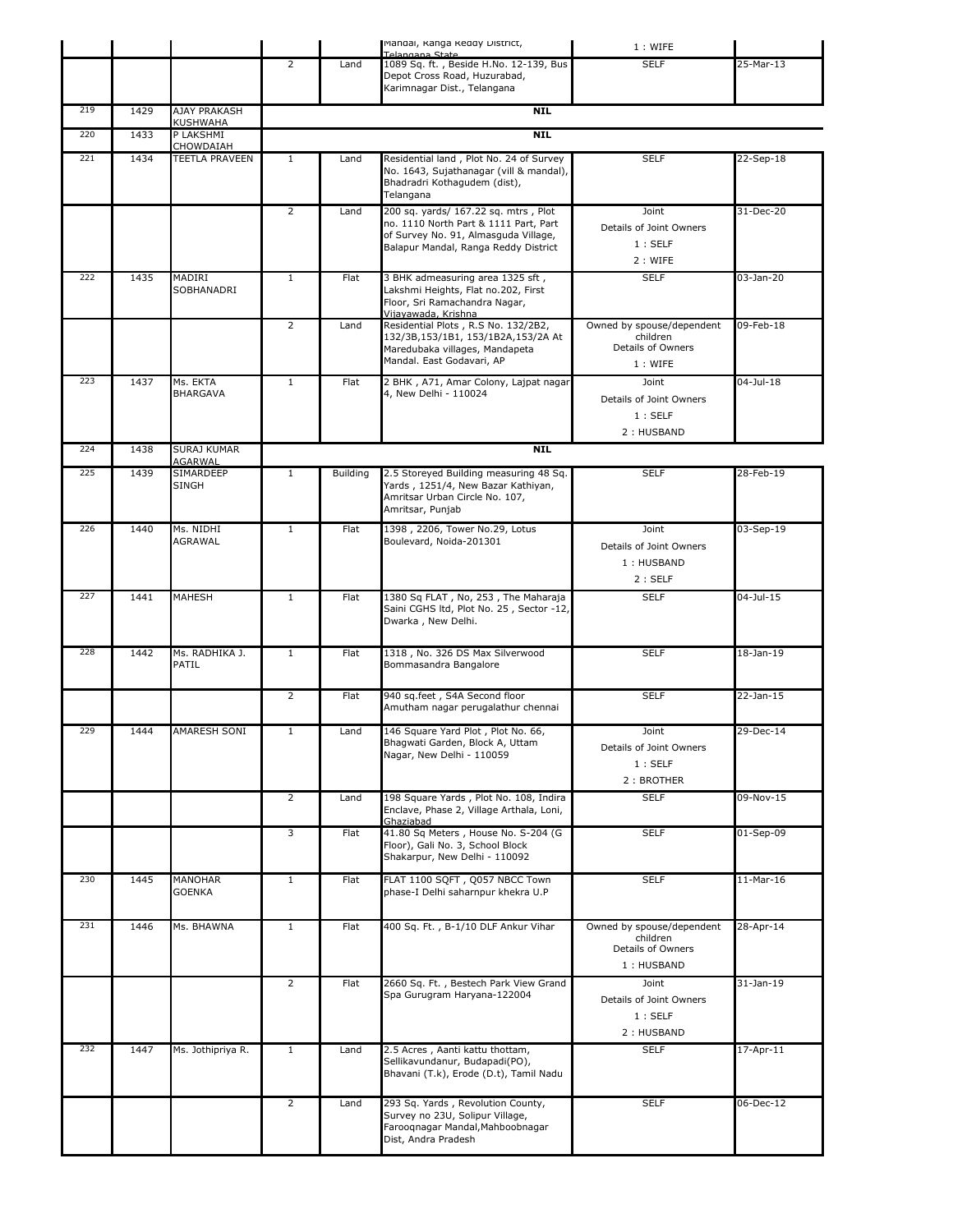|     |      |                                      |                |          | Mandal, Ranga Reddy District,<br>Telangana State                                                                                                              | 1: WIFE                                                                  |              |
|-----|------|--------------------------------------|----------------|----------|---------------------------------------------------------------------------------------------------------------------------------------------------------------|--------------------------------------------------------------------------|--------------|
|     |      |                                      | 2              | Land     | 1089 Sq. ft., Beside H.No. 12-139, Bus<br>Depot Cross Road, Huzurabad,<br>Karimnagar Dist., Telangana                                                         | <b>SELF</b>                                                              | 25-Mar-13    |
| 219 | 1429 | AJAY PRAKASH<br>KUSHWAHA             |                |          | NIL                                                                                                                                                           |                                                                          |              |
| 220 | 1433 | P LAKSHMI                            |                |          | <b>NIL</b>                                                                                                                                                    |                                                                          |              |
| 221 | 1434 | CHOWDAIAH<br>TEETLA PRAVEEN          | $\mathbf{1}$   | Land     | Residential land, Plot No. 24 of Survey<br>No. 1643, Sujathanagar (vill & mandal),<br>Bhadradri Kothagudem (dist),<br>Telangana                               | <b>SELF</b>                                                              | 22-Sep-18    |
|     |      |                                      | $\overline{2}$ | Land     | 200 sq. yards/ 167.22 sq. mtrs, Plot<br>no. 1110 North Part & 1111 Part, Part<br>of Survey No. 91, Almasguda Village,<br>Balapur Mandal, Ranga Reddy District | Joint<br>Details of Joint Owners<br>1:SELF<br>2: WIFE                    | 31-Dec-20    |
| 222 | 1435 | MADIRI<br>SOBHANADRI                 | $\mathbf{1}$   | Flat     | 3 BHK admeasuring area 1325 sft,<br>Lakshmi Heights, Flat no.202, First<br>Floor, Sri Ramachandra Nagar,<br>Vijavawada, Krishna                               | <b>SELF</b>                                                              | 03-Jan-20    |
|     |      |                                      | $\overline{2}$ | Land     | Residential Plots, R.S No. 132/2B2,<br>132/3B,153/1B1, 153/1B2A,153/2A At<br>Maredubaka villages, Mandapeta<br>Mandal. East Godavari, AP                      | Owned by spouse/dependent<br>children<br>Details of Owners<br>1: WIFE    | 09-Feb-18    |
| 223 | 1437 | Ms. EKTA<br><b>BHARGAVA</b>          | $\mathbf{1}$   | Flat     | 2 BHK, A71, Amar Colony, Lajpat nagar<br>4, New Delhi - 110024                                                                                                | Joint<br>Details of Joint Owners<br>1:SELF<br>2: HUSBAND                 | 04-Jul-18    |
| 224 | 1438 | <b>SURAJ KUMAR</b>                   |                |          | <b>NIL</b>                                                                                                                                                    |                                                                          |              |
| 225 | 1439 | AGARWAL<br>SIMARDEEP<br><b>SINGH</b> | $\mathbf{1}$   | Building | 2.5 Storeyed Building measuring 48 Sq.<br>Yards, 1251/4, New Bazar Kathiyan,<br>Amritsar Urban Circle No. 107,<br>Amritsar, Punjab                            | <b>SELF</b>                                                              | 28-Feb-19    |
| 226 | 1440 | Ms. NIDHI<br>AGRAWAL                 | $\mathbf{1}$   | Flat     | 1398, 2206, Tower No.29, Lotus<br>Boulevard, Noida-201301                                                                                                     | Joint<br>Details of Joint Owners<br>1: HUSBAND<br>2:SELF                 | 03-Sep-19    |
| 227 | 1441 | <b>MAHESH</b>                        | $\mathbf{1}$   | Flat     | 1380 Sq FLAT, No, 253, The Maharaja<br>Saini CGHS ltd, Plot No. 25, Sector -12,<br>Dwarka, New Delhi.                                                         | <b>SELF</b>                                                              | 04-Jul-15    |
| 228 | 1442 | Ms. RADHIKA J.<br>PATIL              | $\mathbf{1}$   | Flat     | 1318, No. 326 DS Max Silverwood<br>Bommasandra Bangalore                                                                                                      | <b>SELF</b>                                                              | $18$ -Jan-19 |
|     |      |                                      | $\overline{2}$ | Flat     | 940 sq.feet, S4A Second floor<br>Amutham nagar perugalathur chennai                                                                                           | <b>SELF</b>                                                              | 22-Jan-15    |
| 229 | 1444 | <b>AMARESH SONI</b>                  | $\mathbf{1}$   | Land     | 146 Square Yard Plot, Plot No. 66,<br>Bhagwati Garden, Block A, Uttam<br>Nagar, New Delhi - 110059                                                            | Joint<br>Details of Joint Owners<br>1:SELF<br>2: BROTHER                 | 29-Dec-14    |
|     |      |                                      | $\overline{2}$ | Land     | 198 Square Yards, Plot No. 108, Indira<br>Enclave, Phase 2, Village Arthala, Loni,<br>Ghaziabad                                                               | <b>SELF</b>                                                              | 09-Nov-15    |
|     |      |                                      | 3              | Flat     | 41.80 Sq Meters, House No. S-204 (G<br>Floor), Gali No. 3, School Block<br>Shakarpur, New Delhi - 110092                                                      | <b>SELF</b>                                                              | $01-Sep-09$  |
| 230 | 1445 | MANOHAR<br>GOENKA                    | $\mathbf{1}$   | Flat     | FLAT 1100 SQFT, Q057 NBCC Town<br>phase-I Delhi saharnpur khekra U.P                                                                                          | <b>SELF</b>                                                              | $11-Mar-16$  |
| 231 | 1446 | Ms. BHAWNA                           | $\mathbf{1}$   | Flat     | 400 Sq. Ft., B-1/10 DLF Ankur Vihar                                                                                                                           | Owned by spouse/dependent<br>children<br>Details of Owners<br>1: HUSBAND | 28-Apr-14    |
|     |      |                                      | $\overline{2}$ | Flat     | 2660 Sq. Ft., Bestech Park View Grand<br>Spa Gurugram Haryana-122004                                                                                          | Joint<br>Details of Joint Owners<br>1:SELF<br>2: HUSBAND                 | 31-Jan-19    |
| 232 | 1447 | Ms. Jothipriya R.                    | $\mathbf{1}$   | Land     | 2.5 Acres, Aanti kattu thottam,<br>Sellikavundanur, Budapadi(PO),<br>Bhavani (T.k), Erode (D.t), Tamil Nadu                                                   | <b>SELF</b>                                                              | 17-Apr-11    |
|     |      |                                      | $\overline{2}$ | Land     | 293 Sq. Yards, Revolution County,<br>Survey no 23U, Solipur Village,<br>Farooqnagar Mandal, Mahboobnagar<br>Dist, Andra Pradesh                               | <b>SELF</b>                                                              | 06-Dec-12    |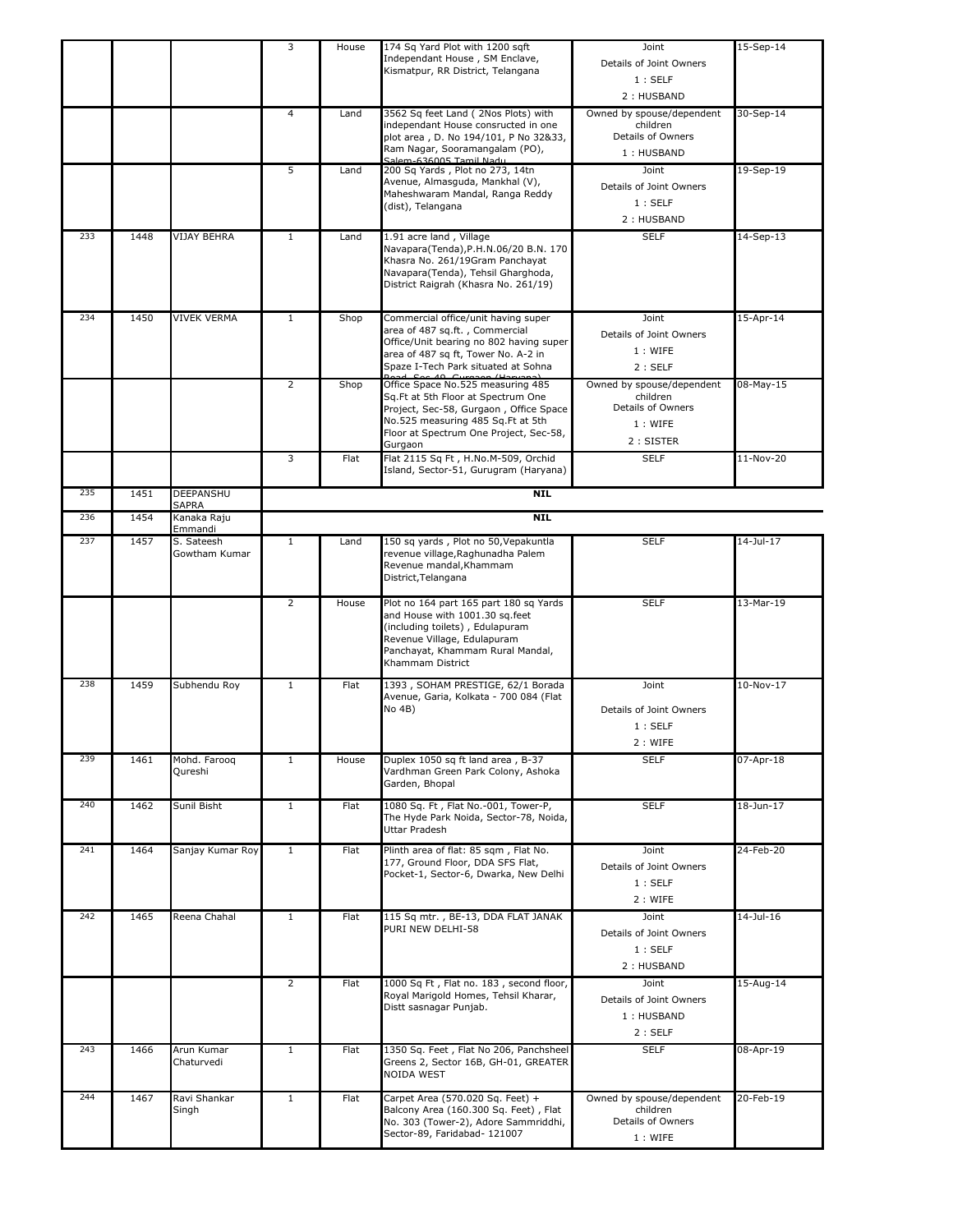|     |      |                             | 3              | House | 174 Sq Yard Plot with 1200 sqft<br>Independant House, SM Enclave,<br>Kismatpur, RR District, Telangana                                                                                                      | Joint<br>Details of Joint Owners<br>1:SELF<br>2: HUSBAND                           | 15-Sep-14    |
|-----|------|-----------------------------|----------------|-------|-------------------------------------------------------------------------------------------------------------------------------------------------------------------------------------------------------------|------------------------------------------------------------------------------------|--------------|
|     |      |                             | $\overline{4}$ | Land  | 3562 Sq feet Land (2Nos Plots) with<br>independant House consructed in one<br>plot area, D. No 194/101, P No 32&33,<br>Ram Nagar, Sooramangalam (PO),<br>Salem-636005 Tamil Nadu                            | Owned by spouse/dependent<br>children<br>Details of Owners<br>1: HUSBAND           | 30-Sep-14    |
|     |      |                             | 5              | Land  | 200 Sq Yards, Plot no 273, 14tn<br>Avenue, Almasguda, Mankhal (V),<br>Maheshwaram Mandal, Ranga Reddy<br>(dist), Telangana                                                                                  | Joint<br>Details of Joint Owners<br>1:SELF<br>2: HUSBAND                           | 19-Sep-19    |
| 233 | 1448 | <b>VIJAY BEHRA</b>          | $\mathbf{1}$   | Land  | 1.91 acre land, Village<br>Navapara(Tenda), P.H.N.06/20 B.N. 170<br>Khasra No. 261/19Gram Panchayat<br>Navapara(Tenda), Tehsil Gharghoda,<br>District Raigrah (Khasra No. 261/19)                           | <b>SELF</b>                                                                        | 14-Sep-13    |
| 234 | 1450 | <b>VIVEK VERMA</b>          | $\mathbf{1}$   | Shop  | Commercial office/unit having super<br>area of 487 sq.ft., Commercial<br>Office/Unit bearing no 802 having super<br>area of 487 sq ft, Tower No. A-2 in<br>Spaze I-Tech Park situated at Sohna              | Joint<br>Details of Joint Owners<br>1: WIFE<br>2:SELF                              | 15-Apr-14    |
|     |      |                             | $\overline{2}$ | Shop  | Office Space No.525 measuring 485<br>Sq.Ft at 5th Floor at Spectrum One<br>Project, Sec-58, Gurgaon, Office Space<br>No.525 measuring 485 Sq.Ft at 5th<br>Floor at Spectrum One Project, Sec-58,<br>Gurgaon | Owned by spouse/dependent<br>children<br>Details of Owners<br>1: WIFE<br>2: SISTER | $08$ -May-15 |
|     |      |                             | 3              | Flat  | Flat 2115 Sq Ft, H.No.M-509, Orchid<br>Island, Sector-51, Gurugram (Haryana)                                                                                                                                | <b>SELF</b>                                                                        | 11-Nov-20    |
| 235 | 1451 | DEEPANSHU<br><b>SAPRA</b>   |                |       | <b>NIL</b>                                                                                                                                                                                                  |                                                                                    |              |
| 236 | 1454 | Kanaka Raju<br>Emmandi      |                |       | <b>NIL</b>                                                                                                                                                                                                  |                                                                                    |              |
| 237 | 1457 | S. Sateesh<br>Gowtham Kumar | $\mathbf{1}$   | Land  | 150 sq yards, Plot no 50, Vepakuntla<br>revenue village, Raghunadha Palem<br>Revenue mandal, Khammam<br>District, Telangana                                                                                 | <b>SELF</b>                                                                        | 14-Jul-17    |
|     |      |                             | $\overline{2}$ | House | Plot no 164 part 165 part 180 sq Yards<br>and House with 1001.30 sq.feet<br>(including toilets), Edulapuram<br>Revenue Village, Edulapuram<br>Panchayat, Khammam Rural Mandal,<br>Khammam District          | <b>SELF</b>                                                                        | 13-Mar-19    |
| 238 | 1459 | Subhendu Roy                | $\mathbf{1}$   | Flat  | 1393, SOHAM PRESTIGE, 62/1 Borada<br>Avenue, Garia, Kolkata - 700 084 (Flat<br>No 4B)                                                                                                                       | Joint<br>Details of Joint Owners<br>1:SELF<br>2 : WIFE                             | 10-Nov-17    |
| 239 | 1461 | Mohd. Faroog<br>Qureshi     | $\mathbf{1}$   | House | Duplex 1050 sq ft land area, B-37<br>Vardhman Green Park Colony, Ashoka<br>Garden, Bhopal                                                                                                                   | <b>SELF</b>                                                                        | 07-Apr-18    |
| 240 | 1462 | Sunil Bisht                 | $\mathbf{1}$   | Flat  | 1080 Sq. Ft, Flat No.-001, Tower-P,                                                                                                                                                                         | <b>SELF</b>                                                                        | 18-Jun-17    |
| 241 |      |                             |                |       | The Hyde Park Noida, Sector-78, Noida,<br>Uttar Pradesh                                                                                                                                                     |                                                                                    |              |
|     | 1464 | Sanjay Kumar Roy            | $\mathbf{1}$   | Flat  | Plinth area of flat: 85 sqm, Flat No.<br>177, Ground Floor, DDA SFS Flat,<br>Pocket-1, Sector-6, Dwarka, New Delhi                                                                                          | Joint<br>Details of Joint Owners<br>1:SELF<br>2 : WIFE                             | 24-Feb-20    |
| 242 | 1465 | Reena Chahal                | $\mathbf{1}$   | Flat  | 115 Sq mtr., BE-13, DDA FLAT JANAK<br>PURI NEW DELHI-58                                                                                                                                                     | Joint<br>Details of Joint Owners<br>1:SELF<br>2: HUSBAND                           | 14-Jul-16    |
|     |      |                             | $\overline{2}$ | Flat  | 1000 Sq Ft, Flat no. 183, second floor,<br>Royal Marigold Homes, Tehsil Kharar,<br>Distt sasnagar Punjab.                                                                                                   | Joint<br>Details of Joint Owners<br>1: HUSBAND<br>2:SELF                           | 15-Aug-14    |
| 243 | 1466 | Arun Kumar<br>Chaturvedi    | $\mathbf{1}$   | Flat  | 1350 Sq. Feet, Flat No 206, Panchsheel<br>Greens 2, Sector 16B, GH-01, GREATER<br>NOIDA WEST                                                                                                                | <b>SELF</b>                                                                        | 08-Apr-19    |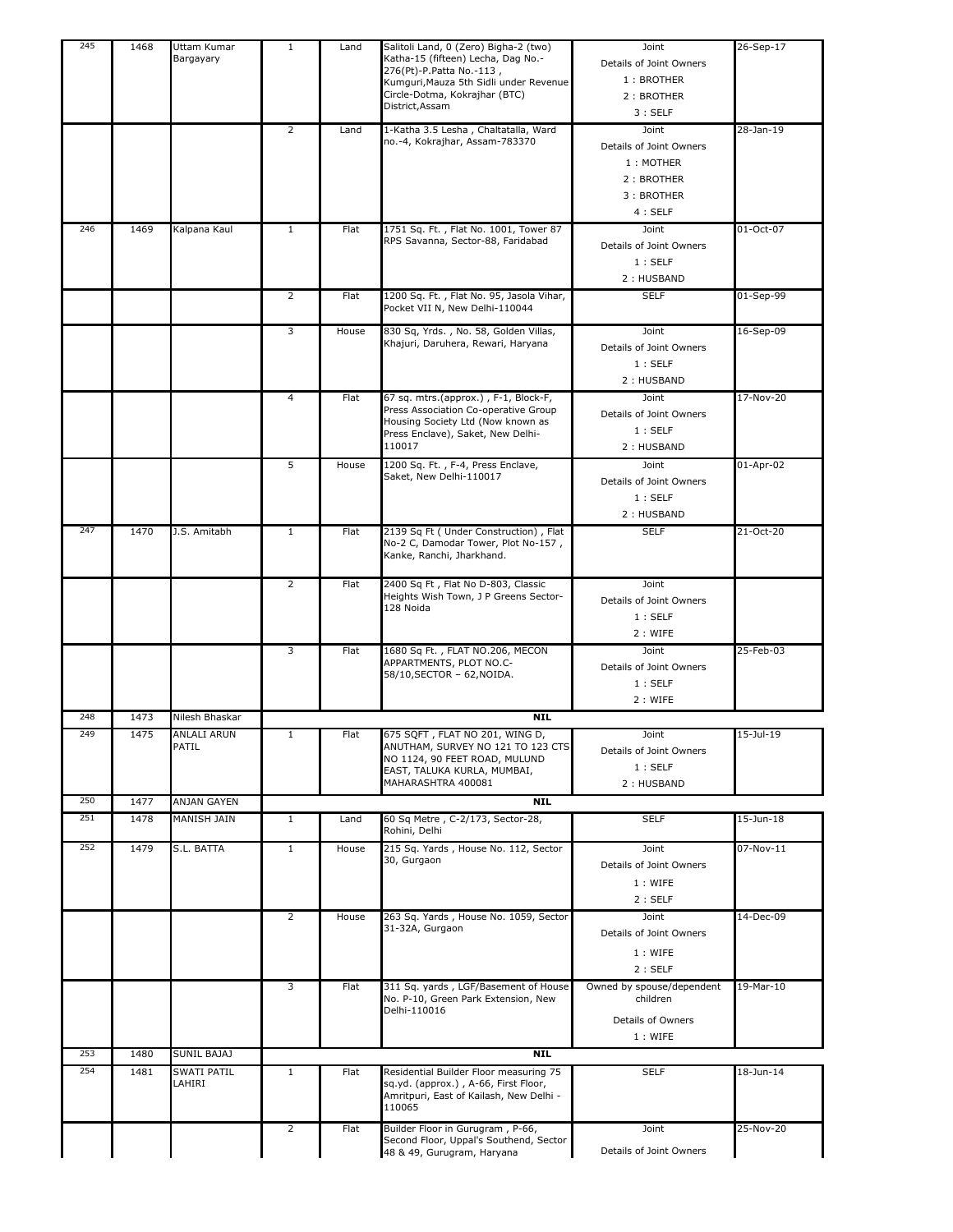| 245 | 1468 | Uttam Kumar<br>Bargayary    | $\mathbf{1}$   | Land  | Salitoli Land, 0 (Zero) Bigha-2 (two)<br>Katha-15 (fifteen) Lecha, Dag No.-<br>276(Pt)-P.Patta No.-113,<br>Kumguri, Mauza 5th Sidli under Revenue<br>Circle-Dotma, Kokrajhar (BTC)<br>District, Assam | Joint<br>Details of Joint Owners<br>1: BROTHER<br>2: BROTHER<br>3:SELF              | 26-Sep-17    |
|-----|------|-----------------------------|----------------|-------|-------------------------------------------------------------------------------------------------------------------------------------------------------------------------------------------------------|-------------------------------------------------------------------------------------|--------------|
|     |      |                             | $\overline{2}$ | Land  | 1-Katha 3.5 Lesha, Chaltatalla, Ward<br>no.-4, Kokrajhar, Assam-783370                                                                                                                                | Joint<br>Details of Joint Owners<br>1: MOTHER<br>2: BROTHER<br>3: BROTHER<br>4:SELF | 28-Jan-19    |
| 246 | 1469 | Kalpana Kaul                | $\mathbf{1}$   | Flat  | 1751 Sq. Ft., Flat No. 1001, Tower 87<br>RPS Savanna, Sector-88, Faridabad                                                                                                                            | Joint<br>Details of Joint Owners<br>1:SELF<br>2: HUSBAND                            | 01-Oct-07    |
|     |      |                             | $\overline{2}$ | Flat  | 1200 Sq. Ft., Flat No. 95, Jasola Vihar,<br>Pocket VII N, New Delhi-110044                                                                                                                            | <b>SELF</b>                                                                         | 01-Sep-99    |
|     |      |                             | 3              | House | 830 Sq, Yrds., No. 58, Golden Villas,<br>Khajuri, Daruhera, Rewari, Haryana                                                                                                                           | Joint<br>Details of Joint Owners<br>1:SELF<br>2: HUSBAND                            | 16-Sep-09    |
|     |      |                             | 4              | Flat  | 67 sq. mtrs.(approx.), F-1, Block-F,<br>Press Association Co-operative Group<br>Housing Society Ltd (Now known as<br>Press Enclave), Saket, New Delhi-<br>110017                                      | Joint<br>Details of Joint Owners<br>1:SELF<br>2: HUSBAND                            | 17-Nov-20    |
|     |      |                             | 5              | House | 1200 Sq. Ft., F-4, Press Enclave,<br>Saket, New Delhi-110017                                                                                                                                          | Joint<br>Details of Joint Owners<br>1:SELF<br>2: HUSBAND                            | 01-Apr-02    |
| 247 | 1470 | J.S. Amitabh                | $\mathbf{1}$   | Flat  | 2139 Sq Ft ( Under Construction), Flat<br>No-2 C, Damodar Tower, Plot No-157,<br>Kanke, Ranchi, Jharkhand.                                                                                            | <b>SELF</b>                                                                         | 21-Oct-20    |
|     |      |                             | 2              | Flat  | 2400 Sq Ft, Flat No D-803, Classic<br>Heights Wish Town, J P Greens Sector-<br>128 Noida                                                                                                              | Joint<br>Details of Joint Owners<br>1:SELF<br>2 : WIFE                              |              |
|     |      |                             | 3              | Flat  | 1680 Sq Ft., FLAT NO.206, MECON<br>APPARTMENTS, PLOT NO.C-<br>58/10, SECTOR - 62, NOIDA.                                                                                                              | Joint<br>Details of Joint Owners<br>1:SELF<br>2: WIFE                               | 25-Feb-03    |
| 248 | 1473 | Nilesh Bhaskar              |                |       | <b>NIL</b>                                                                                                                                                                                            |                                                                                     |              |
| 249 | 1475 | <b>ANLALI ARUN</b><br>PATIL | 1              | Flat  | 675 SQFT, FLAT NO 201, WING D,<br>ANUTHAM, SURVEY NO 121 TO 123 CTS<br>NO 1124, 90 FEET ROAD, MULUND<br>EAST, TALUKA KURLA, MUMBAI,<br>MAHARASHTRA 400081                                             | Joint<br>Details of Joint Owners<br>1:SELF<br>2: HUSBAND                            | 15-Jul-19    |
| 250 | 1477 | ANJAN GAYEN                 |                |       | <b>NIL</b>                                                                                                                                                                                            |                                                                                     |              |
| 251 | 1478 | MANISH JAIN                 | $\mathbf{1}$   | Land  | 60 Sq Metre, C-2/173, Sector-28,<br>Rohini, Delhi                                                                                                                                                     | <b>SELF</b>                                                                         | $15$ -Jun-18 |
| 252 | 1479 | S.L. BATTA                  | $\mathbf{1}$   | House | 215 Sq. Yards, House No. 112, Sector<br>30, Gurgaon                                                                                                                                                   | Joint<br>Details of Joint Owners<br>1: WIFE<br>2:SELF                               | 07-Nov-11    |
|     |      |                             | $\overline{2}$ | House | 263 Sq. Yards, House No. 1059, Sector<br>31-32A, Gurgaon                                                                                                                                              | Joint<br>Details of Joint Owners<br>1: WIFE<br>2:SELF                               | 14-Dec-09    |
|     |      |                             | 3              | Flat  | 311 Sq. yards, LGF/Basement of House<br>No. P-10, Green Park Extension, New<br>Delhi-110016                                                                                                           | Owned by spouse/dependent<br>children<br>Details of Owners<br>1: WIFE               | 19-Mar-10    |
| 253 | 1480 | SUNIL BAJAJ                 |                |       | <b>NIL</b>                                                                                                                                                                                            |                                                                                     |              |
| 254 | 1481 | SWATI PATIL<br>LAHIRI       | $\mathbf{1}$   | Flat  | Residential Builder Floor measuring 75<br>sq.yd. (approx.), A-66, First Floor,<br>Amritpuri, East of Kailash, New Delhi -<br>110065                                                                   | <b>SELF</b>                                                                         | 18-Jun-14    |
|     |      |                             | $\overline{2}$ | Flat  | Builder Floor in Gurugram, P-66,<br>Second Floor, Uppal's Southend, Sector<br>48 & 49, Gurugram, Haryana                                                                                              | Joint<br>Details of Joint Owners                                                    | 25-Nov-20    |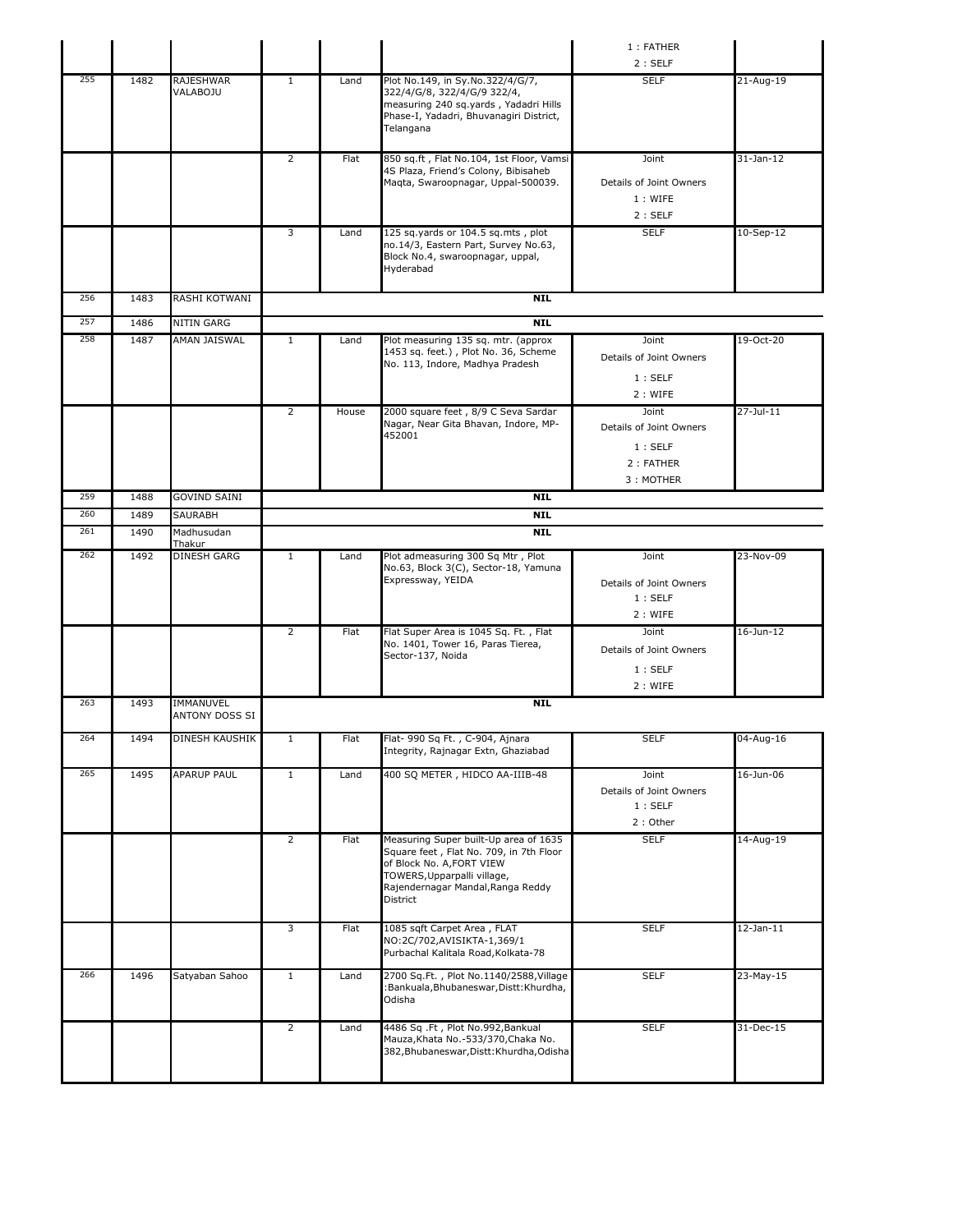|     |      |                             |                |       |                                                                                                                                                                                               | 1 : FATHER                                                           |                 |
|-----|------|-----------------------------|----------------|-------|-----------------------------------------------------------------------------------------------------------------------------------------------------------------------------------------------|----------------------------------------------------------------------|-----------------|
|     |      |                             |                |       |                                                                                                                                                                                               | 2:SELF                                                               |                 |
| 255 | 1482 | RAJESHWAR<br>VALABOJU       | $\mathbf{1}$   | Land  | Plot No.149, in Sy.No.322/4/G/7,<br>322/4/G/8, 322/4/G/9 322/4,<br>measuring 240 sq.yards, Yadadri Hills<br>Phase-I, Yadadri, Bhuvanagiri District,<br>Telangana                              | <b>SELF</b>                                                          | 21-Aug-19       |
|     |      |                             | $\overline{2}$ | Flat  | 850 sq.ft, Flat No.104, 1st Floor, Vamsi<br>4S Plaza, Friend's Colony, Bibisaheb<br>Magta, Swaroopnagar, Uppal-500039.                                                                        | Joint<br>Details of Joint Owners<br>1: WIFE<br>2:SELF                | $31$ -Jan-12    |
|     |      |                             | 3              | Land  | 125 sq.yards or 104.5 sq.mts, plot<br>no.14/3, Eastern Part, Survey No.63,<br>Block No.4, swaroopnagar, uppal,<br>Hyderabad                                                                   | <b>SELF</b>                                                          | 10-Sep-12       |
| 256 | 1483 | RASHI KOTWANI               |                |       | <b>NIL</b>                                                                                                                                                                                    |                                                                      |                 |
| 257 | 1486 | NITIN GARG                  |                |       | <b>NIL</b>                                                                                                                                                                                    |                                                                      |                 |
| 258 | 1487 | AMAN JAISWAL                | $\mathbf{1}$   | Land  | Plot measuring 135 sq. mtr. (approx<br>1453 sq. feet.), Plot No. 36, Scheme<br>No. 113, Indore, Madhya Pradesh                                                                                | Joint<br>Details of Joint Owners<br>1:SELF<br>2 : WIFE               | 19-Oct-20       |
|     |      |                             | 2              | House | 2000 square feet, 8/9 C Seva Sardar<br>Nagar, Near Gita Bhavan, Indore, MP-<br>452001                                                                                                         | Joint<br>Details of Joint Owners<br>1:SELF<br>2: FATHER<br>3: MOTHER | 27-Jul-11       |
| 259 | 1488 | <b>GOVIND SAINI</b>         |                |       | <b>NIL</b>                                                                                                                                                                                    |                                                                      |                 |
| 260 | 1489 | SAURABH                     |                |       | <b>NIL</b>                                                                                                                                                                                    |                                                                      |                 |
| 261 | 1490 | Madhusudan<br>Thakur        |                |       | <b>NIL</b>                                                                                                                                                                                    |                                                                      |                 |
| 262 | 1492 | <b>DINESH GARG</b>          | $\mathbf{1}$   | Land  | Plot admeasuring 300 Sq Mtr, Plot<br>No.63, Block 3(C), Sector-18, Yamuna<br>Expressway, YEIDA                                                                                                | Joint<br>Details of Joint Owners<br>1:SELF<br>2: WIFE                | 23-Nov-09       |
|     |      |                             | $\overline{2}$ | Flat  | Flat Super Area is 1045 Sq. Ft., Flat<br>No. 1401, Tower 16, Paras Tierea,<br>Sector-137, Noida                                                                                               | Joint<br>Details of Joint Owners<br>1:SELF<br>2 : WIFE               | 16-Jun-12       |
| 263 | 1493 | IMMANUVEL<br>ANTONY DOSS SI |                |       | <b>NIL</b>                                                                                                                                                                                    |                                                                      |                 |
| 264 | 1494 | DINESH KAUSHIK              |                | Flat  | Flat- 990 Sq Ft., C-904, Ajnara<br>Integrity, Rajnagar Extn, Ghaziabad                                                                                                                        | <b>SELF</b>                                                          | 04-Aug-16       |
| 265 | 1495 | <b>APARUP PAUL</b>          | $\mathbf{1}$   | Land  | 400 SQ METER, HIDCO AA-IIIB-48                                                                                                                                                                | Joint<br>Details of Joint Owners<br>1:SELF<br>2: Other               | 16-Jun-06       |
|     |      |                             | $\overline{2}$ | Flat  | Measuring Super built-Up area of 1635<br>Square feet, Flat No. 709, in 7th Floor<br>of Block No. A, FORT VIEW<br>TOWERS, Upparpalli village,<br>Rajendernagar Mandal, Ranga Reddy<br>District | <b>SELF</b>                                                          | 14-Aug-19       |
|     |      |                             | 3              | Flat  | 1085 sqft Carpet Area, FLAT<br>NO:2C/702,AVISIKTA-1,369/1<br>Purbachal Kalitala Road, Kolkata-78                                                                                              | <b>SELF</b>                                                          | $12$ -Jan- $11$ |
| 266 | 1496 | Satyaban Sahoo              | $\mathbf 1$    | Land  | 2700 Sq.Ft., Plot No.1140/2588, Village<br>:Bankuala,Bhubaneswar,Distt:Khurdha,<br>Odisha                                                                                                     | <b>SELF</b>                                                          | 23-May-15       |
|     |      |                             | $\overline{2}$ | Land  | 4486 Sq .Ft, Plot No.992, Bankual<br>Mauza, Khata No. - 533/370, Chaka No.<br>382, Bhubaneswar, Distt: Khurdha, Odisha                                                                        | <b>SELF</b>                                                          | 31-Dec-15       |
|     |      |                             |                |       |                                                                                                                                                                                               |                                                                      |                 |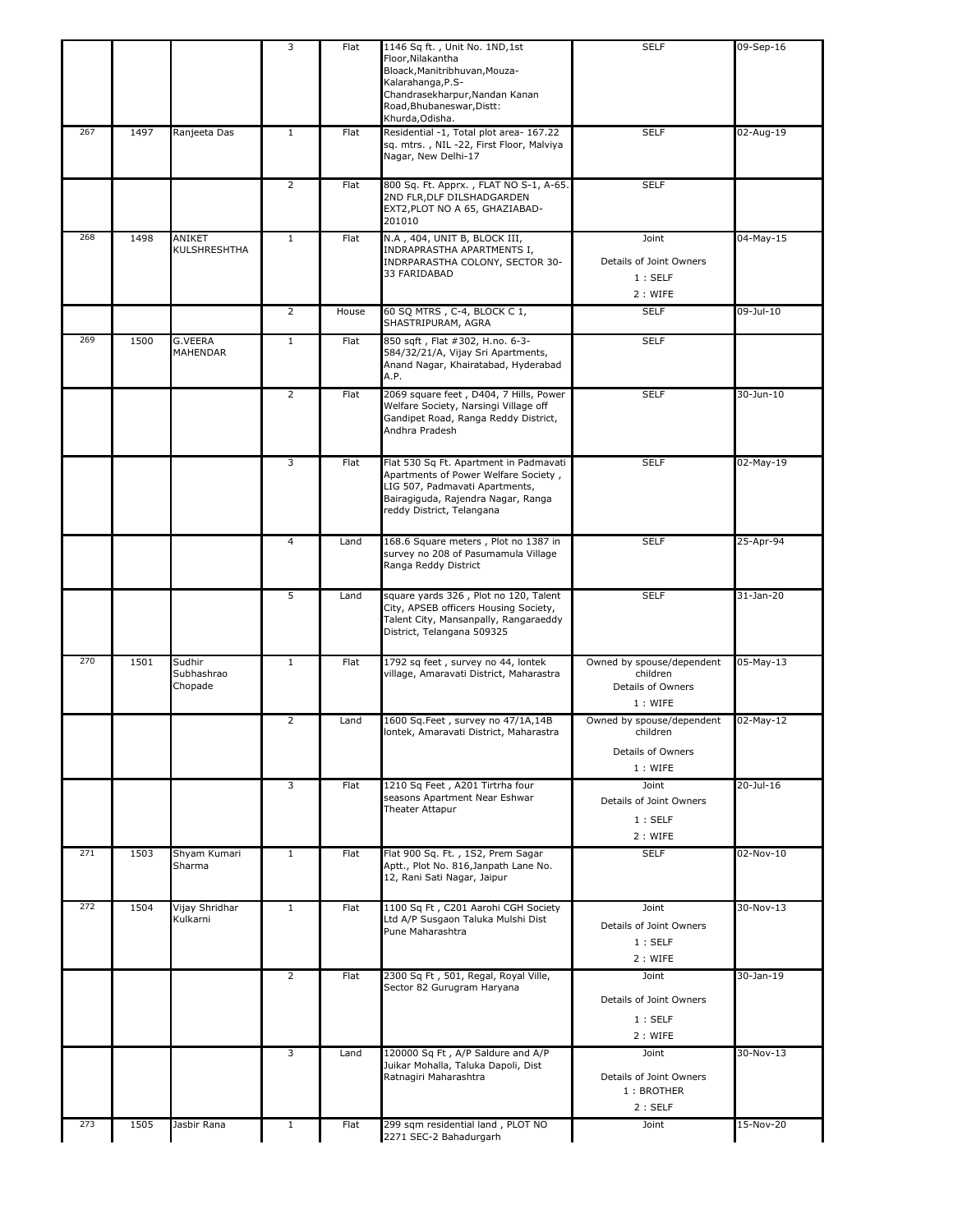|     |      |                                 | 3              | Flat  | 1146 Sq ft., Unit No. 1ND, 1st<br>Floor, Nilakantha<br>Bloack, Manitribhuvan, Mouza-<br>Kalarahanga, P.S-<br>Chandrasekharpur, Nandan Kanan<br>Road, Bhubaneswar, Distt:<br>Khurda, Odisha. | <b>SELF</b>                                                                  | 09-Sep-16 |
|-----|------|---------------------------------|----------------|-------|---------------------------------------------------------------------------------------------------------------------------------------------------------------------------------------------|------------------------------------------------------------------------------|-----------|
| 267 | 1497 | Ranjeeta Das                    | $\mathbf{1}$   | Flat  | Residential -1, Total plot area- 167.22<br>sq. mtrs., NIL-22, First Floor, Malviya<br>Nagar, New Delhi-17                                                                                   | <b>SELF</b>                                                                  | 02-Aug-19 |
|     |      |                                 | $\overline{2}$ | Flat  | 800 Sq. Ft. Apprx., FLAT NO S-1, A-65.<br>2ND FLR, DLF DILSHADGARDEN<br>EXT2, PLOT NO A 65, GHAZIABAD-<br>201010                                                                            | <b>SELF</b>                                                                  |           |
| 268 | 1498 | ANIKET<br><b>KULSHRESHTHA</b>   | $\mathbf{1}$   | Flat  | N.A, 404, UNIT B, BLOCK III,<br>INDRAPRASTHA APARTMENTS I,<br>INDRPARASTHA COLONY, SECTOR 30-<br>33 FARIDABAD                                                                               | Joint<br>Details of Joint Owners<br>1:SELF<br>2 : WIFE                       | 04-May-15 |
|     |      |                                 | $\overline{2}$ | House | 60 SQ MTRS, C-4, BLOCK C 1,<br>SHASTRIPURAM, AGRA                                                                                                                                           | <b>SELF</b>                                                                  | 09-Jul-10 |
| 269 | 1500 | G.VEERA<br>MAHENDAR             | $\mathbf{1}$   | Flat  | 850 sqft, Flat #302, H.no. 6-3-<br>584/32/21/A, Vijay Sri Apartments,<br>Anand Nagar, Khairatabad, Hyderabad<br>A.P.                                                                        | <b>SELF</b>                                                                  |           |
|     |      |                                 | $\overline{2}$ | Flat  | 2069 square feet, D404, 7 Hills, Power<br>Welfare Society, Narsingi Village off<br>Gandipet Road, Ranga Reddy District,<br>Andhra Pradesh                                                   | <b>SELF</b>                                                                  | 30-Jun-10 |
|     |      |                                 | 3              | Flat  | Flat 530 Sq Ft. Apartment in Padmavati<br>Apartments of Power Welfare Society,<br>LIG 507, Padmavati Apartments,<br>Bairagiguda, Rajendra Nagar, Ranga<br>reddy District, Telangana         | <b>SELF</b>                                                                  | 02-May-19 |
|     |      |                                 | $\overline{4}$ | Land  | 168.6 Square meters, Plot no 1387 in<br>survey no 208 of Pasumamula Village<br>Ranga Reddy District                                                                                         | <b>SELF</b>                                                                  | 25-Apr-94 |
|     |      |                                 | 5              | Land  | square yards 326, Plot no 120, Talent<br>City, APSEB officers Housing Society,<br>Talent City, Mansanpally, Rangaraeddy<br>District, Telangana 509325                                       | <b>SELF</b>                                                                  | 31-Jan-20 |
| 270 | 1501 | Sudhir<br>Subhashrao<br>Chopade | $\mathbf{1}$   | Flat  | 1792 sq feet, survey no 44, lontek<br>village, Amaravati District, Maharastra                                                                                                               | Owned by spouse/dependent<br>children<br><b>Details of Owners</b><br>1: WIFE | 05-May-13 |
|     |      |                                 | 2              | Land  | 1600 Sq.Feet, survey no 47/1A,14B<br>lontek, Amaravati District, Maharastra                                                                                                                 | Owned by spouse/dependent<br>children<br><b>Details of Owners</b><br>1: WIFE | 02-May-12 |
|     |      |                                 | 3              | Flat  | 1210 Sq Feet, A201 Tirtrha four<br>seasons Apartment Near Eshwar<br>Theater Attapur                                                                                                         | Joint<br>Details of Joint Owners<br>1:SELF<br>2 : WIFE                       | 20-Jul-16 |
| 271 | 1503 | Shyam Kumari<br>Sharma          | $\mathbf{1}$   | Flat  | Flat 900 Sq. Ft., 1S2, Prem Sagar<br>Aptt., Plot No. 816, Janpath Lane No.<br>12, Rani Sati Nagar, Jaipur                                                                                   | <b>SELF</b>                                                                  | 02-Nov-10 |
| 272 | 1504 | Vijay Shridhar<br>Kulkarni      | $\mathbf{1}$   | Flat  | 1100 Sq Ft, C201 Aarohi CGH Society<br>Ltd A/P Susgaon Taluka Mulshi Dist<br>Pune Maharashtra                                                                                               | Joint<br>Details of Joint Owners<br>1:SELF<br>2: WIFE                        | 30-Nov-13 |
|     |      |                                 | $\overline{2}$ | Flat  | 2300 Sq Ft, 501, Regal, Royal Ville,<br>Sector 82 Gurugram Haryana                                                                                                                          | Joint<br>Details of Joint Owners<br>1:SELF<br>2: WIFE                        | 30-Jan-19 |
|     |      |                                 | 3              | Land  | 120000 Sq Ft, A/P Saldure and A/P<br>Juikar Mohalla, Taluka Dapoli, Dist<br>Ratnagiri Maharashtra                                                                                           | Joint<br>Details of Joint Owners<br>1: BROTHER<br>2:SELF                     | 30-Nov-13 |
| 273 | 1505 | Jasbir Rana                     | $\mathbf{1}$   | Flat  | 299 sqm residential land, PLOT NO<br>2271 SEC-2 Bahadurgarh                                                                                                                                 | Joint                                                                        | 15-Nov-20 |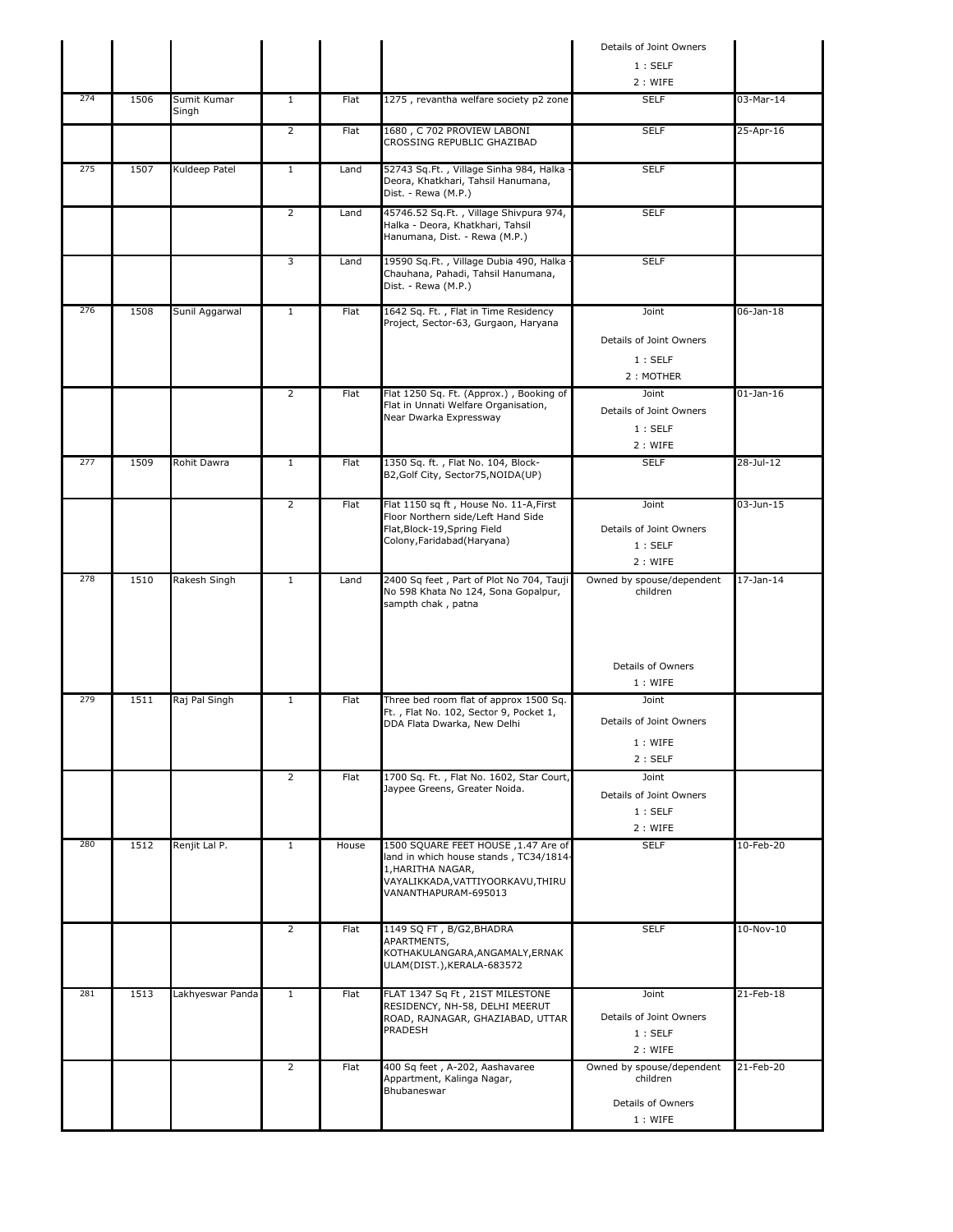|     |      |                      |                |             |                                                                                                                                                                | Details of Joint Owners                                               |                 |
|-----|------|----------------------|----------------|-------------|----------------------------------------------------------------------------------------------------------------------------------------------------------------|-----------------------------------------------------------------------|-----------------|
|     |      |                      |                |             |                                                                                                                                                                | 1:SELF                                                                |                 |
|     |      |                      |                |             |                                                                                                                                                                | 2: WIFE                                                               |                 |
| 274 | 1506 | Sumit Kumar<br>Singh | $\mathbf{1}$   | Flat        | 1275, revantha welfare society p2 zone                                                                                                                         | <b>SELF</b>                                                           | 03-Mar-14       |
|     |      |                      | $\overline{2}$ | Flat        | 1680, C 702 PROVIEW LABONI<br>CROSSING REPUBLIC GHAZIBAD                                                                                                       | <b>SELF</b>                                                           | 25-Apr-16       |
| 275 | 1507 | Kuldeep Patel        | $\mathbf{1}$   | Land        | 52743 Sq.Ft., Village Sinha 984, Halka ·<br>Deora, Khatkhari, Tahsil Hanumana,<br>Dist. - Rewa (M.P.)                                                          | <b>SELF</b>                                                           |                 |
|     |      |                      | $\overline{2}$ | Land        | 45746.52 Sq.Ft., Village Shivpura 974,<br>Halka - Deora, Khatkhari, Tahsil<br>Hanumana, Dist. - Rewa (M.P.)                                                    | <b>SELF</b>                                                           |                 |
|     |      |                      | 3              | Land        | 19590 Sq.Ft., Village Dubia 490, Halka<br>Chauhana, Pahadi, Tahsil Hanumana,<br>Dist. - Rewa (M.P.)                                                            | <b>SELF</b>                                                           |                 |
| 276 | 1508 | Sunil Aggarwal       | $\mathbf{1}$   | Flat        | 1642 Sq. Ft., Flat in Time Residency<br>Project, Sector-63, Gurgaon, Haryana                                                                                   | Joint<br>Details of Joint Owners<br>1:SELF<br>2: MOTHER               | 06-Jan-18       |
|     |      |                      | 2              | Flat        | Flat 1250 Sq. Ft. (Approx.), Booking of<br>Flat in Unnati Welfare Organisation,<br>Near Dwarka Expressway                                                      | Joint<br>Details of Joint Owners<br>1:SELF<br>2: WIFE                 | $01$ -Jan-16    |
| 277 | 1509 | Rohit Dawra          | $\mathbf{1}$   | <b>Flat</b> | 1350 Sq. ft., Flat No. 104, Block-<br>B2, Golf City, Sector 75, NOIDA(UP)                                                                                      | <b>SELF</b>                                                           | 28-Jul-12       |
|     |      |                      | $\overline{2}$ | <b>Flat</b> | Flat 1150 sq ft, House No. 11-A, First<br>Floor Northern side/Left Hand Side<br>Flat, Block-19, Spring Field<br>Colony, Faridabad (Haryana)                    | Joint<br>Details of Joint Owners<br>1:SELF<br>2: WIFE                 | $03 - Jun - 15$ |
| 278 | 1510 | Rakesh Singh         | $\mathbf{1}$   | Land        | 2400 Sq feet, Part of Plot No 704, Tauji<br>No 598 Khata No 124, Sona Gopalpur,<br>sampth chak, patna                                                          | Owned by spouse/dependent<br>children                                 | $17-$ Jan $-14$ |
|     |      |                      |                |             |                                                                                                                                                                | Details of Owners<br>1: WIFE                                          |                 |
| 279 | 1511 | Raj Pal Singh        | $\mathbf{1}$   | Flat        | Three bed room flat of approx 1500 Sq.<br>Ft., Flat No. 102, Sector 9, Pocket 1,<br>DDA Flata Dwarka, New Delhi                                                | Joint<br>Details of Joint Owners<br>1: WIFE<br>2:SELF                 |                 |
|     |      |                      | $\overline{2}$ | Flat        | 1700 Sq. Ft., Flat No. 1602, Star Court,<br>Jaypee Greens, Greater Noida.                                                                                      | Joint<br>Details of Joint Owners<br>1:SELF<br>2 : WIFE                |                 |
| 280 | 1512 | Renjit Lal P.        | $\mathbf{1}$   | House       | 1500 SQUARE FEET HOUSE , 1.47 Are of<br>land in which house stands, TC34/1814-<br>1, HARITHA NAGAR,<br>VAYALIKKADA,VATTIYOORKAVU,THIRU<br>VANANTHAPURAM-695013 | <b>SELF</b>                                                           | 10-Feb-20       |
|     |      |                      | $\overline{2}$ | Flat        | 1149 SQ FT, B/G2, BHADRA<br>APARTMENTS,<br>KOTHAKULANGARA,ANGAMALY,ERNAK<br>ULAM(DIST.), KERALA-683572                                                         | <b>SELF</b>                                                           | $10-Nov-10$     |
| 281 | 1513 | Lakhyeswar Panda     | $\mathbf{1}$   | Flat        | FLAT 1347 Sq Ft, 21ST MILESTONE<br>RESIDENCY, NH-58, DELHI MEERUT<br>ROAD, RAJNAGAR, GHAZIABAD, UTTAR<br>PRADESH                                               | Joint<br>Details of Joint Owners<br>1:SELF<br>2 : WIFE                | 21-Feb-18       |
|     |      |                      | $\overline{2}$ | Flat        | 400 Sq feet, A-202, Aashavaree<br>Appartment, Kalinga Nagar,<br>Bhubaneswar                                                                                    | Owned by spouse/dependent<br>children<br>Details of Owners<br>1: WIFE | 21-Feb-20       |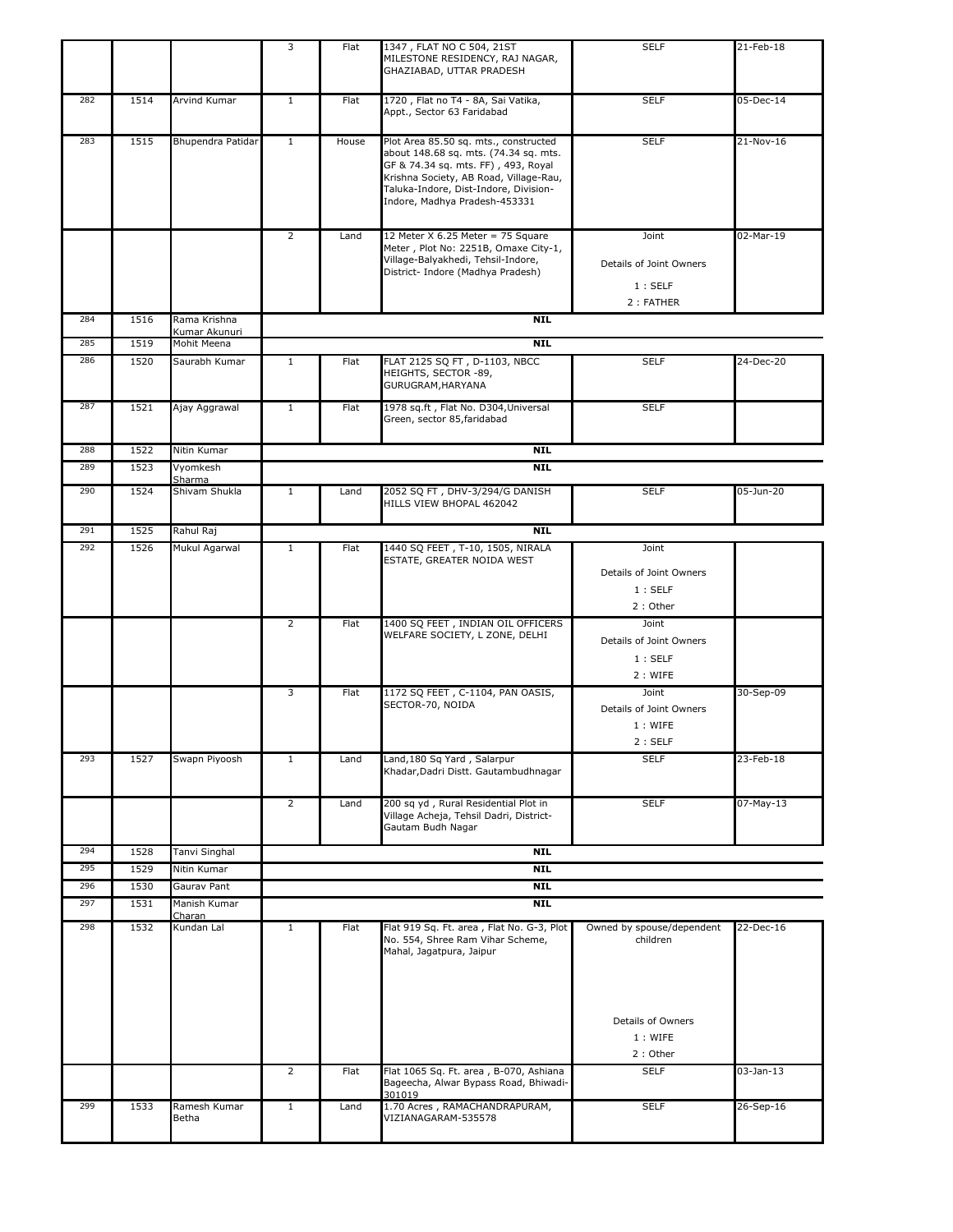|            |              |                               | 3              | Flat  | 1347, FLAT NO C 504, 21ST<br>MILESTONE RESIDENCY, RAJ NAGAR,<br>GHAZIABAD, UTTAR PRADESH                                                                                                                                                  | <b>SELF</b>                                            | 21-Feb-18       |
|------------|--------------|-------------------------------|----------------|-------|-------------------------------------------------------------------------------------------------------------------------------------------------------------------------------------------------------------------------------------------|--------------------------------------------------------|-----------------|
| 282        | 1514         | Arvind Kumar                  | 1              | Flat  | 1720, Flat no T4 - 8A, Sai Vatika,<br>Appt., Sector 63 Faridabad                                                                                                                                                                          | <b>SELF</b>                                            | 05-Dec-14       |
| 283        | 1515         | Bhupendra Patidar             | $\mathbf{1}$   | House | Plot Area 85.50 sq. mts., constructed<br>about 148.68 sq. mts. (74.34 sq. mts.<br>GF & 74.34 sq. mts. FF), 493, Royal<br>Krishna Society, AB Road, Village-Rau,<br>Taluka-Indore, Dist-Indore, Division-<br>Indore, Madhya Pradesh-453331 | <b>SELF</b>                                            | 21-Nov-16       |
|            |              |                               | $\overline{2}$ | Land  | 12 Meter $X$ 6.25 Meter = 75 Square<br>Meter, Plot No: 2251B, Omaxe City-1,<br>Village-Balyakhedi, Tehsil-Indore,<br>District- Indore (Madhya Pradesh)                                                                                    | Joint<br>Details of Joint Owners<br>1:SELF             | 02-Mar-19       |
|            |              |                               |                |       |                                                                                                                                                                                                                                           | 2: FATHER                                              |                 |
| 284        | 1516         | Rama Krishna<br>Kumar Akunuri |                |       | <b>NIL</b>                                                                                                                                                                                                                                |                                                        |                 |
| 285        | 1519         | Mohit Meena                   |                |       | <b>NIL</b>                                                                                                                                                                                                                                |                                                        |                 |
| 286        | 1520         | Saurabh Kumar                 | 1              | Flat  | FLAT 2125 SQ FT, D-1103, NBCC<br>HEIGHTS, SECTOR -89,<br>GURUGRAM, HARYANA                                                                                                                                                                | <b>SELF</b>                                            | 24-Dec-20       |
| 287        | 1521         | Ajay Aggrawal                 | $\mathbf{1}$   | Flat  | 1978 sq.ft, Flat No. D304, Universal<br>Green, sector 85, faridabad                                                                                                                                                                       | <b>SELF</b>                                            |                 |
| 288        | 1522         | Nitin Kumar                   |                |       | <b>NIL</b>                                                                                                                                                                                                                                |                                                        |                 |
| 289        | 1523         | Vyomkesh<br>Sharma            |                |       | <b>NIL</b>                                                                                                                                                                                                                                |                                                        |                 |
| 290        | 1524         | Shivam Shukla                 | $\mathbf{1}$   | Land  | 2052 SQ FT, DHV-3/294/G DANISH<br>HILLS VIEW BHOPAL 462042                                                                                                                                                                                | <b>SELF</b>                                            | 05-Jun-20       |
| 291        | 1525         | Rahul Raj                     |                |       | <b>NIL</b>                                                                                                                                                                                                                                |                                                        |                 |
| 292        | 1526         | Mukul Agarwal                 | $\mathbf{1}$   | Flat  | 1440 SQ FEET, T-10, 1505, NIRALA<br>ESTATE, GREATER NOIDA WEST                                                                                                                                                                            | Joint<br>Details of Joint Owners<br>1:SELF<br>2: Other |                 |
|            |              |                               | $\overline{2}$ | Flat  | 1400 SQ FEET, INDIAN OIL OFFICERS<br>WELFARE SOCIETY, L ZONE, DELHI                                                                                                                                                                       | Joint<br>Details of Joint Owners<br>1:SELF<br>2: WIFE  |                 |
|            |              |                               | 3              | Flat  | 1172 SQ FEET, C-1104, PAN OASIS,<br>SECTOR-70, NOIDA                                                                                                                                                                                      | Joint<br>Details of Joint Owners<br>1: WIFE<br>2:SELF  | 30-Sep-09       |
| 293        | 1527         | Swapn Piyoosh                 | $\mathbf{1}$   | Land  | Land, 180 Sq Yard, Salarpur<br>Khadar, Dadri Distt. Gautambudhnagar                                                                                                                                                                       | <b>SELF</b>                                            | 23-Feb-18       |
|            |              |                               | $\overline{2}$ | Land  | 200 sq yd, Rural Residential Plot in<br>Village Acheja, Tehsil Dadri, District-<br>Gautam Budh Nagar                                                                                                                                      | <b>SELF</b>                                            | 07-May-13       |
| 294        | 1528         | Tanvi Singhal                 |                |       | <b>NIL</b>                                                                                                                                                                                                                                |                                                        |                 |
| 295        | 1529         | Nitin Kumar                   |                |       | <b>NIL</b>                                                                                                                                                                                                                                |                                                        |                 |
| 296<br>297 | 1530<br>1531 | Gaurav Pant<br>Manish Kumar   |                |       | <b>NIL</b><br><b>NIL</b>                                                                                                                                                                                                                  |                                                        |                 |
|            |              | Charan                        |                |       |                                                                                                                                                                                                                                           |                                                        |                 |
| 298        | 1532         | Kundan Lal                    | $\mathbf{1}$   | Flat  | Flat 919 Sq. Ft. area, Flat No. G-3, Plot<br>No. 554, Shree Ram Vihar Scheme,<br>Mahal, Jagatpura, Jaipur                                                                                                                                 | Owned by spouse/dependent<br>children                  | 22-Dec-16       |
|            |              |                               |                |       |                                                                                                                                                                                                                                           | Details of Owners<br>1: WIFE<br>2: Other               |                 |
|            |              |                               | $\overline{2}$ | Flat  | Flat 1065 Sq. Ft. area, B-070, Ashiana<br>Bageecha, Alwar Bypass Road, Bhiwadi-<br>301019                                                                                                                                                 | <b>SELF</b>                                            | $03$ -Jan- $13$ |
| 299        | 1533         | Ramesh Kumar<br>Betha         | $\mathbf{1}$   | Land  | 1.70 Acres, RAMACHANDRAPURAM,<br>VIZIANAGARAM-535578                                                                                                                                                                                      | <b>SELF</b>                                            | 26-Sep-16       |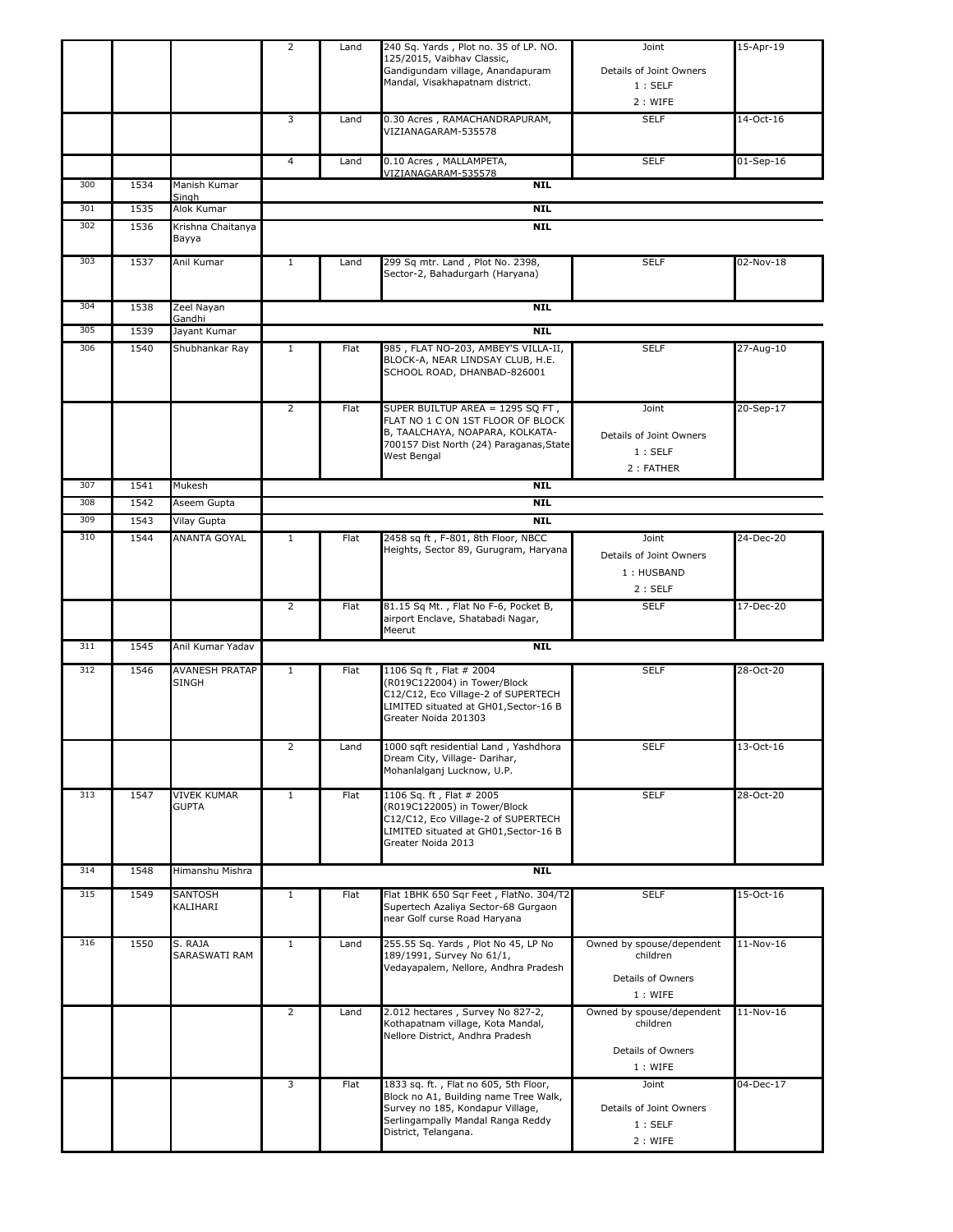|     |      |                                | 2              | Land | 240 Sq. Yards, Plot no. 35 of LP. NO.<br>125/2015, Vaibhav Classic,<br>Gandigundam village, Anandapuram<br>Mandal, Visakhapatnam district.                                      | Joint<br>Details of Joint Owners<br>1:SELF<br>2: WIFE                 | 15-Apr-19   |
|-----|------|--------------------------------|----------------|------|---------------------------------------------------------------------------------------------------------------------------------------------------------------------------------|-----------------------------------------------------------------------|-------------|
|     |      |                                | 3              | Land | 0.30 Acres, RAMACHANDRAPURAM,<br>VIZIANAGARAM-535578                                                                                                                            | <b>SELF</b>                                                           | 14-Oct-16   |
|     |      |                                | 4              | Land | 0.10 Acres, MALLAMPETA,                                                                                                                                                         | <b>SELF</b>                                                           | $01-Sep-16$ |
| 300 | 1534 | Manish Kumar                   |                |      | VIZIANAGARAM-535578<br><b>NIL</b>                                                                                                                                               |                                                                       |             |
| 301 | 1535 | Singh<br>Alok Kumar            |                |      | <b>NIL</b>                                                                                                                                                                      |                                                                       |             |
| 302 | 1536 | Krishna Chaitanya<br>Bayya     |                |      | <b>NIL</b>                                                                                                                                                                      |                                                                       |             |
| 303 | 1537 | Anil Kumar                     | $\mathbf{1}$   | Land | 299 Sq mtr. Land, Plot No. 2398,<br>Sector-2, Bahadurgarh (Haryana)                                                                                                             | <b>SELF</b>                                                           | 02-Nov-18   |
| 304 | 1538 | Zeel Nayan                     |                |      | <b>NIL</b>                                                                                                                                                                      |                                                                       |             |
| 305 | 1539 | Gandhi<br>Jayant Kumar         |                |      | <b>NIL</b>                                                                                                                                                                      |                                                                       |             |
| 306 | 1540 | Shubhankar Ray                 | $\mathbf{1}$   | Flat | 985, FLAT NO-203, AMBEY'S VILLA-II,<br>BLOCK-A, NEAR LINDSAY CLUB, H.E.<br>SCHOOL ROAD, DHANBAD-826001                                                                          | <b>SELF</b>                                                           | 27-Aug-10   |
|     |      |                                | $\overline{2}$ | Flat | SUPER BUILTUP AREA = 1295 SQ FT,<br>FLAT NO 1 C ON 1ST FLOOR OF BLOCK<br>B, TAALCHAYA, NOAPARA, KOLKATA-<br>700157 Dist North (24) Paraganas, State<br>West Bengal              | Joint<br>Details of Joint Owners<br>1:SELF<br>2: FATHER               | 20-Sep-17   |
| 307 | 1541 | Mukesh                         |                |      | <b>NIL</b>                                                                                                                                                                      |                                                                       |             |
| 308 | 1542 | Aseem Gupta                    |                |      | <b>NIL</b>                                                                                                                                                                      |                                                                       |             |
| 309 | 1543 | Vilay Gupta                    |                |      | <b>NIL</b>                                                                                                                                                                      |                                                                       |             |
| 310 | 1544 | ANANTA GOYAL                   | $\mathbf{1}$   | Flat | 2458 sq ft, F-801, 8th Floor, NBCC<br>Heights, Sector 89, Gurugram, Haryana                                                                                                     | Joint<br>Details of Joint Owners<br>1: HUSBAND<br>2:SELF              | 24-Dec-20   |
|     |      |                                | 2              | Flat | 81.15 Sq Mt., Flat No F-6, Pocket B,<br>airport Enclave, Shatabadi Nagar,<br>Meerut                                                                                             | <b>SELF</b>                                                           | 17-Dec-20   |
| 311 | 1545 | Anil Kumar Yadav               |                |      | <b>NIL</b>                                                                                                                                                                      |                                                                       |             |
| 312 | 1546 | <b>AVANESH PRATAP</b><br>SINGH | $\mathbf{1}$   | Flat | 1106 Sq ft, Flat # 2004<br>(R019C122004) in Tower/Block<br>C12/C12, Eco Village-2 of SUPERTECH<br>LIMITED situated at GH01, Sector-16 B<br>Greater Noida 201303                 | <b>SELF</b>                                                           | 28-Oct-20   |
|     |      |                                | $\overline{2}$ | Land | 1000 sqft residential Land, Yashdhora<br>Dream City, Village- Darihar,<br>Mohanlalganj Lucknow, U.P.                                                                            | <b>SELF</b>                                                           | 13-Oct-16   |
| 313 | 1547 | VIVEK KUMAR<br><b>GUPTA</b>    | $\mathbf{1}$   | Flat | 1106 Sq. ft, Flat # 2005<br>(R019C122005) in Tower/Block<br>C12/C12, Eco Village-2 of SUPERTECH<br>LIMITED situated at GH01, Sector-16 B<br>Greater Noida 2013                  | <b>SELF</b>                                                           | 28-Oct-20   |
| 314 | 1548 | Himanshu Mishra                |                |      | <b>NTL</b>                                                                                                                                                                      |                                                                       |             |
| 315 | 1549 | SANTOSH<br>KALIHARI            | $\mathbf{1}$   | Flat | Flat 1BHK 650 Sqr Feet, FlatNo. 304/T2<br>Supertech Azaliya Sector-68 Gurgaon<br>near Golf curse Road Haryana                                                                   | <b>SELF</b>                                                           | 15-Oct-16   |
| 316 | 1550 | S. RAJA<br>SARASWATI RAM       | $\mathbf{1}$   | Land | 255.55 Sq. Yards, Plot No 45, LP No<br>189/1991, Survey No 61/1,<br>Vedayapalem, Nellore, Andhra Pradesh                                                                        | Owned by spouse/dependent<br>children<br>Details of Owners<br>1: WIFE | $11-Nov-16$ |
|     |      |                                | $\overline{2}$ | Land | 2.012 hectares, Survey No 827-2,<br>Kothapatnam village, Kota Mandal,<br>Nellore District, Andhra Pradesh                                                                       | Owned by spouse/dependent<br>children<br>Details of Owners<br>1: WIFE | $11-Nov-16$ |
|     |      |                                | 3              | Flat | 1833 sq. ft., Flat no 605, 5th Floor,<br>Block no A1, Building name Tree Walk,<br>Survey no 185, Kondapur Village,<br>Serlingampally Mandal Ranga Reddy<br>District, Telangana. | Joint<br>Details of Joint Owners<br>1:SELF<br>2 : WIFE                | 04-Dec-17   |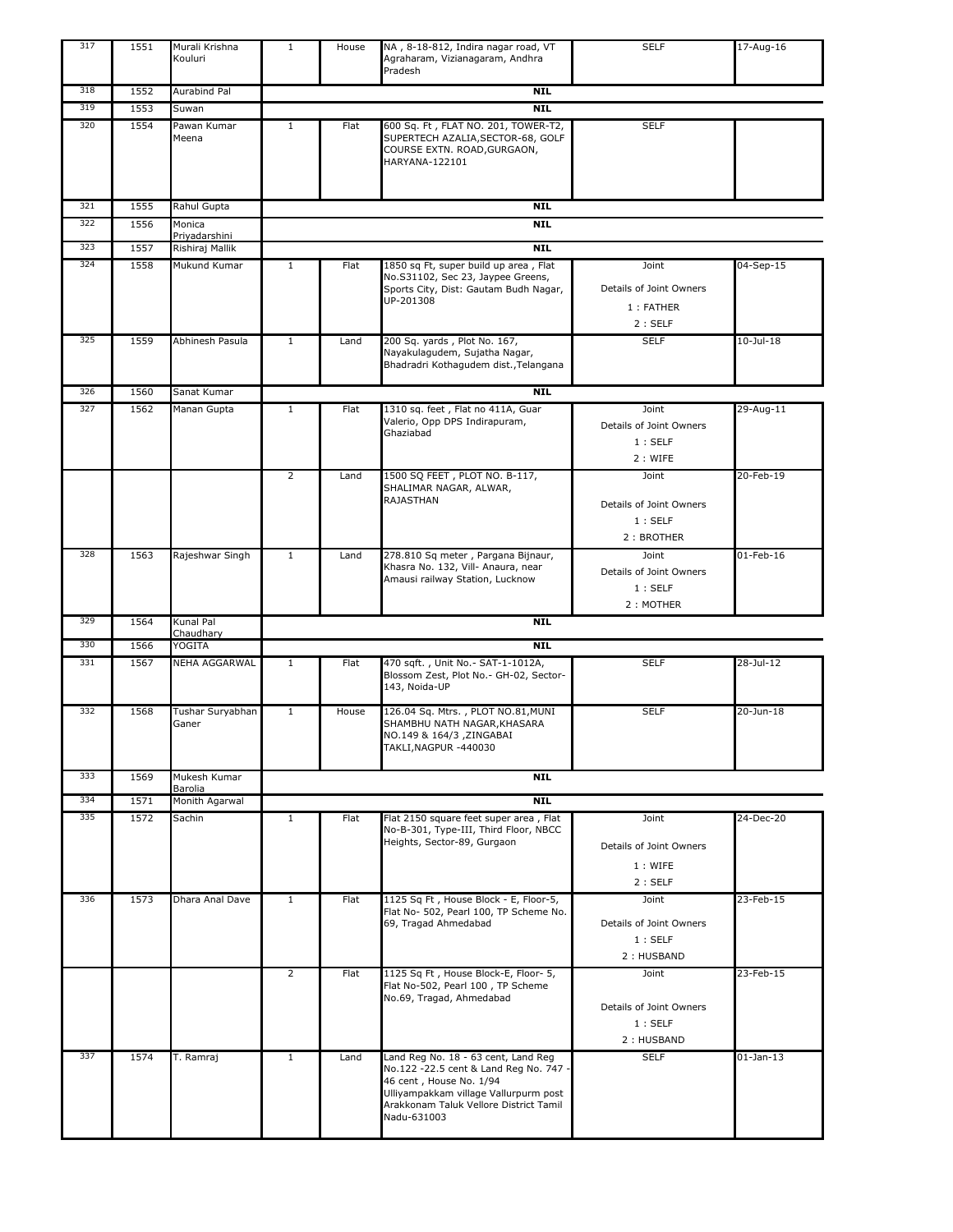| 317 | 1551 | Murali Krishna<br>Kouluri        | $\mathbf{1}$   | House | NA, 8-18-812, Indira nagar road, VT<br>Agraharam, Vizianagaram, Andhra<br>Pradesh                                                                                                                          | <b>SELF</b>                                              | 17-Aug-16       |
|-----|------|----------------------------------|----------------|-------|------------------------------------------------------------------------------------------------------------------------------------------------------------------------------------------------------------|----------------------------------------------------------|-----------------|
| 318 | 1552 | Aurabind Pal                     |                |       | <b>NIL</b>                                                                                                                                                                                                 |                                                          |                 |
| 319 | 1553 | Suwan                            |                |       | <b>NIL</b>                                                                                                                                                                                                 |                                                          |                 |
| 320 | 1554 | Pawan Kumar<br>Meena             | $\mathbf{1}$   | Flat  | 600 Sq. Ft, FLAT NO. 201, TOWER-T2,<br>SUPERTECH AZALIA, SECTOR-68, GOLF<br>COURSE EXTN. ROAD, GURGAON,<br>HARYANA-122101                                                                                  | <b>SELF</b>                                              |                 |
| 321 | 1555 | Rahul Gupta                      |                |       | <b>NIL</b>                                                                                                                                                                                                 |                                                          |                 |
| 322 | 1556 | Monica                           |                |       | <b>NIL</b>                                                                                                                                                                                                 |                                                          |                 |
| 323 | 1557 | Priyadarshini<br>Rishiraj Mallik |                |       | <b>NIL</b>                                                                                                                                                                                                 |                                                          |                 |
| 324 | 1558 | Mukund Kumar                     | 1              | Flat  | 1850 sq Ft, super build up area, Flat                                                                                                                                                                      | Joint                                                    | 04-Sep-15       |
|     |      |                                  |                |       | No.S31102, Sec 23, Jaypee Greens,<br>Sports City, Dist: Gautam Budh Nagar,<br>UP-201308                                                                                                                    | Details of Joint Owners<br>1 : FATHER<br>2:SELF          |                 |
| 325 | 1559 | Abhinesh Pasula                  | $\mathbf{1}$   | Land  | 200 Sq. yards, Plot No. 167,<br>Nayakulagudem, Sujatha Nagar,<br>Bhadradri Kothagudem dist., Telangana                                                                                                     | <b>SELF</b>                                              | $10$ -Jul- $18$ |
| 326 | 1560 | Sanat Kumar                      |                |       | <b>NIL</b>                                                                                                                                                                                                 |                                                          |                 |
| 327 | 1562 | Manan Gupta                      | $\mathbf{1}$   | Flat  | 1310 sq. feet, Flat no 411A, Guar<br>Valerio, Opp DPS Indirapuram,<br>Ghaziabad                                                                                                                            | Joint<br>Details of Joint Owners<br>1:SELF<br>2 : WIFE   | 29-Aug-11       |
|     |      |                                  | $\overline{2}$ | Land  | 1500 SQ FEET, PLOT NO. B-117,<br>SHALIMAR NAGAR, ALWAR,<br>RAJASTHAN                                                                                                                                       | Joint<br>Details of Joint Owners<br>1:SELF<br>2: BROTHER | 20-Feb-19       |
| 328 | 1563 | Rajeshwar Singh                  | $\mathbf{1}$   | Land  | 278.810 Sq meter, Pargana Bijnaur,<br>Khasra No. 132, Vill- Anaura, near<br>Amausi railway Station, Lucknow                                                                                                | Joint<br>Details of Joint Owners<br>1:SELF<br>2 : MOTHER | 01-Feb-16       |
| 329 | 1564 | Kunal Pal                        |                |       | <b>NIL</b>                                                                                                                                                                                                 |                                                          |                 |
| 330 | 1566 | Chaudhary<br>YOGITA              |                |       | <b>NIL</b>                                                                                                                                                                                                 |                                                          |                 |
| 331 | 1567 | <b>NEHA AGGARWAL</b>             | $\mathbf{1}$   | Flat  | 470 sqft., Unit No.- SAT-1-1012A,<br>Blossom Zest, Plot No.- GH-02, Sector-<br>143, Noida-UP                                                                                                               | <b>SELF</b>                                              | 28-Jul-12       |
| 332 | 1568 | Tushar Suryabhan<br>Ganer        | $\mathbf{1}$   | House | 126.04 Sq. Mtrs., PLOT NO.81, MUNI<br>SHAMBHU NATH NAGAR, KHASARA<br>NO.149 & 164/3, ZINGABAI<br>TAKLI,NAGPUR -440030                                                                                      | <b>SELF</b>                                              | 20-Jun-18       |
| 333 | 1569 | Mukesh Kumar                     |                |       | <b>NIL</b>                                                                                                                                                                                                 |                                                          |                 |
| 334 | 1571 | Barolia<br>Monith Agarwal        |                |       | <b>NIL</b>                                                                                                                                                                                                 |                                                          |                 |
| 335 | 1572 | Sachin                           | $\mathbf{1}$   | Flat  | Flat 2150 square feet super area, Flat<br>No-B-301, Type-III, Third Floor, NBCC<br>Heights, Sector-89, Gurgaon                                                                                             | Joint<br>Details of Joint Owners<br>1: WIFE<br>2:SELF    | 24-Dec-20       |
| 336 | 1573 | Dhara Anal Dave                  | $\mathbf{1}$   | Flat  | 1125 Sq Ft, House Block - E, Floor-5,<br>Flat No- 502, Pearl 100, TP Scheme No.<br>69, Tragad Ahmedabad                                                                                                    | Joint<br>Details of Joint Owners<br>1:SELF<br>2: HUSBAND | 23-Feb-15       |
|     |      |                                  | $\overline{2}$ | Flat  | 1125 Sq Ft, House Block-E, Floor- 5,<br>Flat No-502, Pearl 100, TP Scheme<br>No.69, Tragad, Ahmedabad                                                                                                      | Joint<br>Details of Joint Owners<br>1:SELF<br>2: HUSBAND | 23-Feb-15       |
| 337 | 1574 | T. Ramraj                        | $\mathbf{1}$   | Land  | Land Reg No. 18 - 63 cent, Land Reg<br>No.122 -22.5 cent & Land Reg No. 747 -<br>46 cent, House No. 1/94<br>Ulliyampakkam village Vallurpurm post<br>Arakkonam Taluk Vellore District Tamil<br>Nadu-631003 | <b>SELF</b>                                              | $01$ -Jan-13    |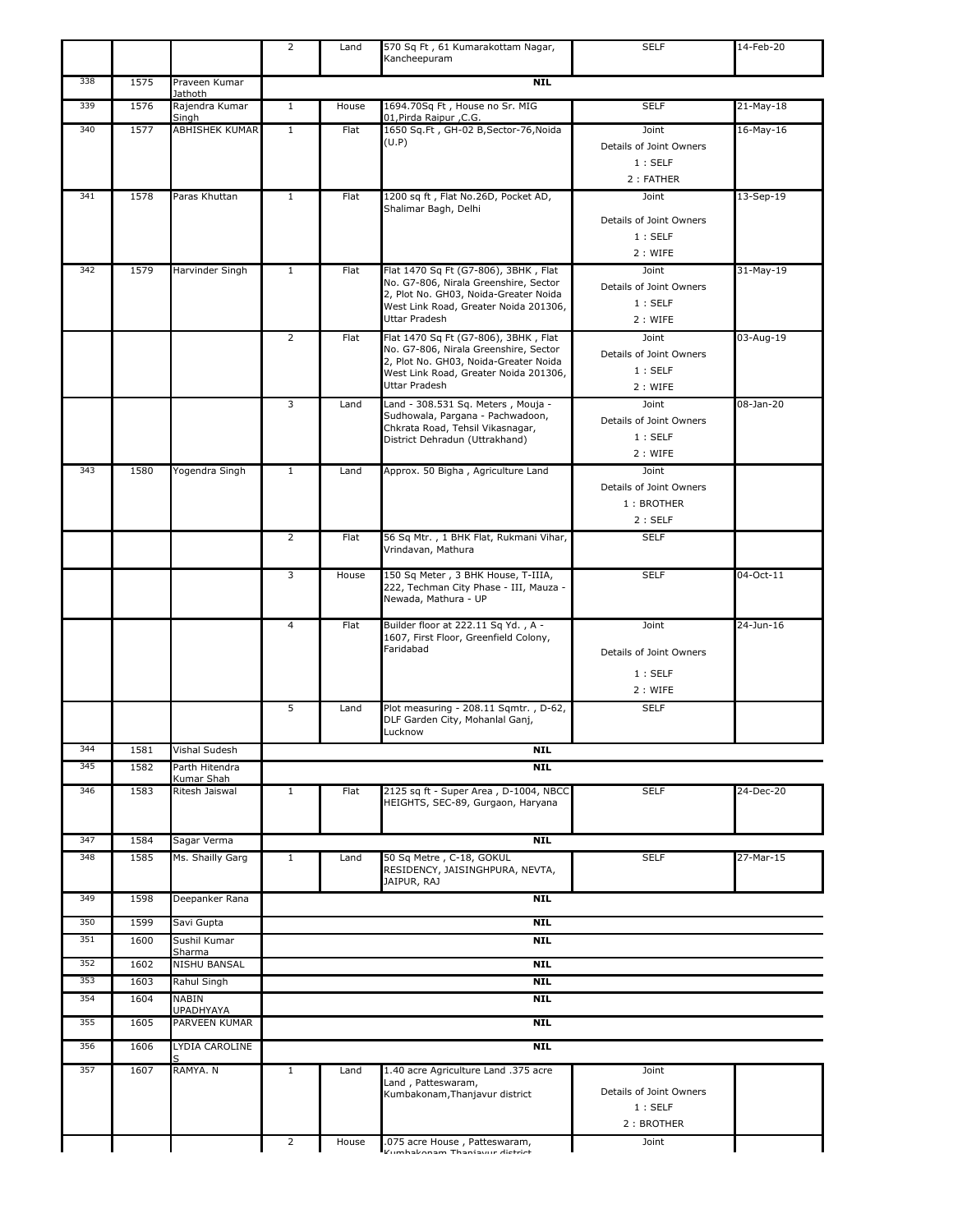|     |      |                                   | 2              | Land  | 570 Sq Ft, 61 Kumarakottam Nagar,<br>Kancheepuram                              | <b>SELF</b>                           | 14-Feb-20 |
|-----|------|-----------------------------------|----------------|-------|--------------------------------------------------------------------------------|---------------------------------------|-----------|
| 338 | 1575 | Praveen Kumar                     |                |       | <b>NIL</b>                                                                     |                                       |           |
| 339 | 1576 | Jathoth<br>Rajendra Kumar         | $\mathbf{1}$   | House | 1694.70Sq Ft, House no Sr. MIG                                                 | <b>SELF</b>                           | 21-May-18 |
| 340 | 1577 | Singh<br><b>ABHISHEK KUMAR</b>    | $\mathbf{1}$   | Flat  | 01, Pirda Raipur, C.G.<br>1650 Sq.Ft, GH-02 B,Sector-76,Noida                  | Joint                                 | 16-May-16 |
|     |      |                                   |                |       | (U.P)                                                                          | Details of Joint Owners               |           |
|     |      |                                   |                |       |                                                                                | 1:SELF                                |           |
|     |      |                                   |                |       |                                                                                | 2: FATHER                             |           |
| 341 | 1578 | Paras Khuttan                     | $\mathbf{1}$   | Flat  | 1200 sq ft, Flat No.26D, Pocket AD,<br>Shalimar Bagh, Delhi                    | Joint                                 | 13-Sep-19 |
|     |      |                                   |                |       |                                                                                | Details of Joint Owners               |           |
|     |      |                                   |                |       |                                                                                | 1:SELF                                |           |
| 342 |      |                                   |                |       |                                                                                | 2 : WIFE                              |           |
|     | 1579 | Harvinder Singh                   | $\mathbf{1}$   | Flat  | Flat 1470 Sq Ft (G7-806), 3BHK, Flat<br>No. G7-806, Nirala Greenshire, Sector  | Joint<br>Details of Joint Owners      | 31-May-19 |
|     |      |                                   |                |       | 2, Plot No. GH03, Noida-Greater Noida<br>West Link Road, Greater Noida 201306, | 1:SELF                                |           |
|     |      |                                   |                |       | <b>Uttar Pradesh</b>                                                           | 2: WIFE                               |           |
|     |      |                                   | 2              | Flat  | Flat 1470 Sq Ft (G7-806), 3BHK, Flat<br>No. G7-806, Nirala Greenshire, Sector  | Joint                                 | 03-Aug-19 |
|     |      |                                   |                |       | 2, Plot No. GH03, Noida-Greater Noida                                          | Details of Joint Owners               |           |
|     |      |                                   |                |       | West Link Road, Greater Noida 201306,<br><b>Uttar Pradesh</b>                  | 1:SELF<br>2: WIFE                     |           |
|     |      |                                   | 3              | Land  | Land - 308.531 Sq. Meters, Mouja -                                             | Joint                                 | 08-Jan-20 |
|     |      |                                   |                |       | Sudhowala, Pargana - Pachwadoon,                                               | Details of Joint Owners               |           |
|     |      |                                   |                |       | Chkrata Road, Tehsil Vikasnagar,<br>District Dehradun (Uttrakhand)             | 1:SELF                                |           |
|     |      |                                   |                |       |                                                                                | 2 : WIFE                              |           |
| 343 | 1580 | Yogendra Singh                    | $\mathbf{1}$   | Land  | Approx. 50 Bigha, Agriculture Land                                             | Joint                                 |           |
|     |      |                                   |                |       |                                                                                | Details of Joint Owners<br>1: BROTHER |           |
|     |      |                                   |                |       |                                                                                | 2: SELF                               |           |
|     |      |                                   | $\overline{2}$ | Flat  | 56 Sq Mtr., 1 BHK Flat, Rukmani Vihar,                                         | <b>SELF</b>                           |           |
|     |      |                                   |                |       | Vrindavan, Mathura                                                             |                                       |           |
|     |      |                                   | 3              | House | 150 Sq Meter, 3 BHK House, T-IIIA,<br>222, Techman City Phase - III, Mauza -   | <b>SELF</b>                           | 04-Oct-11 |
|     |      |                                   |                |       | Newada, Mathura - UP                                                           |                                       |           |
|     |      |                                   | 4              | Flat  | Builder floor at 222.11 Sq Yd., A -<br>1607, First Floor, Greenfield Colony,   | Joint                                 | 24-Jun-16 |
|     |      |                                   |                |       | Faridabad                                                                      | Details of Joint Owners               |           |
|     |      |                                   |                |       |                                                                                | 1:SELF                                |           |
|     |      |                                   |                |       |                                                                                | 2 : WIFE                              |           |
|     |      |                                   | 5              | Land  | Plot measuring - 208.11 Sqmtr., D-62,                                          | <b>SELF</b>                           |           |
|     |      |                                   |                |       | DLF Garden City, Mohanlal Ganj,<br>Lucknow                                     |                                       |           |
| 344 | 1581 | Vishal Sudesh                     |                |       | <b>NIL</b>                                                                     |                                       |           |
| 345 | 1582 | Parth Hitendra<br>Kumar Shah      |                |       | <b>NIL</b>                                                                     |                                       |           |
| 346 | 1583 | Ritesh Jaiswal                    | $\mathbf{1}$   | Flat  | 2125 sq ft - Super Area, D-1004, NBCC                                          | <b>SELF</b>                           | 24-Dec-20 |
|     |      |                                   |                |       | HEIGHTS, SEC-89, Gurgaon, Haryana                                              |                                       |           |
| 347 | 1584 | Sagar Verma                       |                |       | <b>NIL</b>                                                                     |                                       |           |
| 348 | 1585 | Ms. Shailly Garg                  | $\mathbf{1}$   | Land  | 50 Sq Metre, C-18, GOKUL                                                       | <b>SELF</b>                           | 27-Mar-15 |
|     |      |                                   |                |       | RESIDENCY, JAISINGHPURA, NEVTA,<br>JAIPUR, RAJ                                 |                                       |           |
| 349 | 1598 | Deepanker Rana                    |                |       | <b>NIL</b>                                                                     |                                       |           |
| 350 | 1599 | Savi Gupta                        |                |       | <b>NIL</b>                                                                     |                                       |           |
| 351 | 1600 | Sushil Kumar                      |                |       | <b>NIL</b>                                                                     |                                       |           |
| 352 | 1602 | Sharma<br>NISHU BANSAL            |                |       | <b>NIL</b>                                                                     |                                       |           |
| 353 | 1603 | Rahul Singh                       |                |       | <b>NIL</b>                                                                     |                                       |           |
| 354 | 1604 | NABIN                             |                |       | <b>NTL</b>                                                                     |                                       |           |
| 355 | 1605 | <b>UPADHYAYA</b><br>PARVEEN KUMAR |                |       | <b>NIL</b>                                                                     |                                       |           |
| 356 | 1606 | LYDIA CAROLINE                    |                |       | <b>NIL</b>                                                                     |                                       |           |
| 357 | 1607 | RAMYA. N                          | $\mathbf{1}$   | Land  | 1.40 acre Agriculture Land .375 acre                                           | Joint                                 |           |
|     |      |                                   |                |       | Land, Patteswaram,                                                             |                                       |           |
|     |      |                                   |                |       | Kumbakonam, Thanjavur district                                                 | Details of Joint Owners<br>1:SELF     |           |
|     |      |                                   |                |       |                                                                                | 2: BROTHER                            |           |
|     |      |                                   | 2              | House | .075 acre House, Patteswaram,<br>Vumbalzanam Thaniauur dictrict                | Joint                                 |           |
|     |      |                                   |                |       |                                                                                |                                       |           |